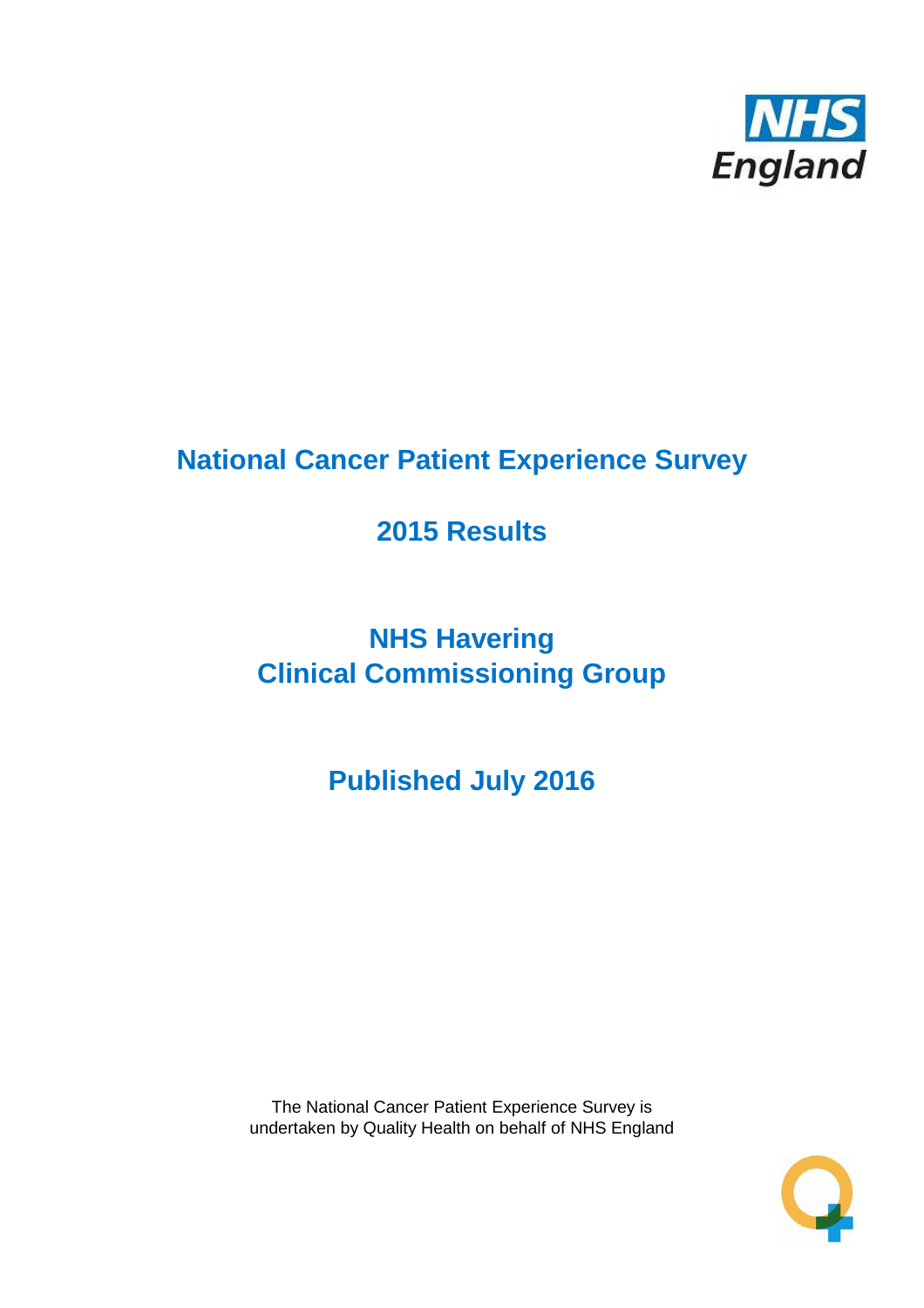

# **National Cancer Patient Experience Survey**

# **2015 Results**

# **NHS Havering Clinical Commissioning Group**

**Published July 2016**

The National Cancer Patient Experience Survey is undertaken by Quality Health on behalf of NHS England

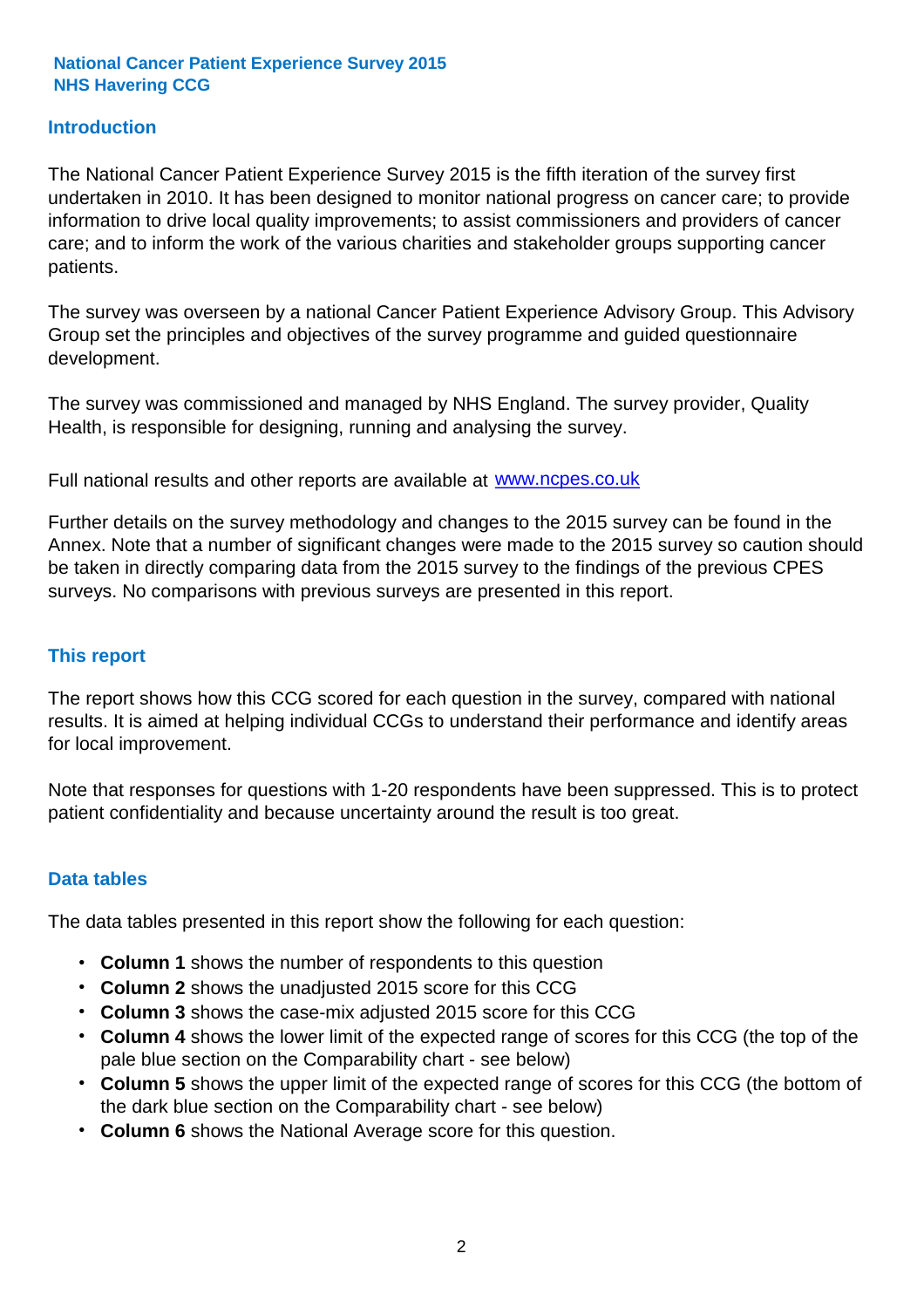### **Introduction**

The National Cancer Patient Experience Survey 2015 is the fifth iteration of the survey first undertaken in 2010. It has been designed to monitor national progress on cancer care; to provide information to drive local quality improvements; to assist commissioners and providers of cancer care; and to inform the work of the various charities and stakeholder groups supporting cancer patients.

The survey was overseen by a national Cancer Patient Experience Advisory Group. This Advisory Group set the principles and objectives of the survey programme and guided questionnaire development.

The survey was commissioned and managed by NHS England. The survey provider, Quality Health, is responsible for designing, running and analysing the survey.

Full national results and other reports are available at www.ncpes.co.uk

Further details on the survey methodology and changes to the 2015 survey can be found in the Annex. Note that a number of significant changes were made to the 2015 survey so caution should be taken in directly comparing data from the 2015 survey to the findings of the previous CPES surveys. No comparisons with previous surveys are presented in this report.

#### **This report**

The report shows how this CCG scored for each question in the survey, compared with national results. It is aimed at helping individual CCGs to understand their performance and identify areas for local improvement.

Note that responses for questions with 1-20 respondents have been suppressed. This is to protect patient confidentiality and because uncertainty around the result is too great.

#### **Data tables**

The data tables presented in this report show the following for each question:

- **Column 1** shows the number of respondents to this question
- **Column 2** shows the unadjusted 2015 score for this CCG
- **Column 3** shows the case-mix adjusted 2015 score for this CCG
- **Column 4** shows the lower limit of the expected range of scores for this CCG (the top of the pale blue section on the Comparability chart - see below)
- **Column 5** shows the upper limit of the expected range of scores for this CCG (the bottom of the dark blue section on the Comparability chart - see below)
- **Column 6** shows the National Average score for this question.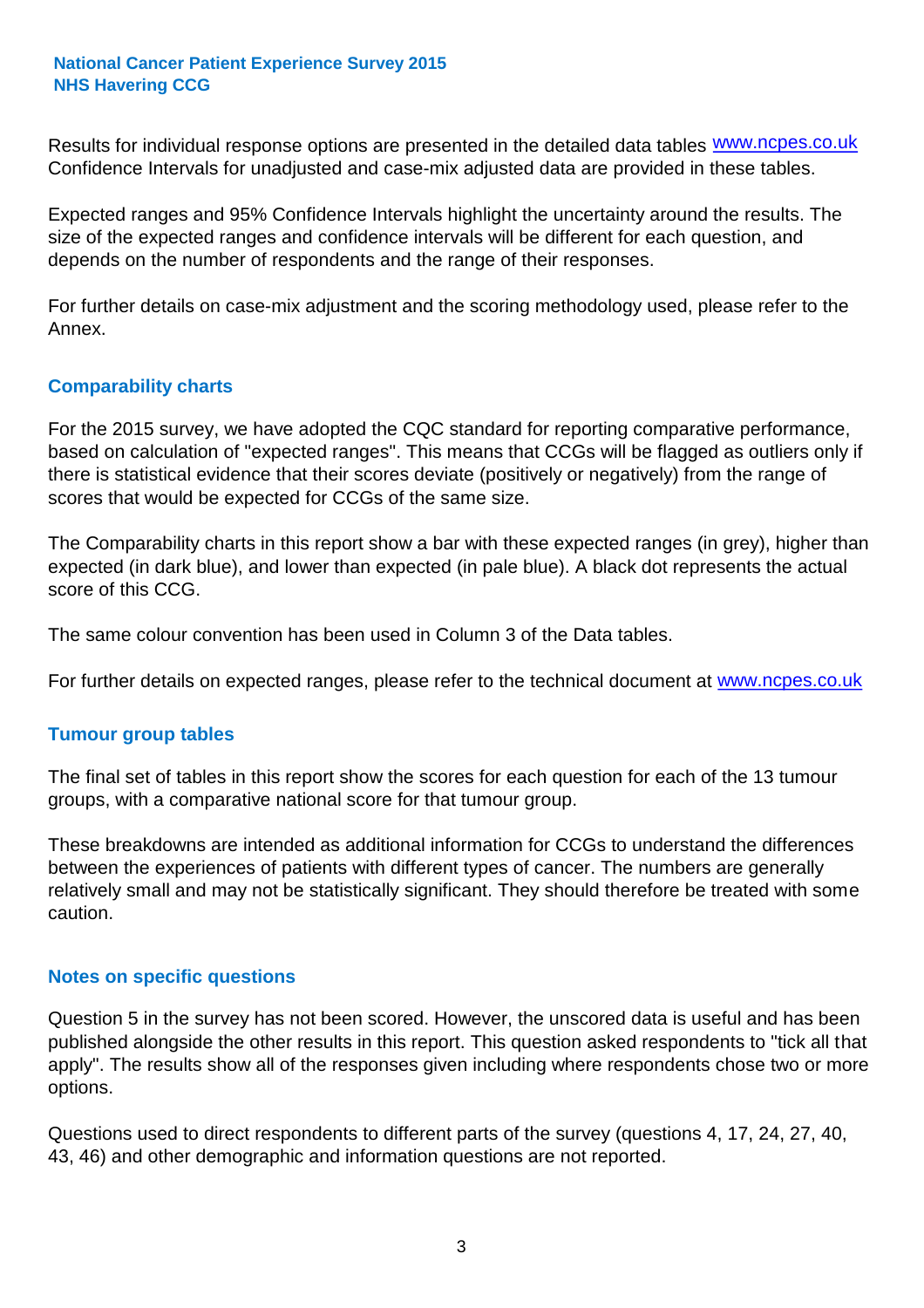Results for individual response options are presented in the detailed data tables **WWW.ncpes.co.uk** Confidence Intervals for unadjusted and case-mix adjusted data are provided in these tables.

Expected ranges and 95% Confidence Intervals highlight the uncertainty around the results. The size of the expected ranges and confidence intervals will be different for each question, and depends on the number of respondents and the range of their responses.

For further details on case-mix adjustment and the scoring methodology used, please refer to the Annex.

#### **Comparability charts**

For the 2015 survey, we have adopted the CQC standard for reporting comparative performance, based on calculation of "expected ranges". This means that CCGs will be flagged as outliers only if there is statistical evidence that their scores deviate (positively or negatively) from the range of scores that would be expected for CCGs of the same size.

The Comparability charts in this report show a bar with these expected ranges (in grey), higher than expected (in dark blue), and lower than expected (in pale blue). A black dot represents the actual score of this CCG.

The same colour convention has been used in Column 3 of the Data tables.

For further details on expected ranges, please refer to the technical document at **www.ncpes.co.uk** 

#### **Tumour group tables**

The final set of tables in this report show the scores for each question for each of the 13 tumour groups, with a comparative national score for that tumour group.

These breakdowns are intended as additional information for CCGs to understand the differences between the experiences of patients with different types of cancer. The numbers are generally relatively small and may not be statistically significant. They should therefore be treated with some caution.

#### **Notes on specific questions**

Question 5 in the survey has not been scored. However, the unscored data is useful and has been published alongside the other results in this report. This question asked respondents to "tick all that apply". The results show all of the responses given including where respondents chose two or more options.

Questions used to direct respondents to different parts of the survey (questions 4, 17, 24, 27, 40, 43, 46) and other demographic and information questions are not reported.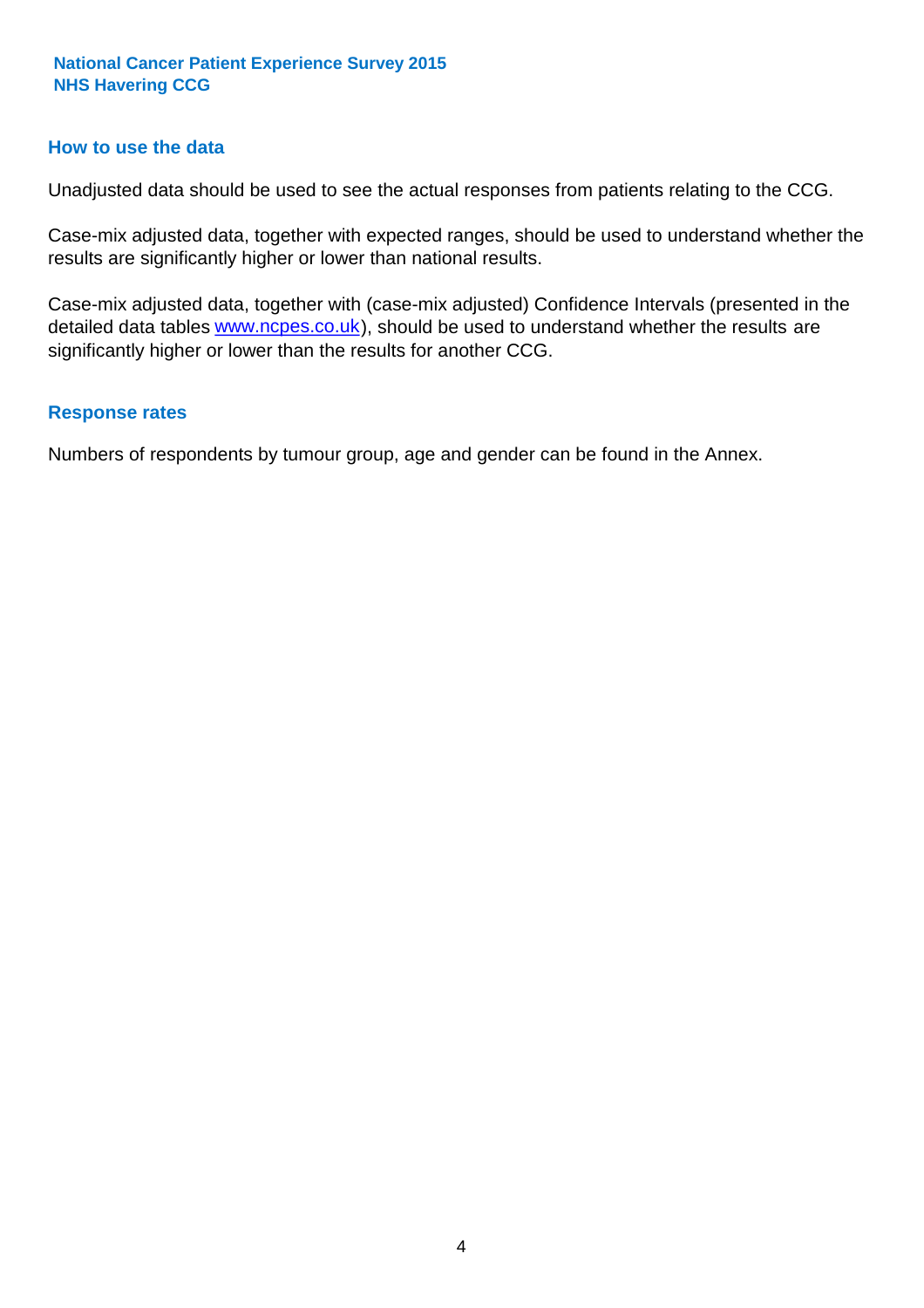#### **How to use the data**

Unadjusted data should be used to see the actual responses from patients relating to the CCG.

Case-mix adjusted data, together with expected ranges, should be used to understand whether the results are significantly higher or lower than national results.

Case-mix adjusted data, together with (case-mix adjusted) Confidence Intervals (presented in the detailed data tables **www.ncpes.co.uk**), should be used to understand whether the results are significantly higher or lower than the results for another CCG.

#### **Response rates**

Numbers of respondents by tumour group, age and gender can be found in the Annex.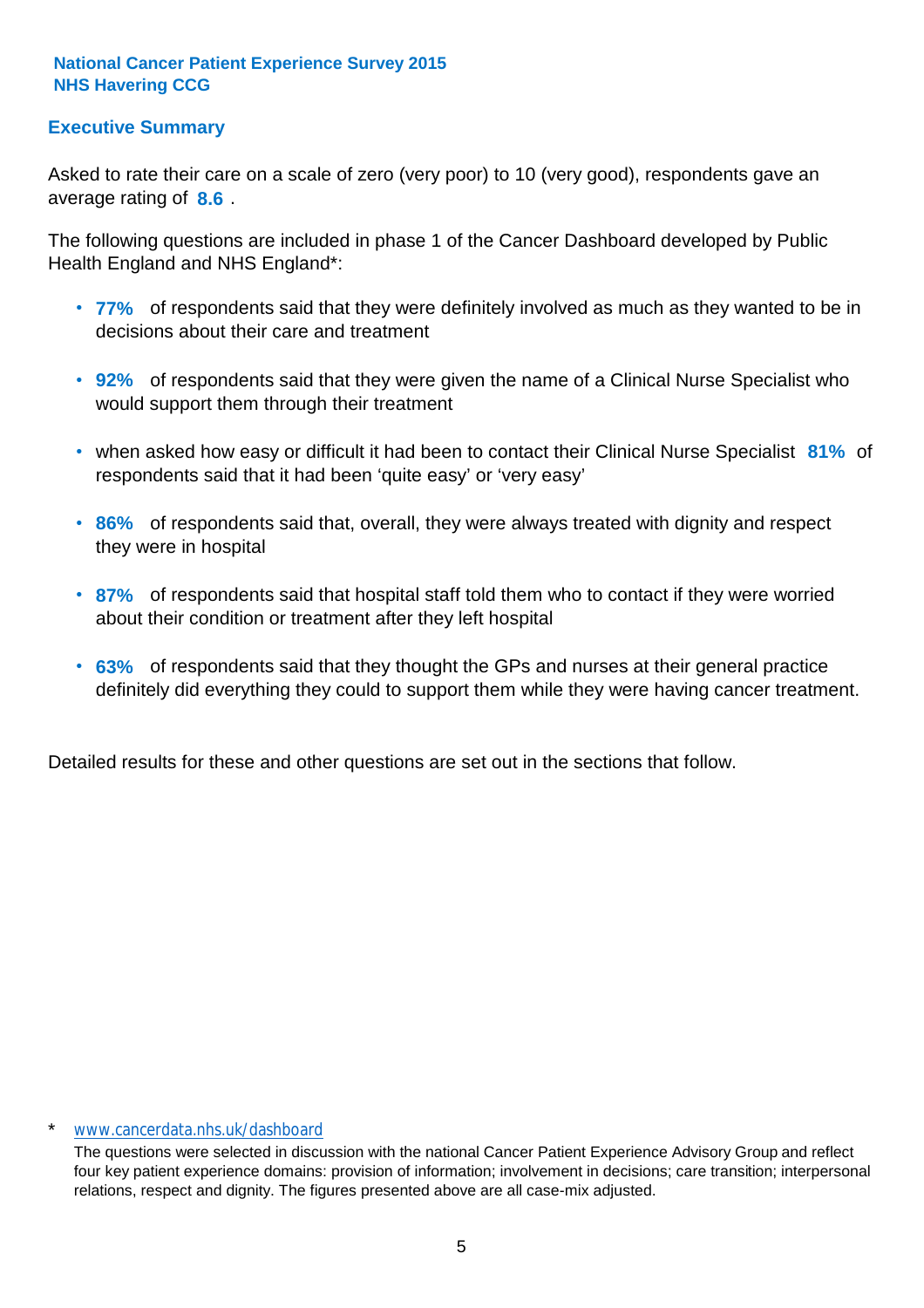## **Executive Summary**

average rating of 8.6. Asked to rate their care on a scale of zero (very poor) to 10 (very good), respondents gave an

The following questions are included in phase 1 of the Cancer Dashboard developed by Public Health England and NHS England\*:

- **77%** of respondents said that they were definitely involved as much as they wanted to be in decisions about their care and treatment
- **92%** of respondents said that they were given the name of a Clinical Nurse Specialist who would support them through their treatment
- when asked how easy or difficult it had been to contact their Clinical Nurse Specialist 81% of respondents said that it had been 'quite easy' or 'very easy'
- **86%** of respondents said that, overall, they were always treated with dignity and respect they were in hospital
- **87%** of respondents said that hospital staff told them who to contact if they were worried about their condition or treatment after they left hospital
- **63%** of respondents said that they thought the GPs and nurses at their general practice definitely did everything they could to support them while they were having cancer treatment.

Detailed results for these and other questions are set out in the sections that follow.

#### www.cancerdata.nhs.uk/dashboard

The questions were selected in discussion with the national Cancer Patient Experience Advisory Group and reflect four key patient experience domains: provision of information; involvement in decisions; care transition; interpersonal relations, respect and dignity. The figures presented above are all case-mix adjusted.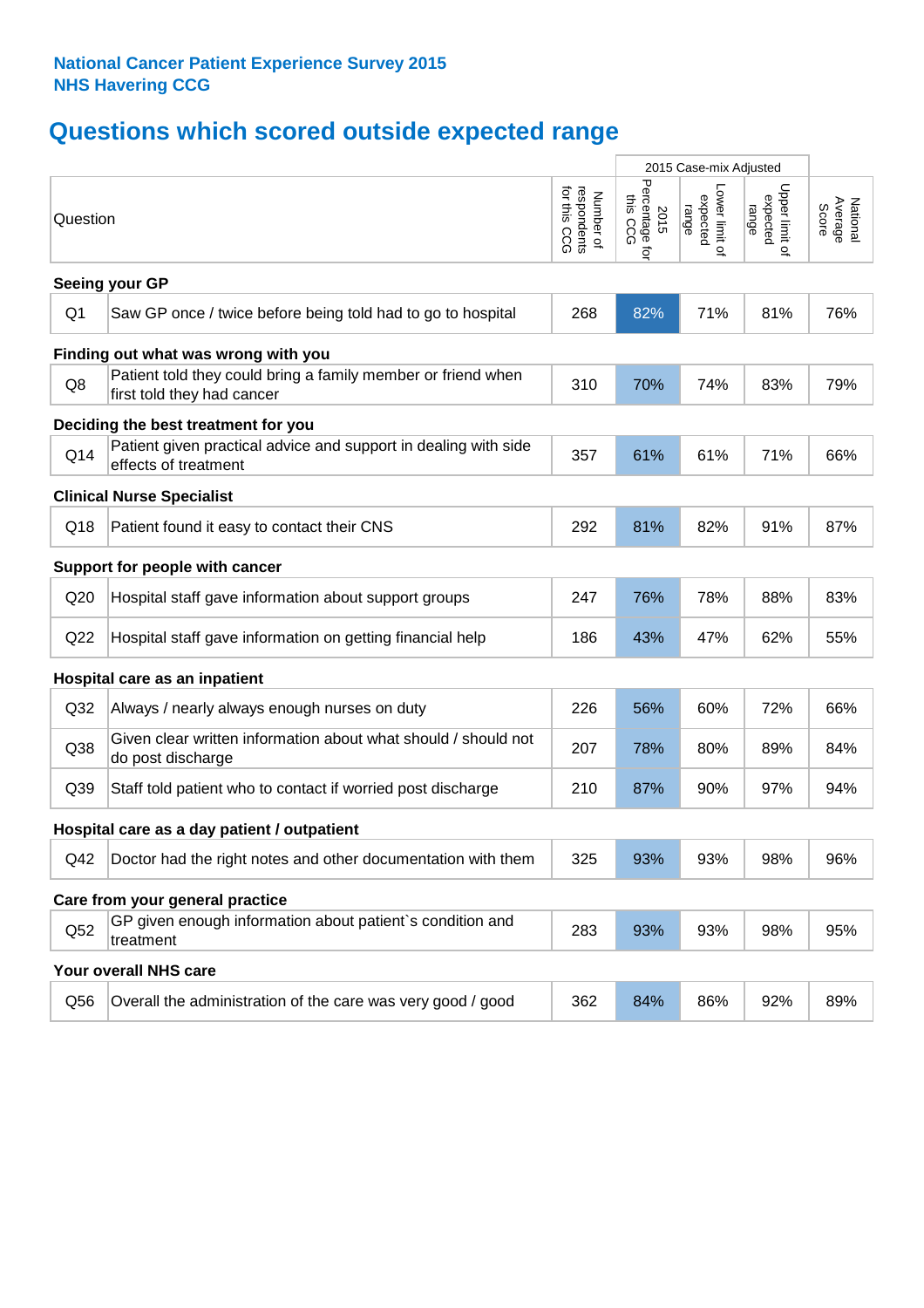# **Questions which scored outside expected range**

|                 |                                                                                            |                                          |                                    | 2015 Case-mix Adjusted              |                                     |                              |
|-----------------|--------------------------------------------------------------------------------------------|------------------------------------------|------------------------------------|-------------------------------------|-------------------------------------|------------------------------|
| Question        |                                                                                            | respondents<br>for this CCG<br>Number of | Percentage for<br>this CCG<br>2015 | Lower limit of<br>expected<br>range | Upper limit o'<br>expected<br>range | Average<br>National<br>Score |
|                 | Seeing your GP                                                                             |                                          |                                    |                                     |                                     |                              |
| Q <sub>1</sub>  | Saw GP once / twice before being told had to go to hospital                                | 268                                      | 82%                                | 71%                                 | 81%                                 | 76%                          |
|                 | Finding out what was wrong with you                                                        |                                          |                                    |                                     |                                     |                              |
| Q8              | Patient told they could bring a family member or friend when<br>first told they had cancer | 310                                      | 70%                                | 74%                                 | 83%                                 | 79%                          |
|                 | Deciding the best treatment for you                                                        |                                          |                                    |                                     |                                     |                              |
| Q14             | Patient given practical advice and support in dealing with side<br>effects of treatment    | 357                                      | 61%                                | 61%                                 | 71%                                 | 66%                          |
|                 | <b>Clinical Nurse Specialist</b>                                                           |                                          |                                    |                                     |                                     |                              |
| Q18             | Patient found it easy to contact their CNS                                                 | 292                                      | 81%                                | 82%                                 | 91%                                 | 87%                          |
|                 | Support for people with cancer                                                             |                                          |                                    |                                     |                                     |                              |
| Q <sub>20</sub> | Hospital staff gave information about support groups                                       | 247                                      | 76%                                | 78%                                 | 88%                                 | 83%                          |
| Q22             | Hospital staff gave information on getting financial help                                  | 186                                      | 43%                                | 47%                                 | 62%                                 | 55%                          |
|                 | Hospital care as an inpatient                                                              |                                          |                                    |                                     |                                     |                              |
| Q <sub>32</sub> | Always / nearly always enough nurses on duty                                               | 226                                      | 56%                                | 60%                                 | 72%                                 | 66%                          |
| Q38             | Given clear written information about what should / should not<br>do post discharge        | 207                                      | 78%                                | 80%                                 | 89%                                 | 84%                          |
| Q39             | Staff told patient who to contact if worried post discharge                                | 210                                      | 87%                                | 90%                                 | 97%                                 | 94%                          |
|                 | Hospital care as a day patient / outpatient                                                |                                          |                                    |                                     |                                     |                              |
| Q42             | Doctor had the right notes and other documentation with them                               | 325                                      | 93%                                | 93%                                 | 98%                                 | 96%                          |
|                 | Care from your general practice                                                            |                                          |                                    |                                     |                                     |                              |
| Q52             | GP given enough information about patient's condition and<br>treatment                     | 283                                      | 93%                                | 93%                                 | 98%                                 | 95%                          |
|                 | Your overall NHS care                                                                      |                                          |                                    |                                     |                                     |                              |
| Q56             | Overall the administration of the care was very good / good                                | 362                                      | 84%                                | 86%                                 | 92%                                 | 89%                          |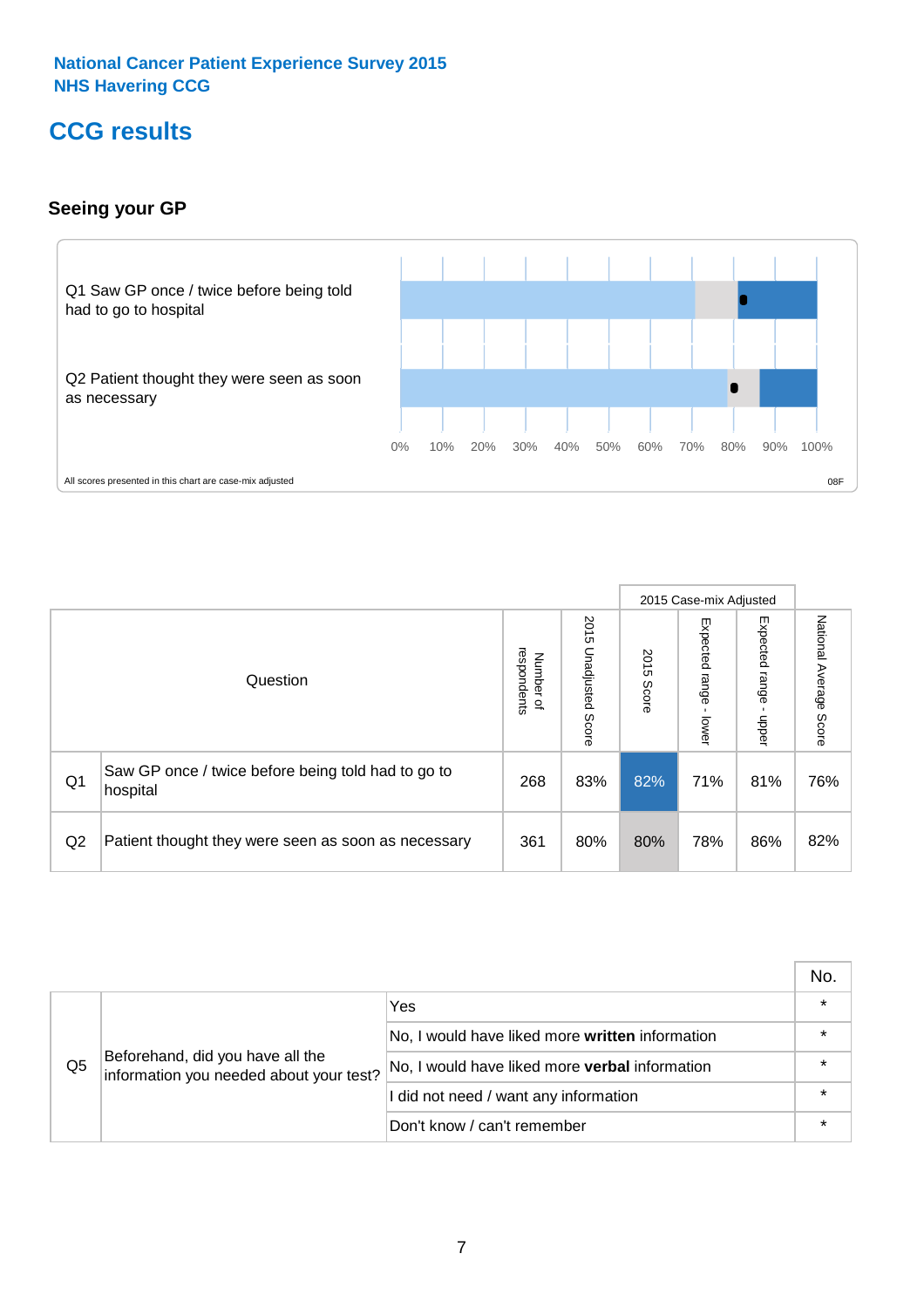# **CCG results**

# **Seeing your GP**



|    |                                                                |                                         |                             |               | 2015 Case-mix Adjusted     |                            |                           |
|----|----------------------------------------------------------------|-----------------------------------------|-----------------------------|---------------|----------------------------|----------------------------|---------------------------|
|    | Question                                                       | respondents<br>Number<br>$\overline{a}$ | 2015<br>Unadjusted<br>Score | 2015<br>Score | Expected<br>range<br>lower | Expected<br>range<br>nbber | National Average<br>Score |
| Q1 | Saw GP once / twice before being told had to go to<br>hospital | 268                                     | 83%                         | 82%           | 71%                        | 81%                        | 76%                       |
| Q2 | Patient thought they were seen as soon as necessary            | 361                                     | 80%                         | 80%           | 78%                        | 86%                        | 82%                       |

|    |                                                                             |                                                 | No. |
|----|-----------------------------------------------------------------------------|-------------------------------------------------|-----|
|    | Beforehand, did you have all the<br>information you needed about your test? | Yes                                             |     |
|    |                                                                             | No, I would have liked more written information |     |
| Q5 |                                                                             | No, I would have liked more verbal information  |     |
|    |                                                                             | I did not need / want any information           |     |
|    |                                                                             | Don't know / can't remember                     |     |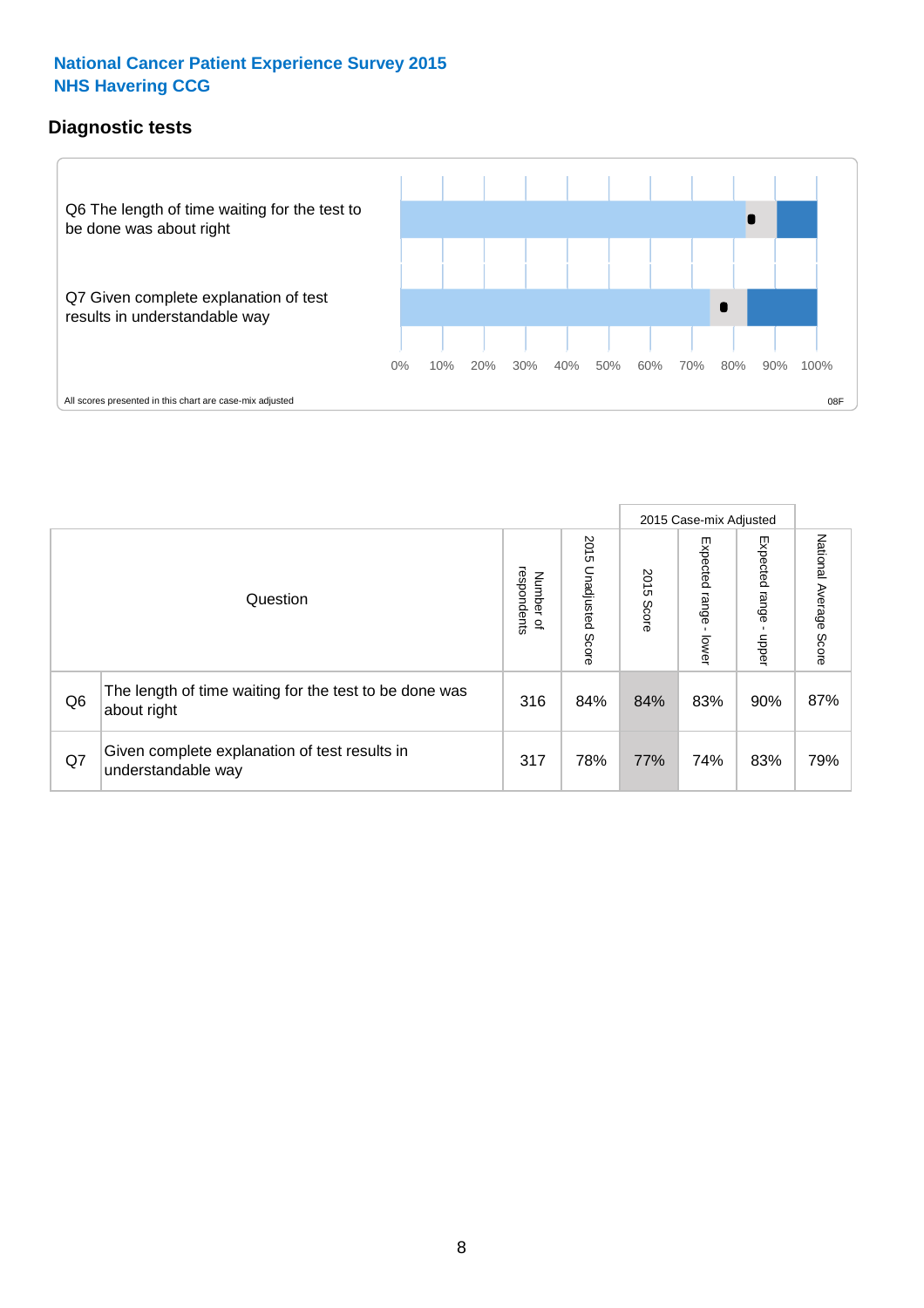## **Diagnostic tests**



|                |                                                                       |                                   |                             |               | 2015 Case-mix Adjusted      |                         |                           |
|----------------|-----------------------------------------------------------------------|-----------------------------------|-----------------------------|---------------|-----------------------------|-------------------------|---------------------------|
|                | Question                                                              | respondents<br>Number<br>$\Omega$ | 2015<br>Unadjusted<br>Score | 2015<br>Score | Expected<br> range<br>lower | Expected range<br>nbber | National Average<br>Score |
| Q <sub>6</sub> | The length of time waiting for the test to be done was<br>about right | 316                               | 84%                         | 84%           | 83%                         | 90%                     | 87%                       |
| Q7             | Given complete explanation of test results in<br>understandable way   | 317                               | 78%                         | 77%           | 74%                         | 83%                     | 79%                       |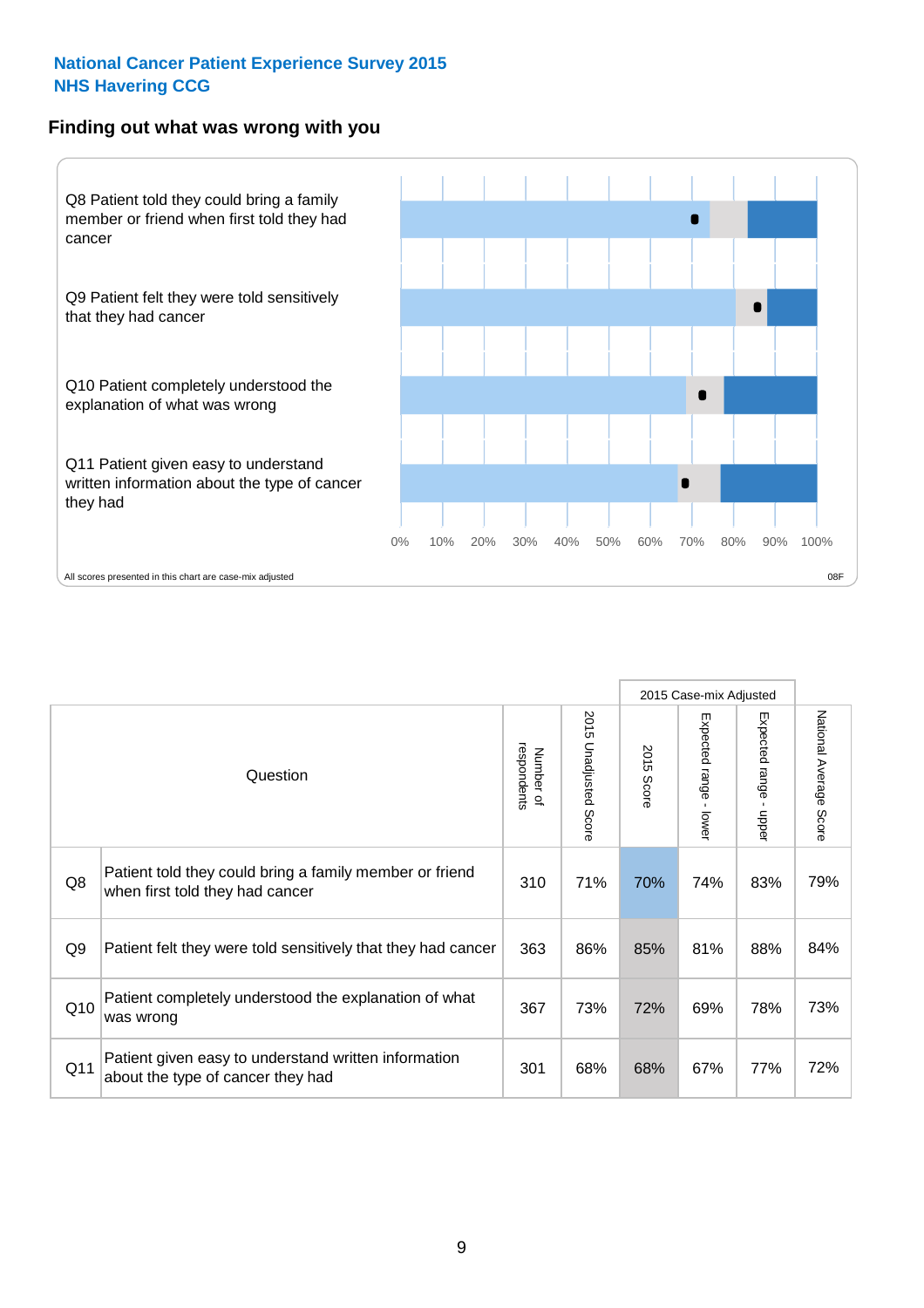#### **Finding out what was wrong with you**



|                 |                                                                                            |                          |                                 |                      | 2015 Case-mix Adjusted                    |                                         |                        |
|-----------------|--------------------------------------------------------------------------------------------|--------------------------|---------------------------------|----------------------|-------------------------------------------|-----------------------------------------|------------------------|
|                 | Question                                                                                   | respondents<br>Number of | 2015<br><b>Unadjusted Score</b> | 2015<br><b>Score</b> | Expected range<br>$\blacksquare$<br>lower | Expected range<br>$\mathbf{r}$<br>nbber | National Average Score |
| Q8              | Patient told they could bring a family member or friend<br>when first told they had cancer | 310                      | 71%                             | 70%                  | 74%                                       | 83%                                     | 79%                    |
| Q9              | Patient felt they were told sensitively that they had cancer                               | 363                      | 86%                             | 85%                  | 81%                                       | 88%                                     | 84%                    |
| Q10             | Patient completely understood the explanation of what<br>was wrong                         | 367                      | 73%                             | 72%                  | 69%                                       | 78%                                     | 73%                    |
| Q <sub>11</sub> | Patient given easy to understand written information<br>about the type of cancer they had  | 301                      | 68%                             | 68%                  | 67%                                       | 77%                                     | 72%                    |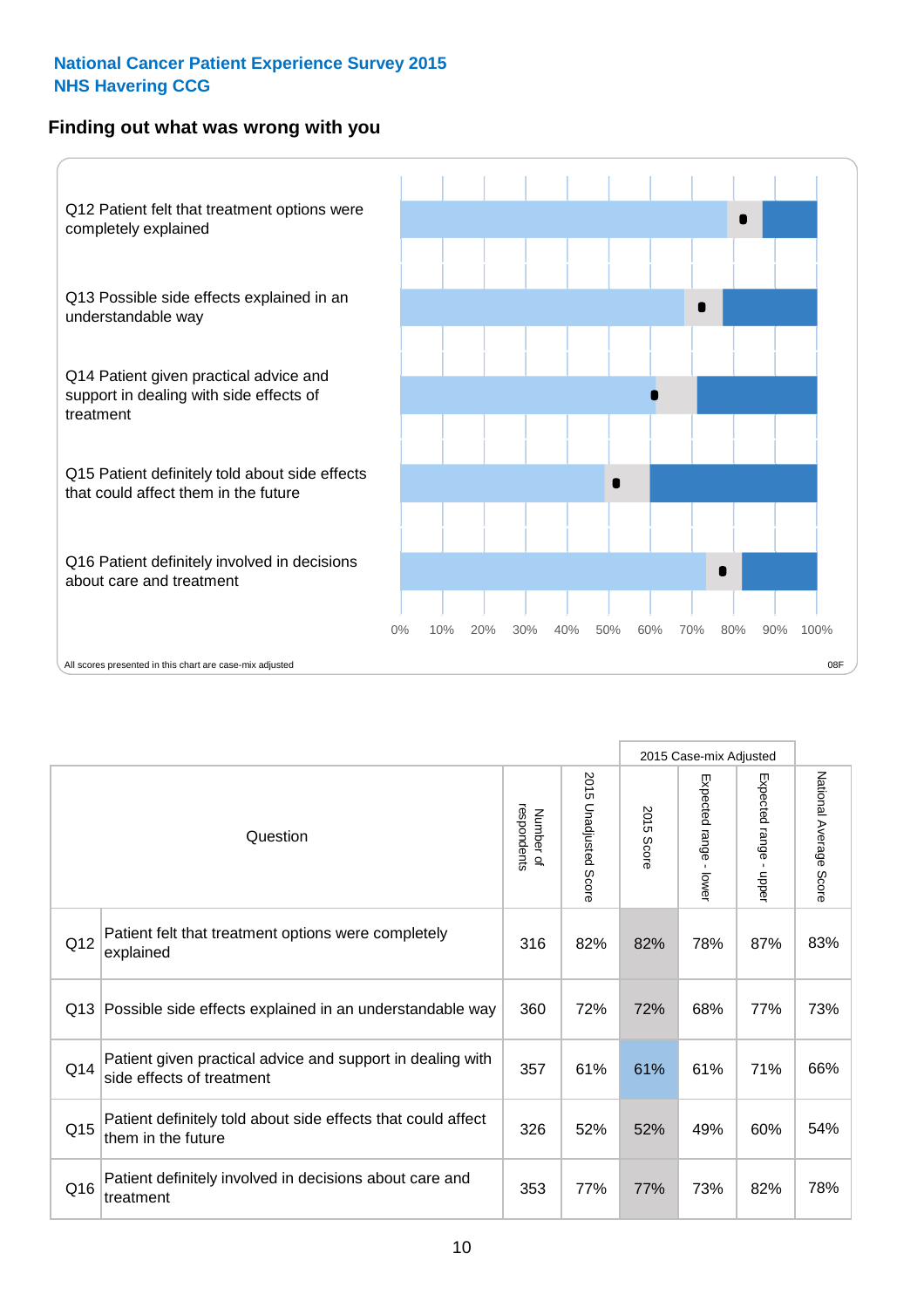## **Finding out what was wrong with you**



|     |                                                                                         |                          |                       |               | 2015 Case-mix Adjusted                  |                           |                        |
|-----|-----------------------------------------------------------------------------------------|--------------------------|-----------------------|---------------|-----------------------------------------|---------------------------|------------------------|
|     | Question                                                                                | respondents<br>Number of | 2015 Unadjusted Score | 2015<br>Score | Expected range<br>$\mathbf{r}$<br>lower | Expected range -<br>nbber | National Average Score |
| Q12 | Patient felt that treatment options were completely<br>explained                        | 316                      | 82%                   | 82%           | 78%                                     | 87%                       | 83%                    |
| Q13 | Possible side effects explained in an understandable way                                | 360                      | 72%                   | 72%           | 68%                                     | 77%                       | 73%                    |
| Q14 | Patient given practical advice and support in dealing with<br>side effects of treatment | 357                      | 61%                   | 61%           | 61%                                     | 71%                       | 66%                    |
| Q15 | Patient definitely told about side effects that could affect<br>them in the future      | 326                      | 52%                   | 52%           | 49%                                     | 60%                       | 54%                    |
| Q16 | Patient definitely involved in decisions about care and<br>treatment                    | 353                      | 77%                   | 77%           | 73%                                     | 82%                       | 78%                    |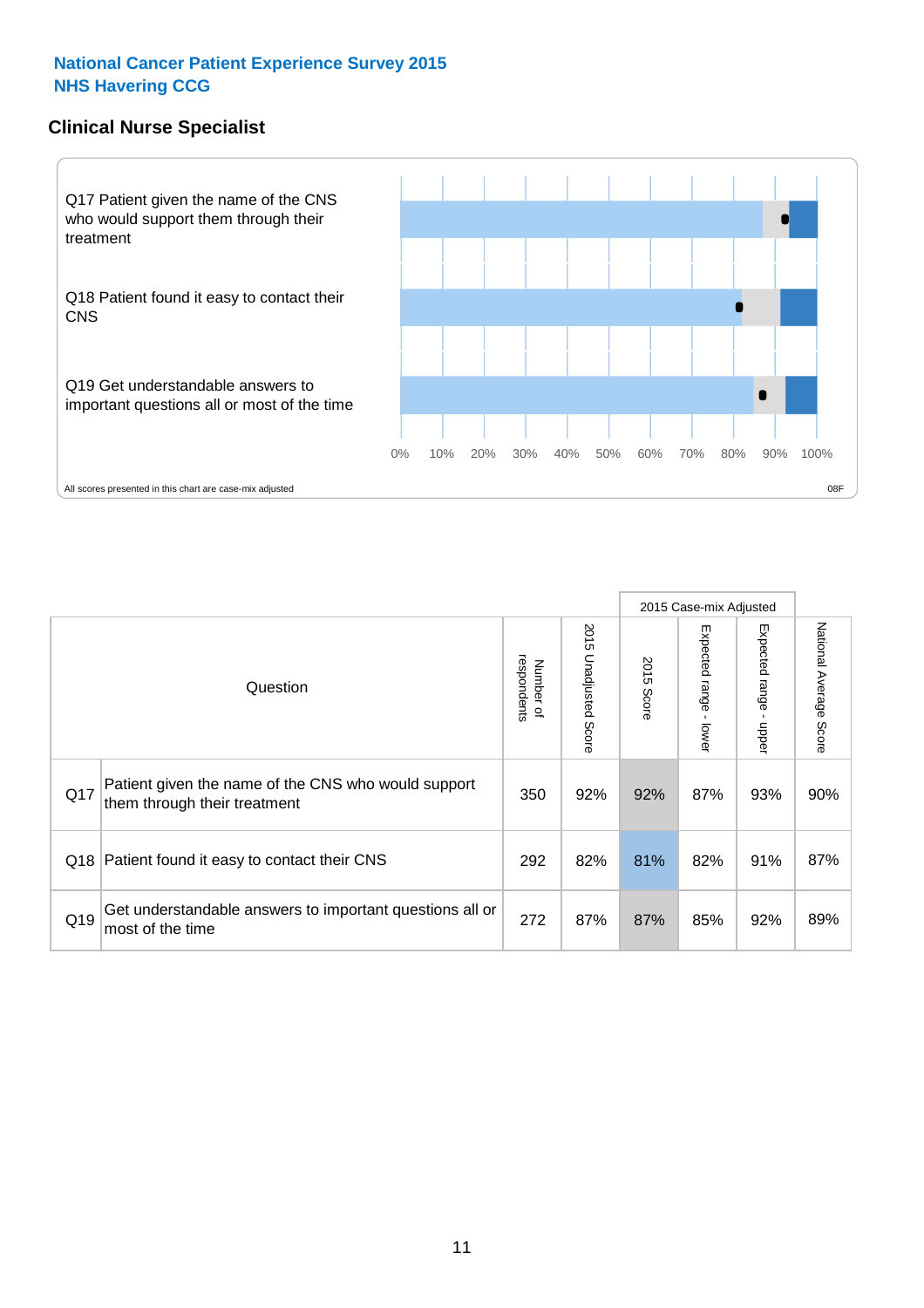### **Clinical Nurse Specialist**



|     |                                                                                     |                          |                       |               | 2015 Case-mix Adjusted  |                         |                        |
|-----|-------------------------------------------------------------------------------------|--------------------------|-----------------------|---------------|-------------------------|-------------------------|------------------------|
|     | Question                                                                            | respondents<br>Number of | 2015 Unadjusted Score | 2015<br>Score | Expected range<br>lower | Expected range<br>nbber | National Average Score |
| Q17 | Patient given the name of the CNS who would support<br>them through their treatment | 350                      | 92%                   | 92%           | 87%                     | 93%                     | 90%                    |
|     | Q18 Patient found it easy to contact their CNS                                      | 292                      | 82%                   | 81%           | 82%                     | 91%                     | 87%                    |
| Q19 | Get understandable answers to important questions all or<br>most of the time        | 272                      | 87%                   | 87%           | 85%                     | 92%                     | 89%                    |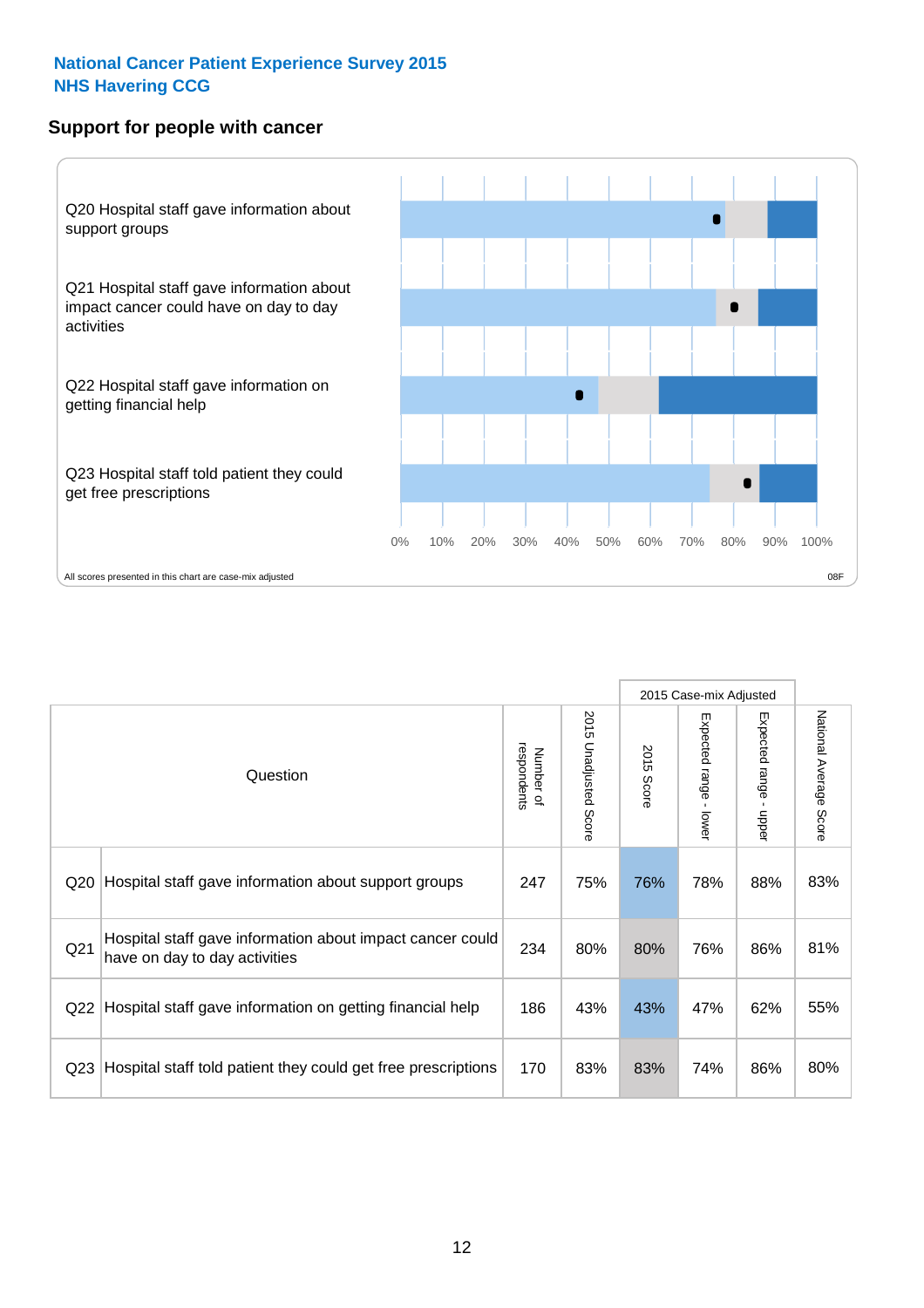#### **Support for people with cancer**



|                 |                                                                                            |                          |                                 |               | 2015 Case-mix Adjusted  |                           |                        |
|-----------------|--------------------------------------------------------------------------------------------|--------------------------|---------------------------------|---------------|-------------------------|---------------------------|------------------------|
|                 | Question                                                                                   | respondents<br>Number of | 2015<br><b>Unadjusted Score</b> | 2015<br>Score | Expected range<br>lower | Expected range<br>- nbber | National Average Score |
| Q <sub>20</sub> | Hospital staff gave information about support groups                                       | 247                      | 75%                             | 76%           | 78%                     | 88%                       | 83%                    |
| Q <sub>21</sub> | Hospital staff gave information about impact cancer could<br>have on day to day activities | 234                      | 80%                             | 80%           | 76%                     | 86%                       | 81%                    |
| Q <sub>22</sub> | Hospital staff gave information on getting financial help                                  | 186                      | 43%                             | 43%           | 47%                     | 62%                       | 55%                    |
| Q <sub>23</sub> | Hospital staff told patient they could get free prescriptions                              | 170                      | 83%                             | 83%           | 74%                     | 86%                       | 80%                    |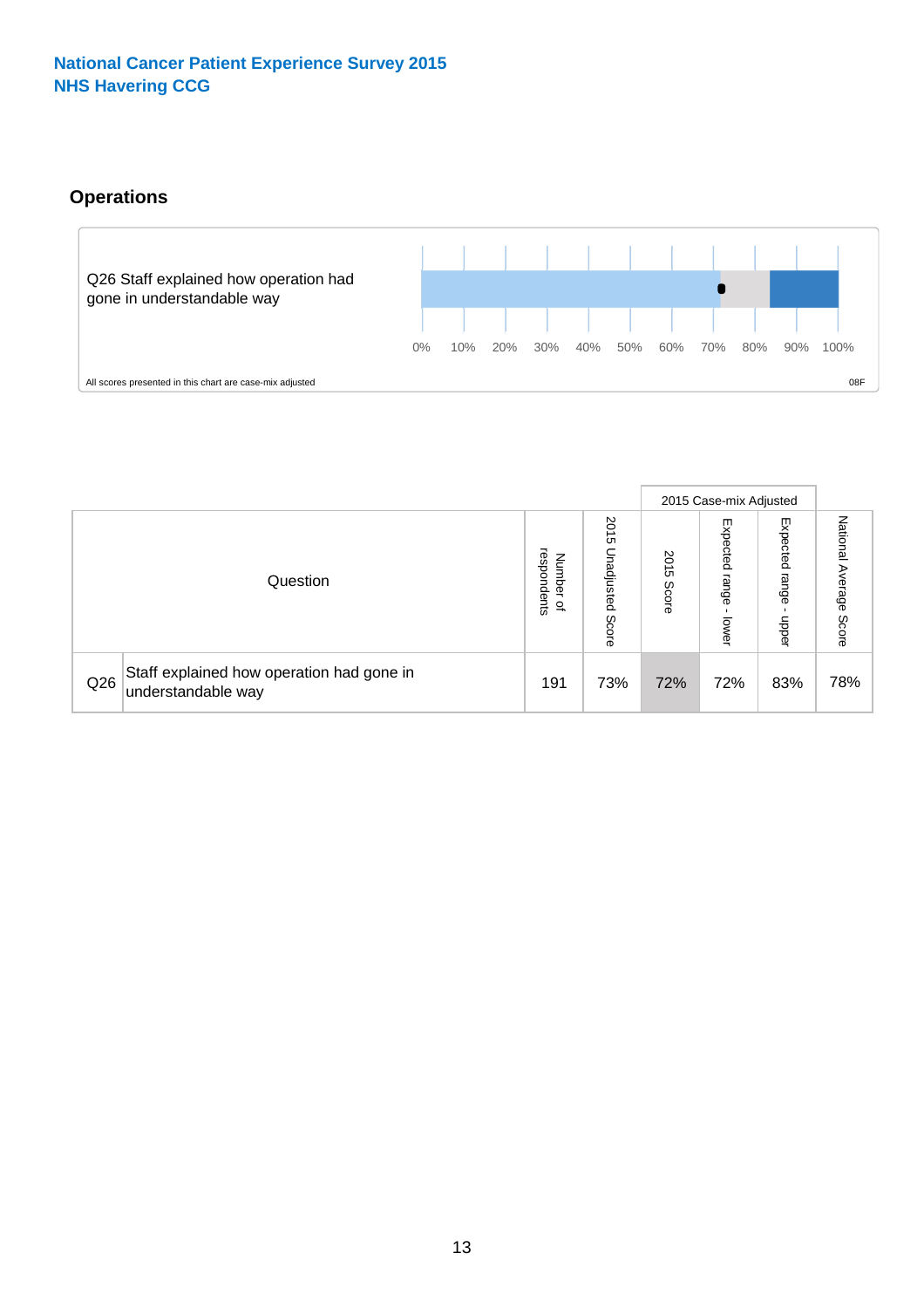# **Operations**



|     |                                                                 |                                         |                             |               | 2015 Case-mix Adjusted     |                           |                              |
|-----|-----------------------------------------------------------------|-----------------------------------------|-----------------------------|---------------|----------------------------|---------------------------|------------------------------|
|     | Question                                                        | respondents<br>Number<br>$\overline{a}$ | 2015<br>Unadjusted<br>Score | 2015<br>Score | Expected<br>range<br>lower | Expected<br>range<br>ddoe | National<br>Average<br>Score |
| Q26 | Staff explained how operation had gone in<br>understandable way | 191                                     | 73%                         | 72%           | 72%                        | 83%                       | 78%                          |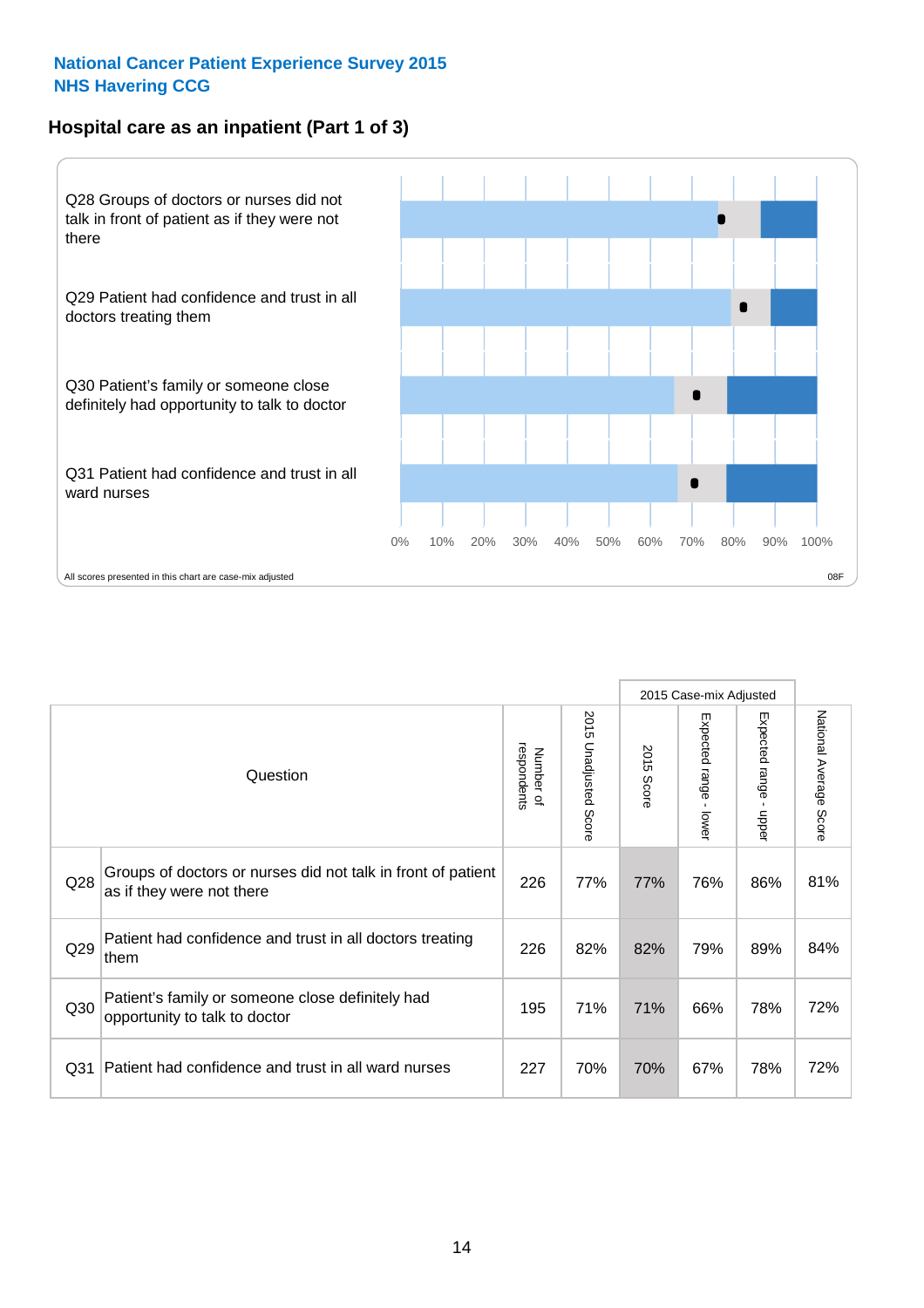# **Hospital care as an inpatient (Part 1 of 3)**



All scores presented in this chart are case-mix adjusted  $08F$ 

|                 |                                                                                           |                          |                                 |                      | 2015 Case-mix Adjusted                  |                                           |                        |
|-----------------|-------------------------------------------------------------------------------------------|--------------------------|---------------------------------|----------------------|-----------------------------------------|-------------------------------------------|------------------------|
|                 | Question                                                                                  | respondents<br>Number of | 2015<br><b>Unadjusted Score</b> | 2015<br><b>Score</b> | Expected range<br>$\mathbf{r}$<br>lower | Expected range<br>$\blacksquare$<br>nbber | National Average Score |
| Q28             | Groups of doctors or nurses did not talk in front of patient<br>as if they were not there | 226                      | 77%                             | 77%                  | 76%                                     | 86%                                       | 81%                    |
| Q29             | Patient had confidence and trust in all doctors treating<br>them                          | 226                      | 82%                             | 82%                  | 79%                                     | 89%                                       | 84%                    |
| Q30             | Patient's family or someone close definitely had<br>opportunity to talk to doctor         | 195                      | 71%                             | 71%                  | 66%                                     | 78%                                       | 72%                    |
| Q <sub>31</sub> | Patient had confidence and trust in all ward nurses                                       | 227                      | 70%                             | 70%                  | 67%                                     | 78%                                       | 72%                    |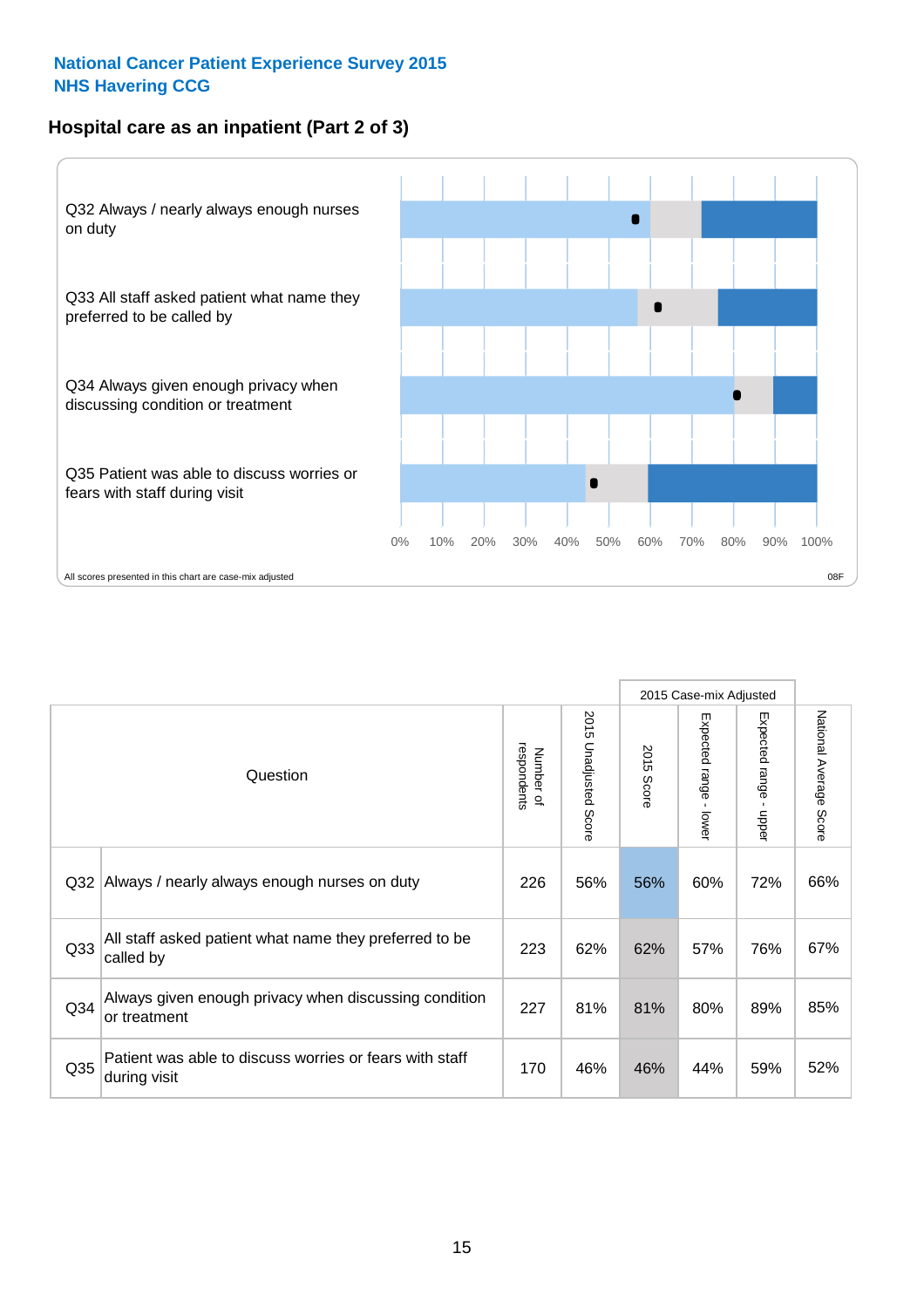## **Hospital care as an inpatient (Part 2 of 3)**



|                 |                                                                         |                          |                                 |               | 2015 Case-mix Adjusted                  |                                           |                        |
|-----------------|-------------------------------------------------------------------------|--------------------------|---------------------------------|---------------|-----------------------------------------|-------------------------------------------|------------------------|
|                 | Question                                                                | respondents<br>Number of | 2015<br><b>Unadjusted Score</b> | 2015<br>Score | Expected range<br>$\mathbf{r}$<br>lower | Expected range<br>$\blacksquare$<br>nbber | National Average Score |
| Q <sub>32</sub> | Always / nearly always enough nurses on duty                            | 226                      | 56%                             | 56%           | 60%                                     | 72%                                       | 66%                    |
| Q <sub>33</sub> | All staff asked patient what name they preferred to be<br>called by     | 223                      | 62%                             | 62%           | 57%                                     | 76%                                       | 67%                    |
| Q34             | Always given enough privacy when discussing condition<br>or treatment   | 227                      | 81%                             | 81%           | 80%                                     | 89%                                       | 85%                    |
| Q35             | Patient was able to discuss worries or fears with staff<br>during visit | 170                      | 46%                             | 46%           | 44%                                     | 59%                                       | 52%                    |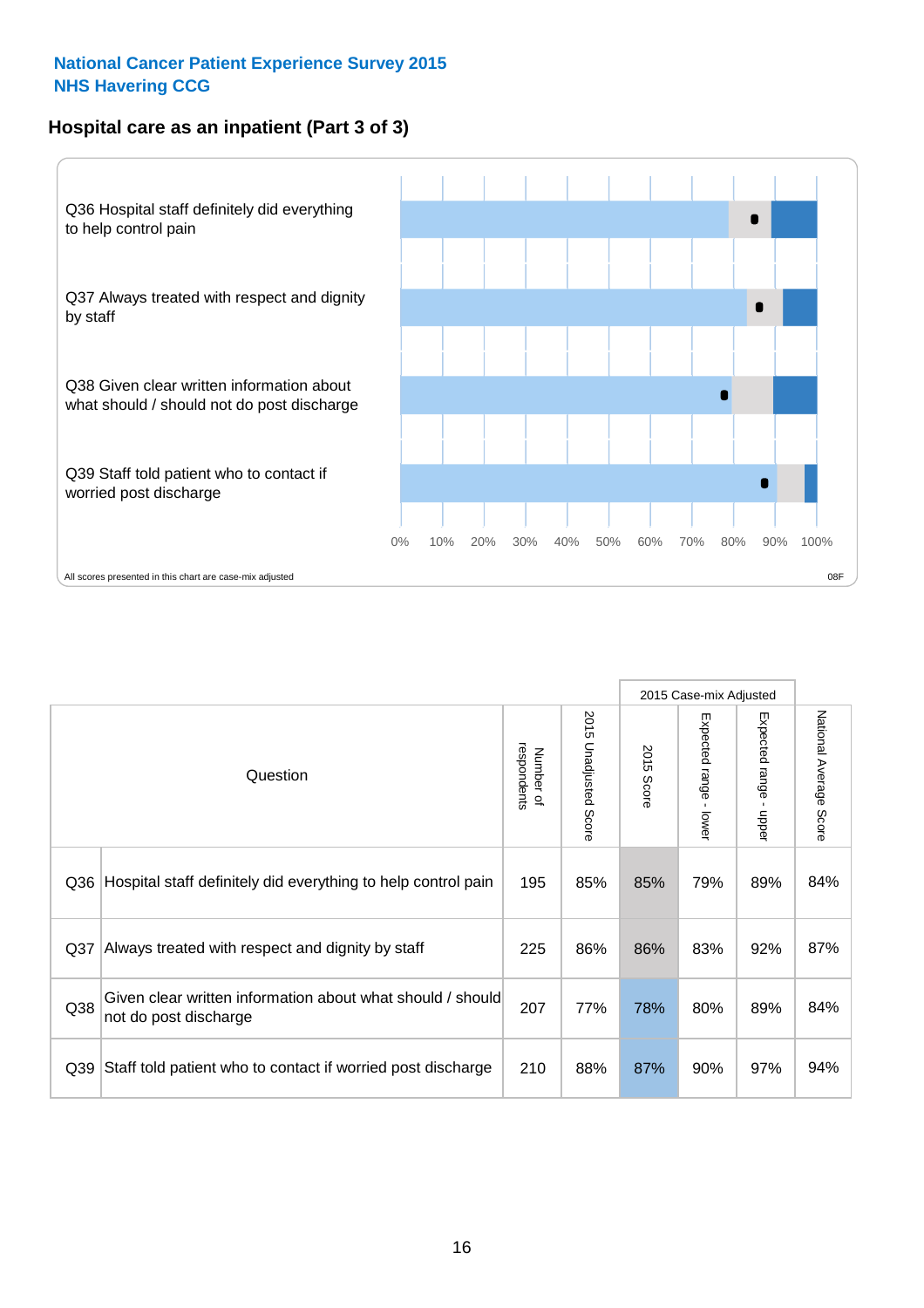## **Hospital care as an inpatient (Part 3 of 3)**



|                 |                                                                                     |                          |                             |               | 2015 Case-mix Adjusted  |                           |                        |
|-----------------|-------------------------------------------------------------------------------------|--------------------------|-----------------------------|---------------|-------------------------|---------------------------|------------------------|
|                 | Question                                                                            | respondents<br>Number of | 2015<br>Unadjusted<br>Score | 2015<br>Score | Expected range<br>lower | Expected range<br>- nbbeu | National Average Score |
| Q36             | Hospital staff definitely did everything to help control pain                       | 195                      | 85%                         | 85%           | 79%                     | 89%                       | 84%                    |
| Q <sub>37</sub> | Always treated with respect and dignity by staff                                    | 225                      | 86%                         | 86%           | 83%                     | 92%                       | 87%                    |
| Q38             | Given clear written information about what should / should<br>not do post discharge | 207                      | 77%                         | 78%           | 80%                     | 89%                       | 84%                    |
| Q39             | Staff told patient who to contact if worried post discharge                         | 210                      | 88%                         | 87%           | 90%                     | 97%                       | 94%                    |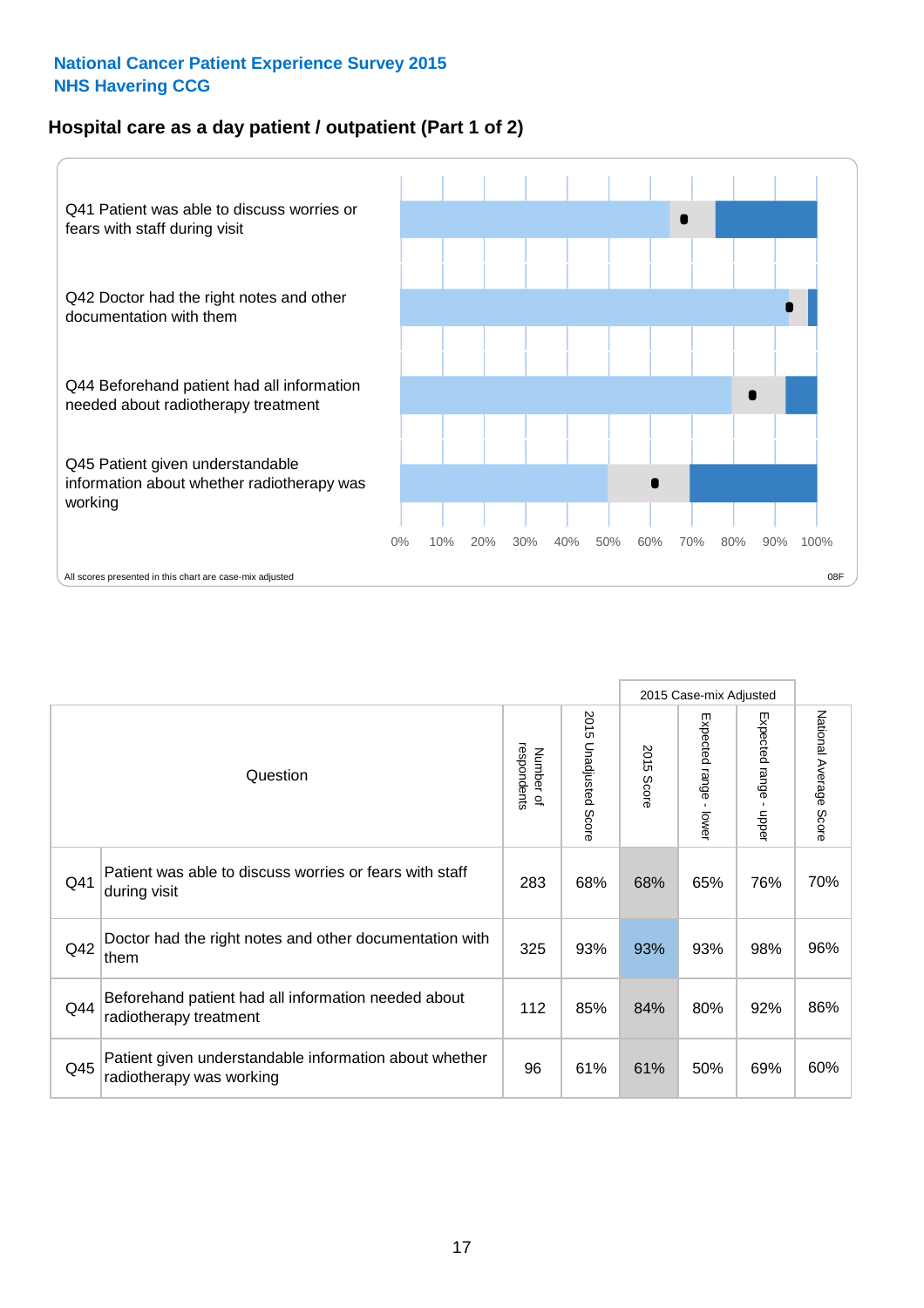## **Hospital care as a day patient / outpatient (Part 1 of 2)**



|     |                                                                                    |                          |                                 |                      | 2015 Case-mix Adjusted                    |                                           |                        |
|-----|------------------------------------------------------------------------------------|--------------------------|---------------------------------|----------------------|-------------------------------------------|-------------------------------------------|------------------------|
|     | Question                                                                           | respondents<br>Number of | 2015<br><b>Unadjusted Score</b> | 2015<br><b>Score</b> | Expected range<br>$\blacksquare$<br>lower | Expected range<br>$\blacksquare$<br>nbber | National Average Score |
| Q41 | Patient was able to discuss worries or fears with staff<br>during visit            | 283                      | 68%                             | 68%                  | 65%                                       | 76%                                       | 70%                    |
| Q42 | Doctor had the right notes and other documentation with<br>them                    | 325                      | 93%                             | 93%                  | 93%                                       | 98%                                       | 96%                    |
| Q44 | Beforehand patient had all information needed about<br>radiotherapy treatment      | 112                      | 85%                             | 84%                  | 80%                                       | 92%                                       | 86%                    |
| Q45 | Patient given understandable information about whether<br>radiotherapy was working | 96                       | 61%                             | 61%                  | 50%                                       | 69%                                       | 60%                    |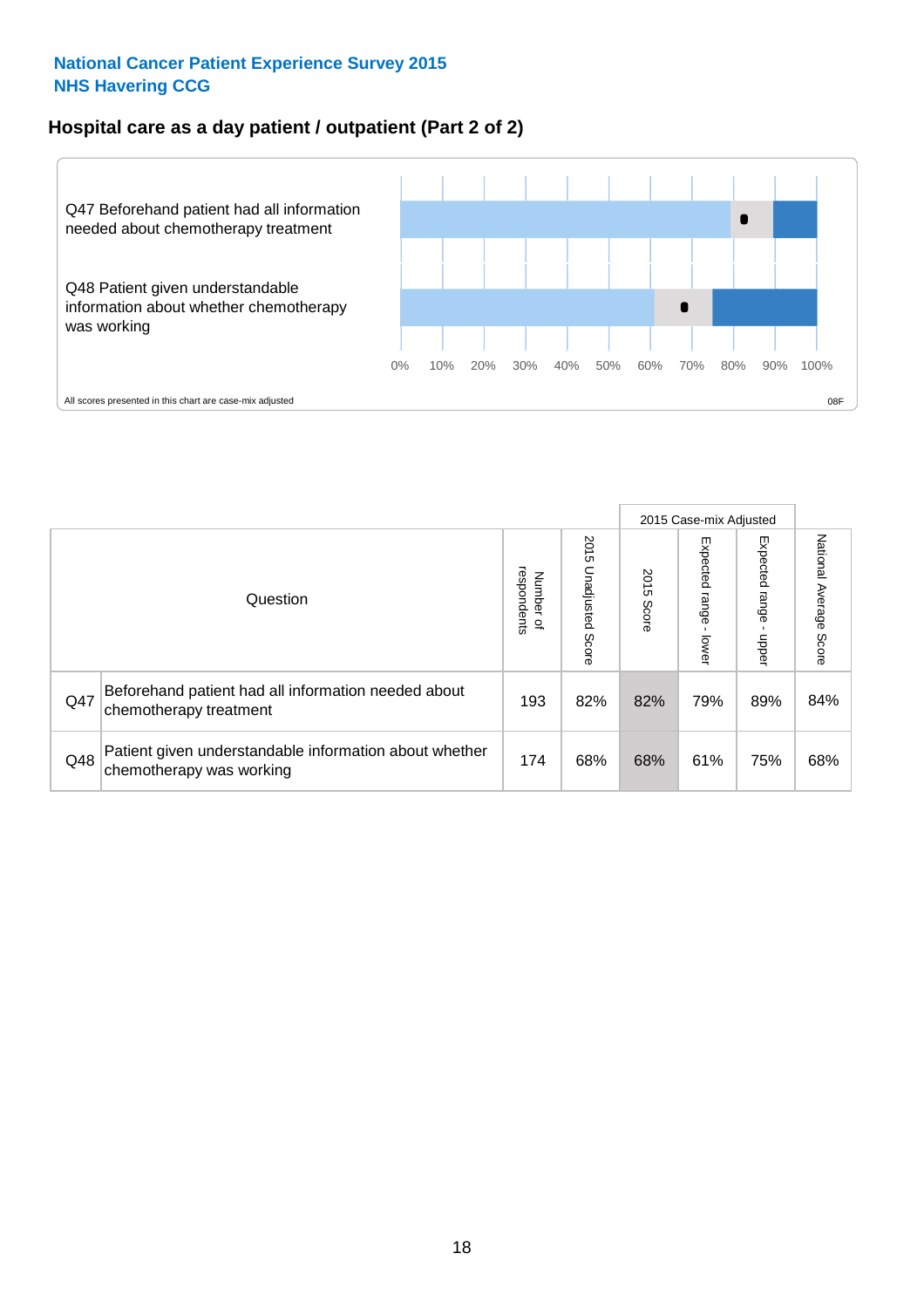### **Hospital care as a day patient / outpatient (Part 2 of 2)**



|     |                                                                                    |                                       |                             |               |                              | 2015 Case-mix Adjusted  |                           |
|-----|------------------------------------------------------------------------------------|---------------------------------------|-----------------------------|---------------|------------------------------|-------------------------|---------------------------|
|     | Question                                                                           | respondents<br>Number<br>$\mathbf{Q}$ | 2015<br>Unadjusted<br>Score | 2015<br>Score | Expected<br>I range<br>lower | Expected range<br>nbber | National Average<br>Score |
| Q47 | Beforehand patient had all information needed about<br>chemotherapy treatment      | 193                                   | 82%                         | 82%           | 79%                          | 89%                     | 84%                       |
| Q48 | Patient given understandable information about whether<br>chemotherapy was working | 174                                   | 68%                         | 68%           | 61%                          | 75%                     | 68%                       |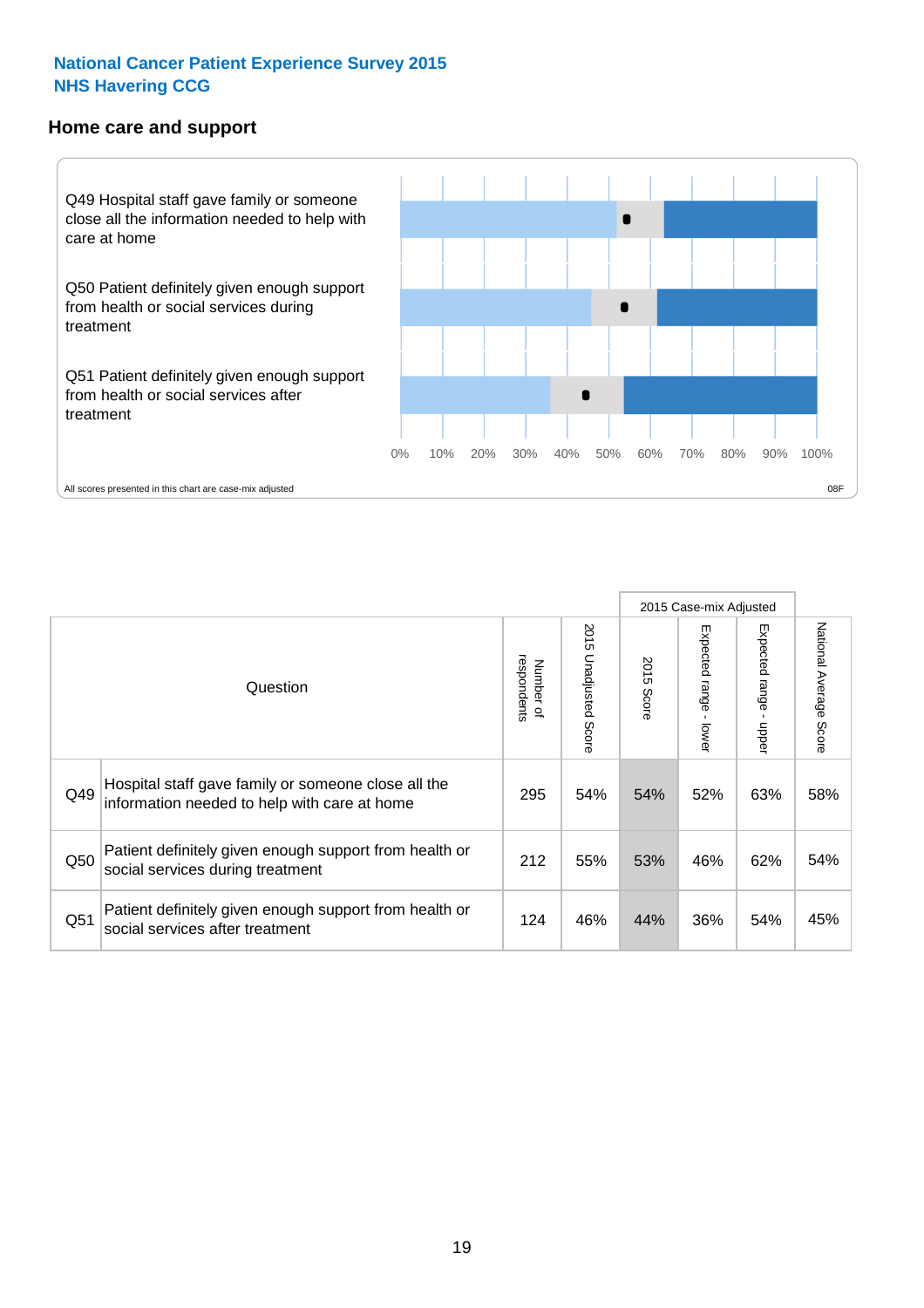#### **Home care and support**



2015 Case-mix Adjusted 2015 Unadjusted Score Expected range - upper National Average Score 2015 Unadjusted Score Expected range - lower National Average Score Expected range - lower Expected range - upper Number of<br>respondents 2015 Score respondents 2015 Score Number of Question Hospital staff gave family or someone close all the  $Q49$  information needed to help with care at home  $295 \begin{array}{|l} \end{array}$  54% 54% 52% 63% 58% Patient definitely given enough support from health or  $\frac{1}{250}$  social services during treatment  $\frac{1}{212}$  55% 53% 46% 62% 54% Patient definitely given enough support from health or Q51 social services after treatment 124 | 46% 44% 36% 54% 45%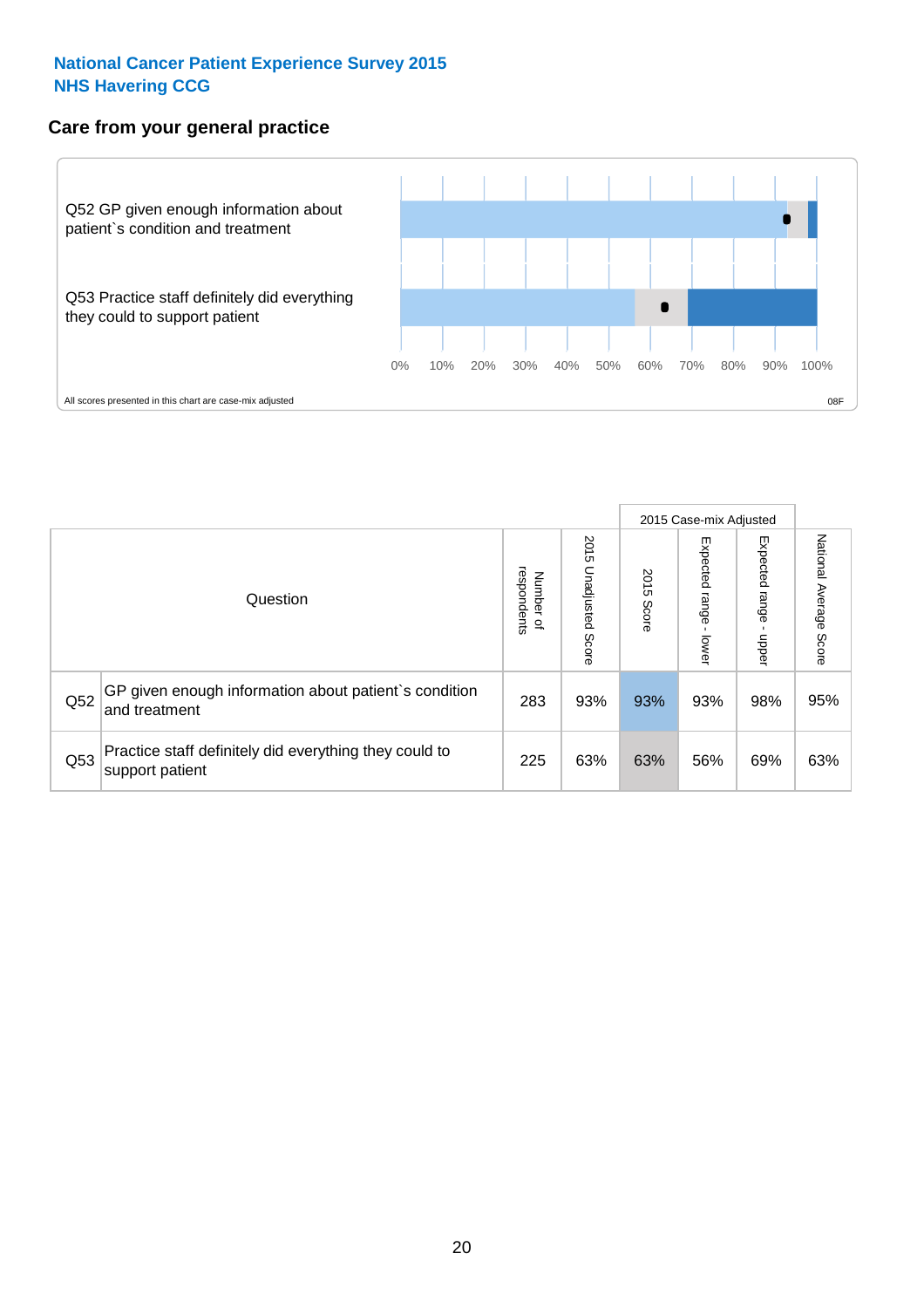# **Care from your general practice**



|     |                                                                           |                                   |                             |               |                                   | 2015 Case-mix Adjusted     |                           |
|-----|---------------------------------------------------------------------------|-----------------------------------|-----------------------------|---------------|-----------------------------------|----------------------------|---------------------------|
|     | Question                                                                  | respondents<br>Number<br>$\Omega$ | 2015<br>Unadjusted<br>Score | 2015<br>Score | Expected<br><b>Lange</b><br>lower | Expected<br>range<br>doper | National Average<br>Score |
| Q52 | GP given enough information about patient's condition<br>and treatment    | 283                               | 93%                         | 93%           | 93%                               | 98%                        | 95%                       |
| Q53 | Practice staff definitely did everything they could to<br>support patient | 225                               | 63%                         | 63%           | 56%                               | 69%                        | 63%                       |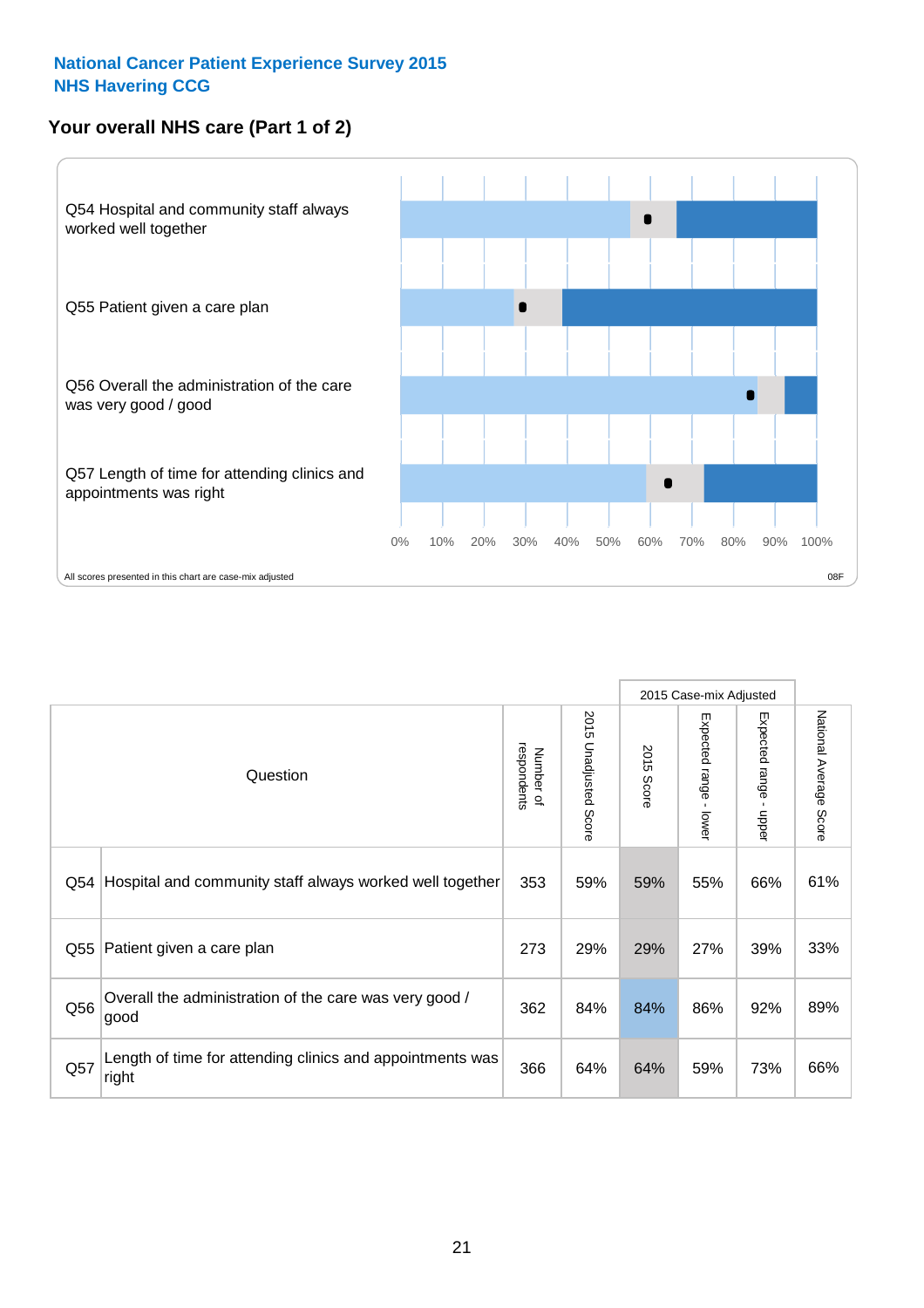# **Your overall NHS care (Part 1 of 2)**



|     |                                                                    |                          | 2015 Case-mix Adjusted          |               |                         |                                         |                        |
|-----|--------------------------------------------------------------------|--------------------------|---------------------------------|---------------|-------------------------|-----------------------------------------|------------------------|
|     | Question                                                           | respondents<br>Number of | 2015<br><b>Unadjusted Score</b> | 2015<br>Score | Expected range<br>lower | Expected range<br>$\mathbf{r}$<br>nbber | National Average Score |
| Q54 | Hospital and community staff always worked well together           | 353                      | 59%                             | 59%           | 55%                     | 66%                                     | 61%                    |
| Q55 | Patient given a care plan                                          | 273                      | 29%                             | 29%           | 27%                     | 39%                                     | 33%                    |
| Q56 | Overall the administration of the care was very good /<br>good     | 362                      | 84%                             | 84%           | 86%                     | 92%                                     | 89%                    |
| Q57 | Length of time for attending clinics and appointments was<br>right | 366                      | 64%                             | 64%           | 59%                     | 73%                                     | 66%                    |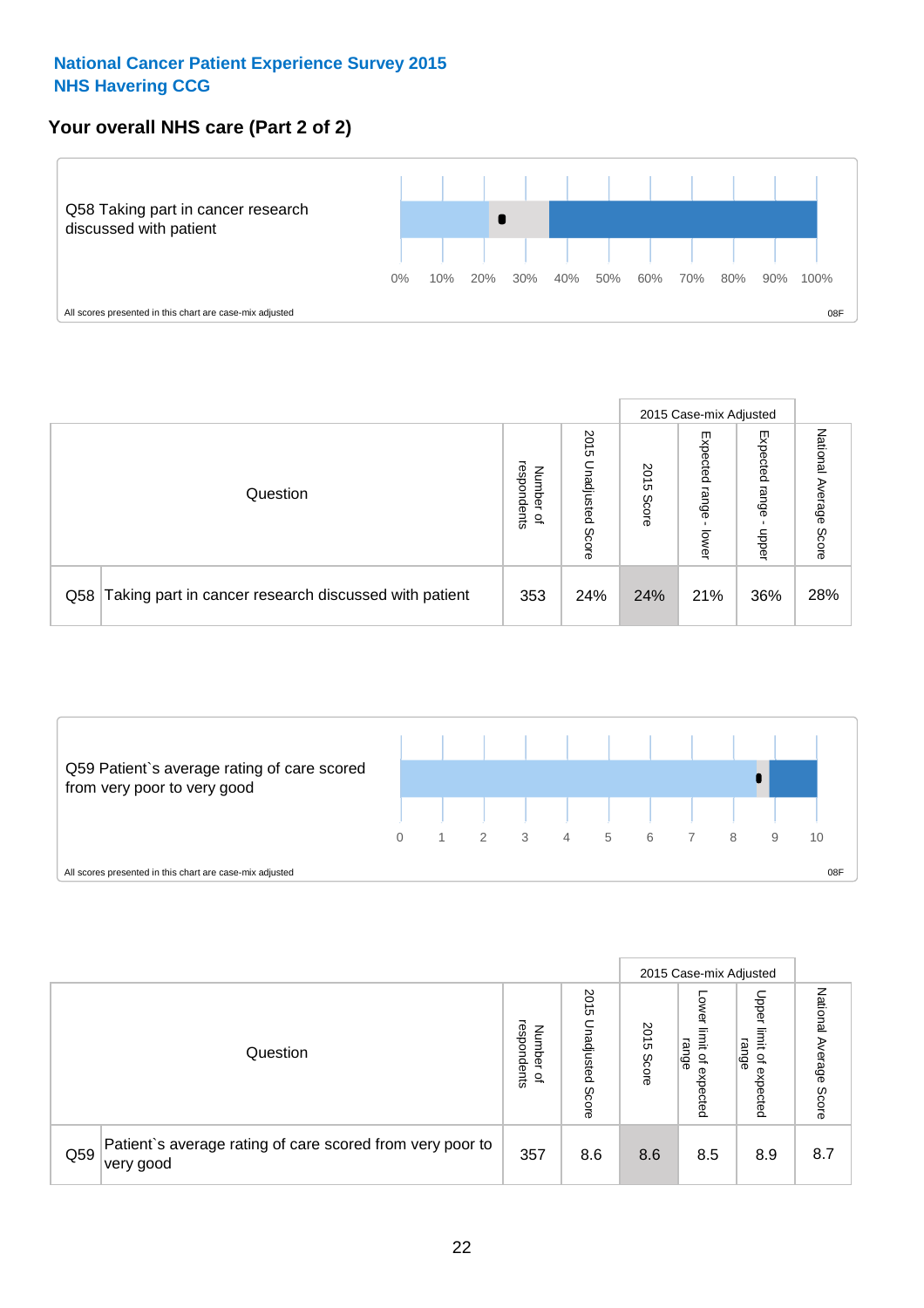# **Your overall NHS care (Part 2 of 2)**



|     |                                                       |                                              |                             |               |                            | 2015 Case-mix Adjusted     |                        |
|-----|-------------------------------------------------------|----------------------------------------------|-----------------------------|---------------|----------------------------|----------------------------|------------------------|
|     | Question                                              | respondents<br>Number<br>$\overline{\sigma}$ | 2015<br>Unadjusted<br>Score | 2015<br>Score | Expected<br>range<br>lower | Expected<br>range<br>doper | National Average Score |
| Q58 | Taking part in cancer research discussed with patient | 353                                          | 24%                         | 24%           | 21%                        | 36%                        | 28%                    |



|     |                                                                        |                                              |                             |               |                                         | 2015 Case-mix Adjusted                          |                        |
|-----|------------------------------------------------------------------------|----------------------------------------------|-----------------------------|---------------|-----------------------------------------|-------------------------------------------------|------------------------|
|     | Question                                                               | respondents<br>Number<br>$\overline{\sigma}$ | 2015<br>Unadjusted<br>Score | 2015<br>Score | OWer<br>limit<br>range<br>٩<br>expected | Upper<br>jimit<br>range<br>$\Omega$<br>expected | National Average Score |
| Q59 | Patient's average rating of care scored from very poor to<br>very good | 357                                          | 8.6                         | 8.6           | 8.5                                     | 8.9                                             | 8.7                    |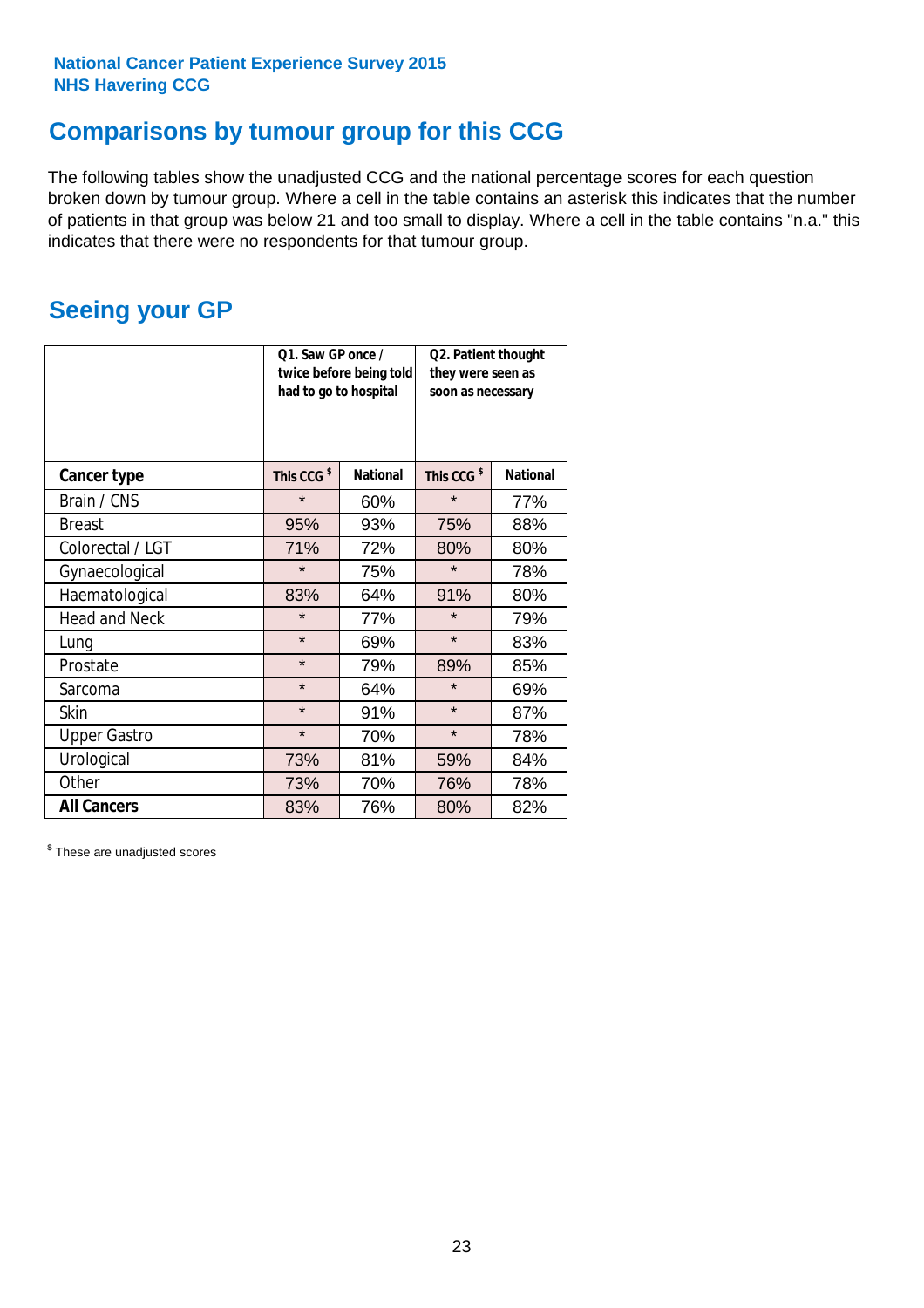# **Comparisons by tumour group for this CCG**

The following tables show the unadjusted CCG and the national percentage scores for each question broken down by tumour group. Where a cell in the table contains an asterisk this indicates that the number of patients in that group was below 21 and too small to display. Where a cell in the table contains "n.a." this indicates that there were no respondents for that tumour group.

# **Seeing your GP**

|                      | Q1. Saw GP once /<br>had to go to hospital | twice before being told | Q2. Patient thought<br>they were seen as<br>soon as necessary |                 |  |
|----------------------|--------------------------------------------|-------------------------|---------------------------------------------------------------|-----------------|--|
| <b>Cancer type</b>   | This CCG <sup>\$</sup>                     | <b>National</b>         | This CCG <sup>\$</sup>                                        | <b>National</b> |  |
| Brain / CNS          | $\star$                                    | 60%                     | $\star$                                                       | 77%             |  |
| <b>Breast</b>        | 95%                                        | 93%                     | 75%                                                           | 88%             |  |
| Colorectal / LGT     | 71%                                        | 72%                     | 80%                                                           | 80%             |  |
| Gynaecological       | $\star$                                    | 75%                     | $\star$                                                       | 78%             |  |
| Haematological       | 83%                                        | 64%                     | 91%                                                           | 80%             |  |
| <b>Head and Neck</b> | $\star$                                    | 77%                     | $\star$                                                       | 79%             |  |
| Lung                 | $\star$                                    | 69%                     | $\star$                                                       | 83%             |  |
| Prostate             | $\star$                                    | 79%                     | 89%                                                           | 85%             |  |
| Sarcoma              | $\star$                                    | 64%                     | $\star$                                                       | 69%             |  |
| <b>Skin</b>          | $\star$                                    | 91%                     | $\star$                                                       | 87%             |  |
| <b>Upper Gastro</b>  | $\star$                                    | 70%                     | $\star$                                                       | 78%             |  |
| Urological           | 73%                                        | 81%                     | 59%                                                           | 84%             |  |
| Other                | 73%                                        | 70%                     | 76%                                                           | 78%             |  |
| <b>All Cancers</b>   | 83%                                        | 76%                     | 80%                                                           | 82%             |  |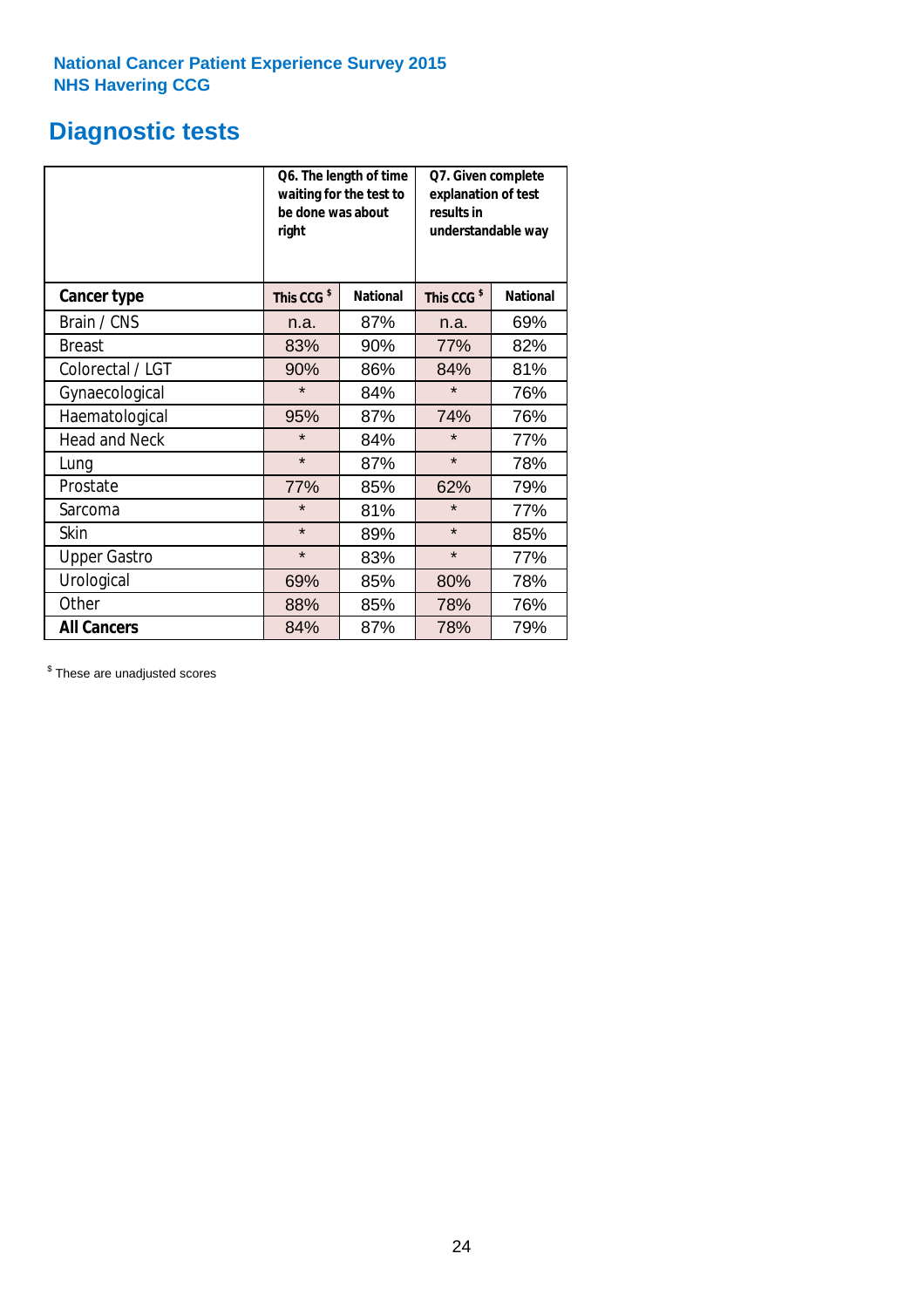# **Diagnostic tests**

|                      | be done was about<br>right | Q6. The length of time<br>waiting for the test to | results in             | Q7. Given complete<br>explanation of test<br>understandable way |  |  |
|----------------------|----------------------------|---------------------------------------------------|------------------------|-----------------------------------------------------------------|--|--|
| <b>Cancer type</b>   | This CCG <sup>\$</sup>     | <b>National</b>                                   | This CCG <sup>\$</sup> | <b>National</b>                                                 |  |  |
| Brain / CNS          | n.a.                       | 87%                                               | n.a.                   | 69%                                                             |  |  |
| Breast               | 83%                        | 90%                                               | 77%                    | 82%                                                             |  |  |
| Colorectal / LGT     | 90%                        | 86%                                               | 84%                    | 81%                                                             |  |  |
| Gynaecological       | $\star$                    | 84%                                               | $\star$                | 76%                                                             |  |  |
| Haematological       | 95%                        | 87%                                               | 74%                    | 76%                                                             |  |  |
| <b>Head and Neck</b> | $\star$                    | 84%                                               | $\star$                | 77%                                                             |  |  |
| Lung                 | $\star$                    | 87%                                               | $\star$                | 78%                                                             |  |  |
| Prostate             | 77%                        | 85%                                               | 62%                    | 79%                                                             |  |  |
| Sarcoma              | $\star$                    | 81%                                               | $\star$                | 77%                                                             |  |  |
| Skin                 | $\star$                    | 89%                                               | $\star$                | 85%                                                             |  |  |
| <b>Upper Gastro</b>  | $\star$                    | 83%                                               | $\star$                | 77%                                                             |  |  |
| Urological           | 69%                        | 85%                                               | 80%                    | 78%                                                             |  |  |
| Other                | 88%                        | 85%                                               | 78%                    | 76%                                                             |  |  |
| <b>All Cancers</b>   | 84%                        | 87%                                               | 78%                    | 79%                                                             |  |  |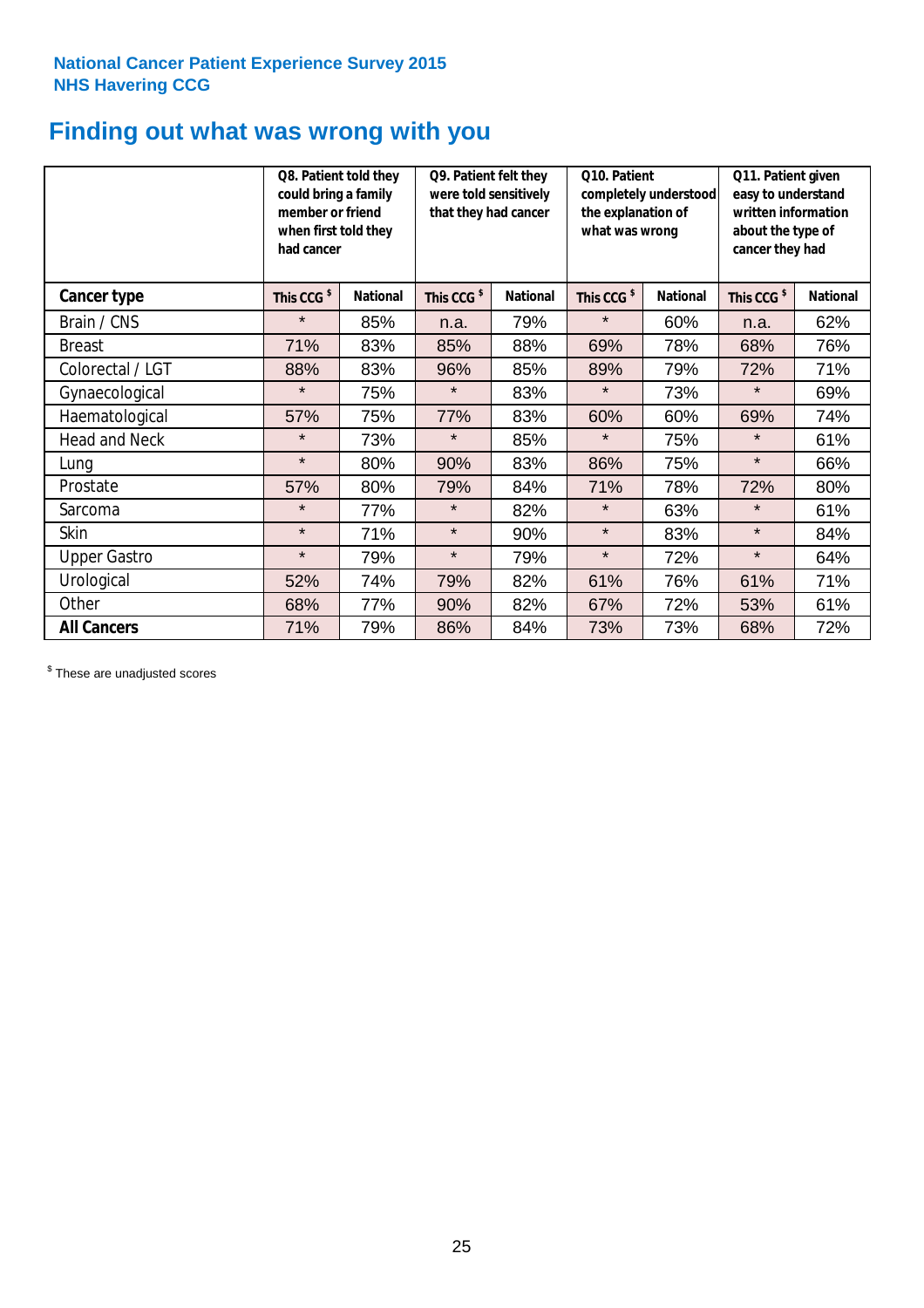# **Finding out what was wrong with you**

|                      | Q8. Patient told they<br>could bring a family<br>member or friend<br>when first told they<br>had cancer |                 | Q9. Patient felt they<br>were told sensitively<br>that they had cancer |                 | Q10. Patient<br>completely understood<br>the explanation of<br>what was wrong |                 | Q11. Patient given<br>easy to understand<br>written information<br>about the type of<br>cancer they had |                 |
|----------------------|---------------------------------------------------------------------------------------------------------|-----------------|------------------------------------------------------------------------|-----------------|-------------------------------------------------------------------------------|-----------------|---------------------------------------------------------------------------------------------------------|-----------------|
| Cancer type          | This CCG <sup>\$</sup>                                                                                  | <b>National</b> | This CCG <sup>\$</sup>                                                 | <b>National</b> | This CCG <sup>\$</sup>                                                        | <b>National</b> | This CCG <sup>\$</sup>                                                                                  | <b>National</b> |
| Brain / CNS          | $\star$                                                                                                 | 85%             | n.a.                                                                   | 79%             | $\star$                                                                       | 60%             | n.a.                                                                                                    | 62%             |
| <b>Breast</b>        | 71%                                                                                                     | 83%             | 85%                                                                    | 88%             | 69%                                                                           | 78%             | 68%                                                                                                     | 76%             |
| Colorectal / LGT     | 88%                                                                                                     | 83%             | 96%                                                                    | 85%             | 89%                                                                           | 79%             | 72%                                                                                                     | 71%             |
| Gynaecological       | $\star$                                                                                                 | 75%             | $\star$                                                                | 83%             | $\star$                                                                       | 73%             | $\star$                                                                                                 | 69%             |
| Haematological       | 57%                                                                                                     | 75%             | 77%                                                                    | 83%             | 60%                                                                           | 60%             | 69%                                                                                                     | 74%             |
| <b>Head and Neck</b> | $\star$                                                                                                 | 73%             | $\star$                                                                | 85%             | $\star$                                                                       | 75%             | $\star$                                                                                                 | 61%             |
| Lung                 | $\star$                                                                                                 | 80%             | 90%                                                                    | 83%             | 86%                                                                           | 75%             | $\star$                                                                                                 | 66%             |
| Prostate             | 57%                                                                                                     | 80%             | 79%                                                                    | 84%             | 71%                                                                           | 78%             | 72%                                                                                                     | 80%             |
| Sarcoma              | $\star$                                                                                                 | 77%             | $\star$                                                                | 82%             | $\star$                                                                       | 63%             | $\star$                                                                                                 | 61%             |
| Skin                 | $\star$                                                                                                 | 71%             | $\star$                                                                | 90%             | $\star$                                                                       | 83%             | $\star$                                                                                                 | 84%             |
| <b>Upper Gastro</b>  | $\star$                                                                                                 | 79%             | $\star$                                                                | 79%             | $\star$                                                                       | 72%             | $\star$                                                                                                 | 64%             |
| Urological           | 52%                                                                                                     | 74%             | 79%                                                                    | 82%             | 61%                                                                           | 76%             | 61%                                                                                                     | 71%             |
| Other                | 68%                                                                                                     | 77%             | 90%                                                                    | 82%             | 67%                                                                           | 72%             | 53%                                                                                                     | 61%             |
| <b>All Cancers</b>   | 71%                                                                                                     | 79%             | 86%                                                                    | 84%             | 73%                                                                           | 73%             | 68%                                                                                                     | 72%             |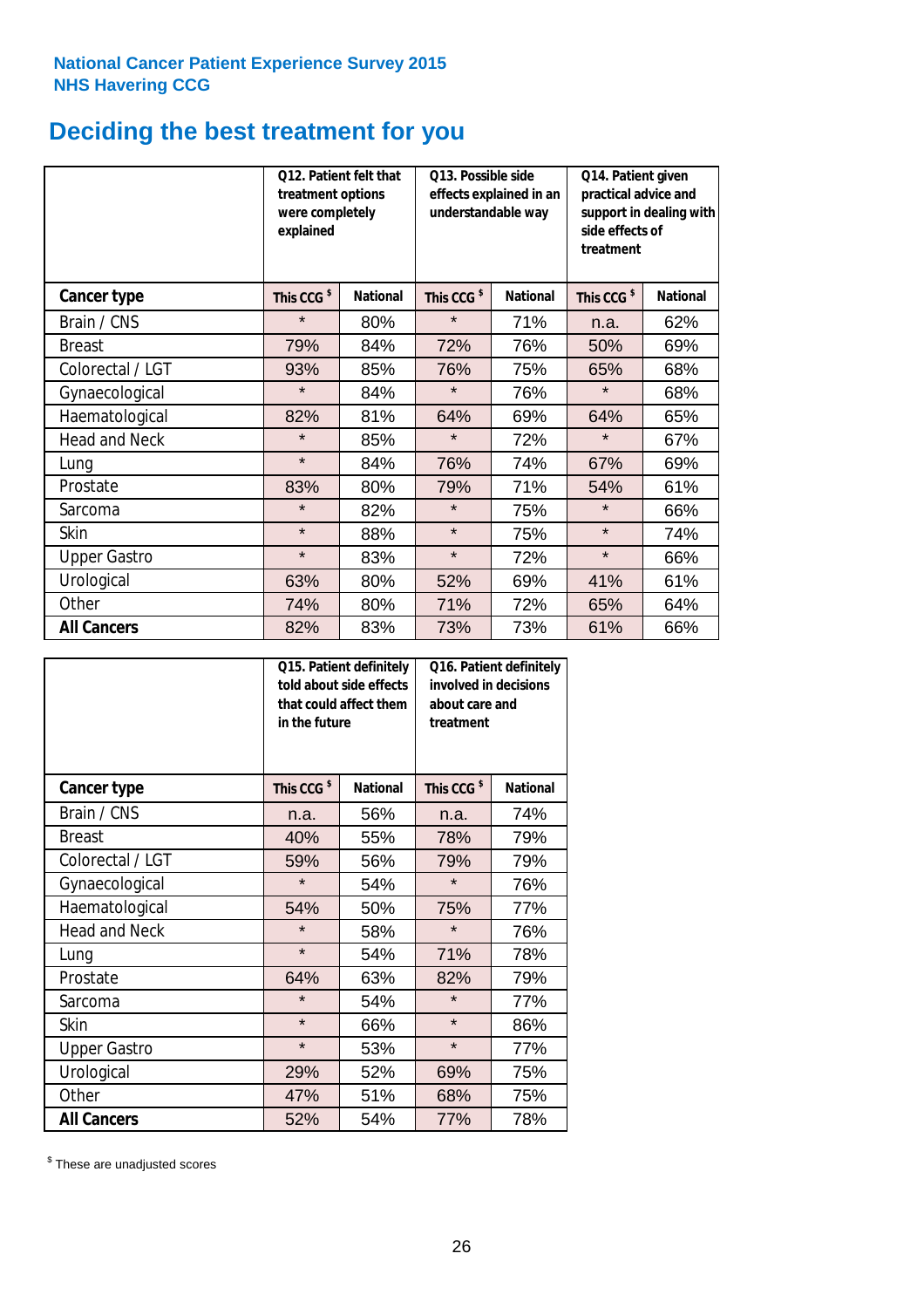# **Deciding the best treatment for you**

|                      | treatment options<br>were completely<br>explained | Q12. Patient felt that | Q13. Possible side<br>understandable way | effects explained in an | Q14. Patient given<br>practical advice and<br>support in dealing with<br>side effects of<br>treatment |                 |  |
|----------------------|---------------------------------------------------|------------------------|------------------------------------------|-------------------------|-------------------------------------------------------------------------------------------------------|-----------------|--|
| <b>Cancer type</b>   | This CCG <sup>\$</sup>                            | <b>National</b>        | This CCG <sup>\$</sup>                   | <b>National</b>         | This CCG <sup>\$</sup>                                                                                | <b>National</b> |  |
| Brain / CNS          | $\star$                                           | 80%                    | $\star$                                  | 71%                     | n.a.                                                                                                  | 62%             |  |
| <b>Breast</b>        | 79%                                               | 84%                    | 72%                                      | 76%                     | 50%                                                                                                   | 69%             |  |
| Colorectal / LGT     | 93%                                               | 85%                    | 76%                                      | 75%                     | 65%                                                                                                   | 68%             |  |
| Gynaecological       | $\star$                                           | 84%                    | $\star$                                  | 76%                     | $\star$                                                                                               | 68%             |  |
| Haematological       | 82%                                               | 81%                    | 64%                                      | 69%                     | 64%                                                                                                   | 65%             |  |
| <b>Head and Neck</b> | $\star$                                           | 85%                    | $\star$                                  | 72%                     | $\star$                                                                                               | 67%             |  |
| Lung                 | $\star$                                           | 84%                    | 76%                                      | 74%                     | 67%                                                                                                   | 69%             |  |
| Prostate             | 83%                                               | 80%                    | 79%                                      | 71%                     | 54%                                                                                                   | 61%             |  |
| Sarcoma              | $\star$                                           | 82%                    | $\star$                                  | 75%                     | $\star$                                                                                               | 66%             |  |
| Skin                 | $\star$                                           | 88%                    | $\star$                                  | 75%                     | $\star$                                                                                               | 74%             |  |
| <b>Upper Gastro</b>  | $\star$                                           | 83%                    | $\star$                                  | 72%                     | $\star$                                                                                               | 66%             |  |
| Urological           | 63%                                               | 80%                    | 52%                                      | 69%                     | 41%                                                                                                   | 61%             |  |
| Other                | 74%                                               | 80%                    | 71%                                      | 72%                     | 65%                                                                                                   | 64%             |  |
| <b>All Cancers</b>   | 82%                                               | 83%                    | 73%                                      | 73%                     | 61%                                                                                                   | 66%             |  |

|                      | in the future          | Q15. Patient definitely<br>told about side effects<br>that could affect them | Q16. Patient definitely<br>involved in decisions<br>about care and<br>treatment |                 |  |
|----------------------|------------------------|------------------------------------------------------------------------------|---------------------------------------------------------------------------------|-----------------|--|
| <b>Cancer type</b>   | This CCG <sup>\$</sup> | <b>National</b>                                                              | This CCG <sup>\$</sup>                                                          | <b>National</b> |  |
| Brain / CNS          | n.a.                   | 56%                                                                          | n.a.                                                                            | 74%             |  |
| <b>Breast</b>        | 40%                    | 55%                                                                          | 78%                                                                             | 79%             |  |
| Colorectal / LGT     | 59%                    | 56%                                                                          | 79%                                                                             | 79%             |  |
| Gynaecological       | $\star$                | 54%                                                                          | $\star$                                                                         | 76%             |  |
| Haematological       | 50%<br>54%             |                                                                              | 75%                                                                             | 77%             |  |
| <b>Head and Neck</b> | $\star$                | 58%                                                                          | $\star$                                                                         | 76%             |  |
| Lung                 | $\star$                | 54%                                                                          | 71%                                                                             | 78%             |  |
| Prostate             | 64%                    | 63%                                                                          | 82%                                                                             | 79%             |  |
| Sarcoma              | $\star$                | 54%                                                                          | $\star$                                                                         | 77%             |  |
| Skin                 | $\star$                | 66%                                                                          | $\star$                                                                         | 86%             |  |
| <b>Upper Gastro</b>  | $\star$                | 53%                                                                          | $\star$                                                                         | 77%             |  |
| Urological           | 29%                    | 52%                                                                          | 69%                                                                             | 75%             |  |
| Other                | 47%                    | 51%                                                                          | 68%                                                                             | 75%             |  |
| <b>All Cancers</b>   | 52%                    | 54%                                                                          | 77%                                                                             | 78%             |  |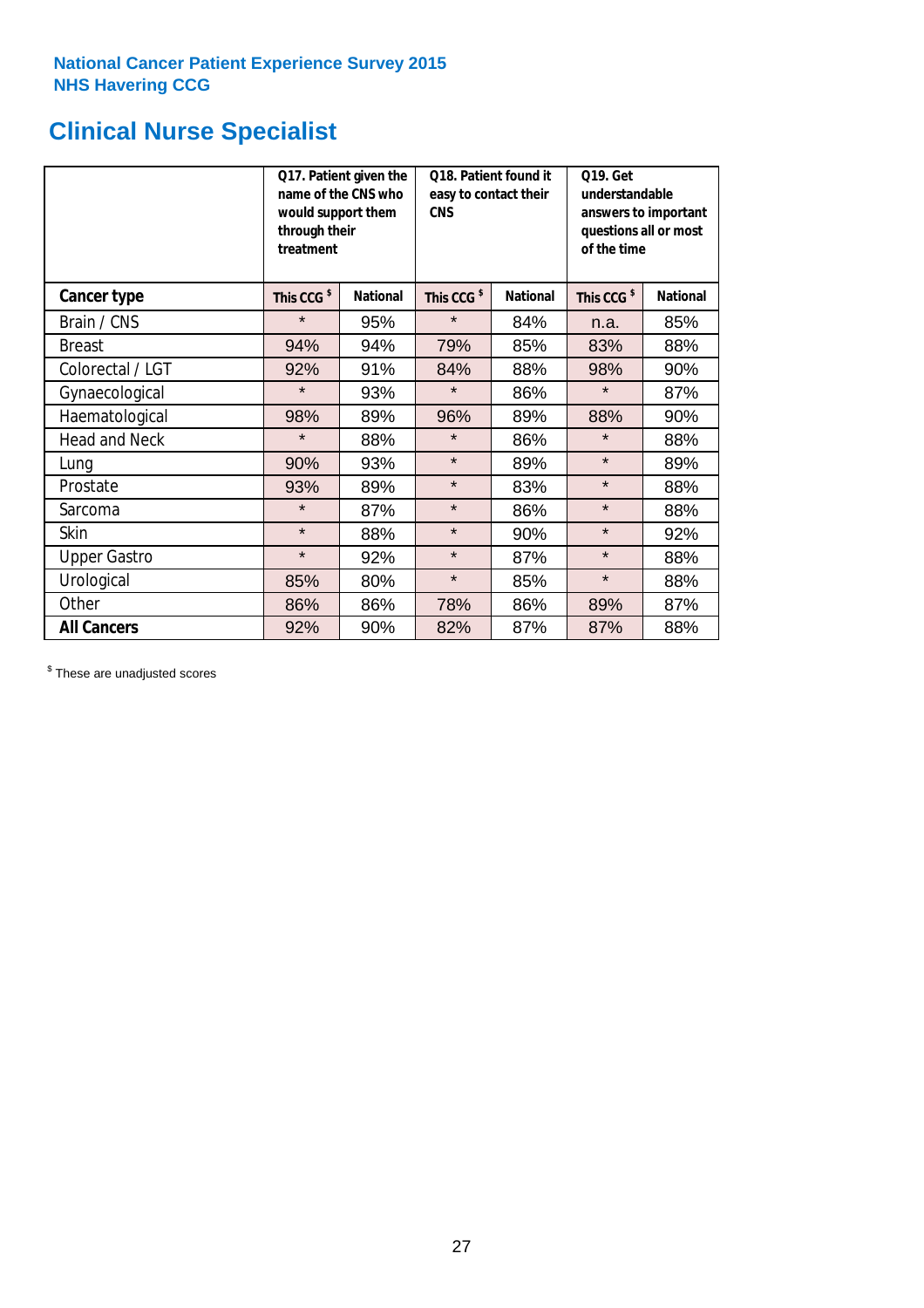# **Clinical Nurse Specialist**

|                      | would support them<br>through their<br>treatment | Q17. Patient given the<br>name of the CNS who | Q18. Patient found it<br>easy to contact their<br><b>CNS</b> |                 | <b>Q19. Get</b><br>understandable<br>answers to important<br>questions all or most<br>of the time |                 |  |
|----------------------|--------------------------------------------------|-----------------------------------------------|--------------------------------------------------------------|-----------------|---------------------------------------------------------------------------------------------------|-----------------|--|
| <b>Cancer type</b>   | This CCG <sup>\$</sup>                           | <b>National</b>                               | This CCG <sup>\$</sup>                                       | <b>National</b> | This CCG <sup>\$</sup>                                                                            | <b>National</b> |  |
| Brain / CNS          | $\star$                                          | 95%                                           | $\star$                                                      | 84%             | n.a.                                                                                              | 85%             |  |
| <b>Breast</b>        | 94%                                              | 94%                                           | 79%                                                          | 85%             | 83%                                                                                               | 88%             |  |
| Colorectal / LGT     | 92%                                              | 91%                                           | 84%                                                          | 88%             | 98%                                                                                               | 90%             |  |
| Gynaecological       | $\star$                                          | 93%                                           | $\star$                                                      | 86%             | $\star$                                                                                           | 87%             |  |
| Haematological       | 98%                                              | 89%                                           | 96%                                                          | 89%             | 88%                                                                                               | 90%             |  |
| <b>Head and Neck</b> | $\star$                                          | 88%                                           | $\star$                                                      | 86%             | $\star$                                                                                           | 88%             |  |
| Lung                 | 90%                                              | 93%                                           | $\star$                                                      | 89%             | $\star$                                                                                           | 89%             |  |
| Prostate             | 93%                                              | 89%                                           | $\star$                                                      | 83%             | $\star$                                                                                           | 88%             |  |
| Sarcoma              | $\star$                                          | 87%                                           | $\star$                                                      | 86%             | $\star$                                                                                           | 88%             |  |
| Skin                 | $\star$                                          | 88%                                           | $\star$                                                      | 90%             | $\star$                                                                                           | 92%             |  |
| <b>Upper Gastro</b>  | $\star$                                          | 92%                                           | $\star$                                                      | 87%             | $\star$                                                                                           | 88%             |  |
| Urological           | 85%                                              | 80%                                           | $\star$                                                      | 85%             | $\star$                                                                                           | 88%             |  |
| Other                | 86%                                              | 86%                                           | 78%                                                          | 86%             | 89%                                                                                               | 87%             |  |
| <b>All Cancers</b>   | 92%                                              | 90%                                           | 82%                                                          | 87%             | 87%                                                                                               | 88%             |  |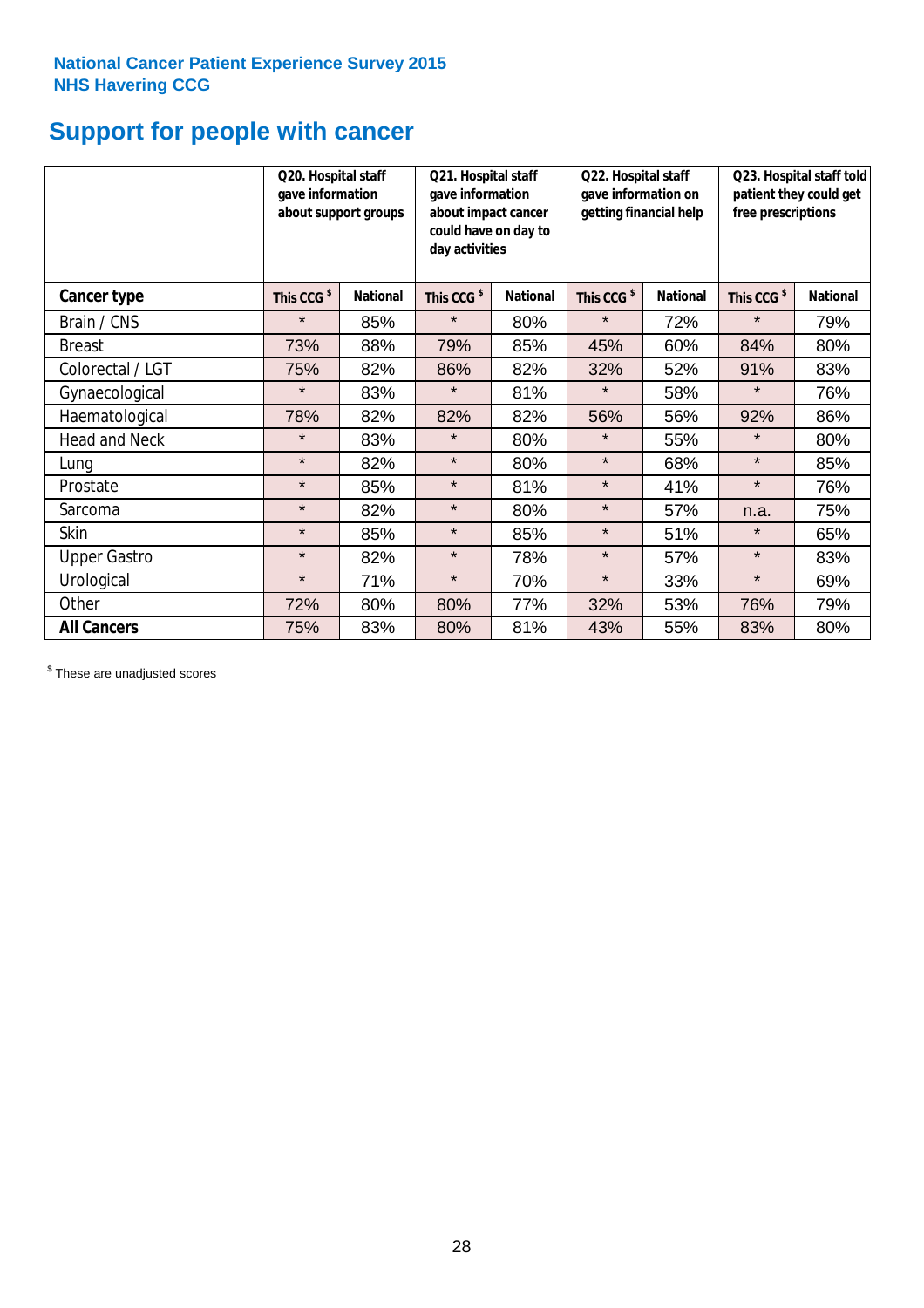# **Support for people with cancer**

|                      |                        | Q20. Hospital staff<br>Q21. Hospital staff<br>gave information<br>gave information<br>about support groups<br>about impact cancer<br>could have on day to<br>day activities |                        |                 | Q22. Hospital staff<br>gave information on<br>getting financial help |                 | Q23. Hospital staff told<br>patient they could get<br>free prescriptions |                 |
|----------------------|------------------------|-----------------------------------------------------------------------------------------------------------------------------------------------------------------------------|------------------------|-----------------|----------------------------------------------------------------------|-----------------|--------------------------------------------------------------------------|-----------------|
| Cancer type          | This CCG <sup>\$</sup> | <b>National</b>                                                                                                                                                             | This CCG <sup>\$</sup> | <b>National</b> | This CCG <sup>\$</sup>                                               | <b>National</b> | This CCG <sup>\$</sup>                                                   | <b>National</b> |
| Brain / CNS          | $\star$                | 85%                                                                                                                                                                         | $\star$                | 80%             | $\star$                                                              | 72%             | $\star$                                                                  | 79%             |
| <b>Breast</b>        | 73%                    | 88%                                                                                                                                                                         | 79%                    | 85%             | 45%                                                                  | 60%             | 84%                                                                      | 80%             |
| Colorectal / LGT     | 75%                    | 82%                                                                                                                                                                         | 86%                    | 82%             | 32%                                                                  | 52%             | 91%                                                                      | 83%             |
| Gynaecological       | $\star$                | 83%                                                                                                                                                                         | $\star$                | 81%             | $\star$                                                              | 58%             | $\star$                                                                  | 76%             |
| Haematological       | 78%                    | 82%                                                                                                                                                                         | 82%                    | 82%             | 56%                                                                  | 56%             | 92%                                                                      | 86%             |
| <b>Head and Neck</b> | $\star$                | 83%                                                                                                                                                                         | $\star$                | 80%             | $\star$                                                              | 55%             | $\star$                                                                  | 80%             |
| Lung                 | $\star$                | 82%                                                                                                                                                                         | $\star$                | 80%             | $\star$                                                              | 68%             | $\star$                                                                  | 85%             |
| Prostate             | $\star$                | 85%                                                                                                                                                                         | $\star$                | 81%             | $\star$                                                              | 41%             | $\star$                                                                  | 76%             |
| Sarcoma              | $\star$                | 82%                                                                                                                                                                         | $\star$                | 80%             | $\star$                                                              | 57%             | n.a.                                                                     | 75%             |
| Skin                 | $\star$                | 85%                                                                                                                                                                         | $\star$                | 85%             | $\star$                                                              | 51%             | $\star$                                                                  | 65%             |
| <b>Upper Gastro</b>  | $\star$                | 82%                                                                                                                                                                         | $\star$                | 78%             | $\star$                                                              | 57%             | $\star$                                                                  | 83%             |
| Urological           | $\star$                | 71%                                                                                                                                                                         | $\star$                | 70%             | $\star$                                                              | 33%             | $\star$                                                                  | 69%             |
| Other                | 72%                    | 80%                                                                                                                                                                         | 80%                    | 77%             | 32%                                                                  | 53%             | 76%                                                                      | 79%             |
| <b>All Cancers</b>   | 75%                    | 83%                                                                                                                                                                         | 80%                    | 81%             | 43%                                                                  | 55%             | 83%                                                                      | 80%             |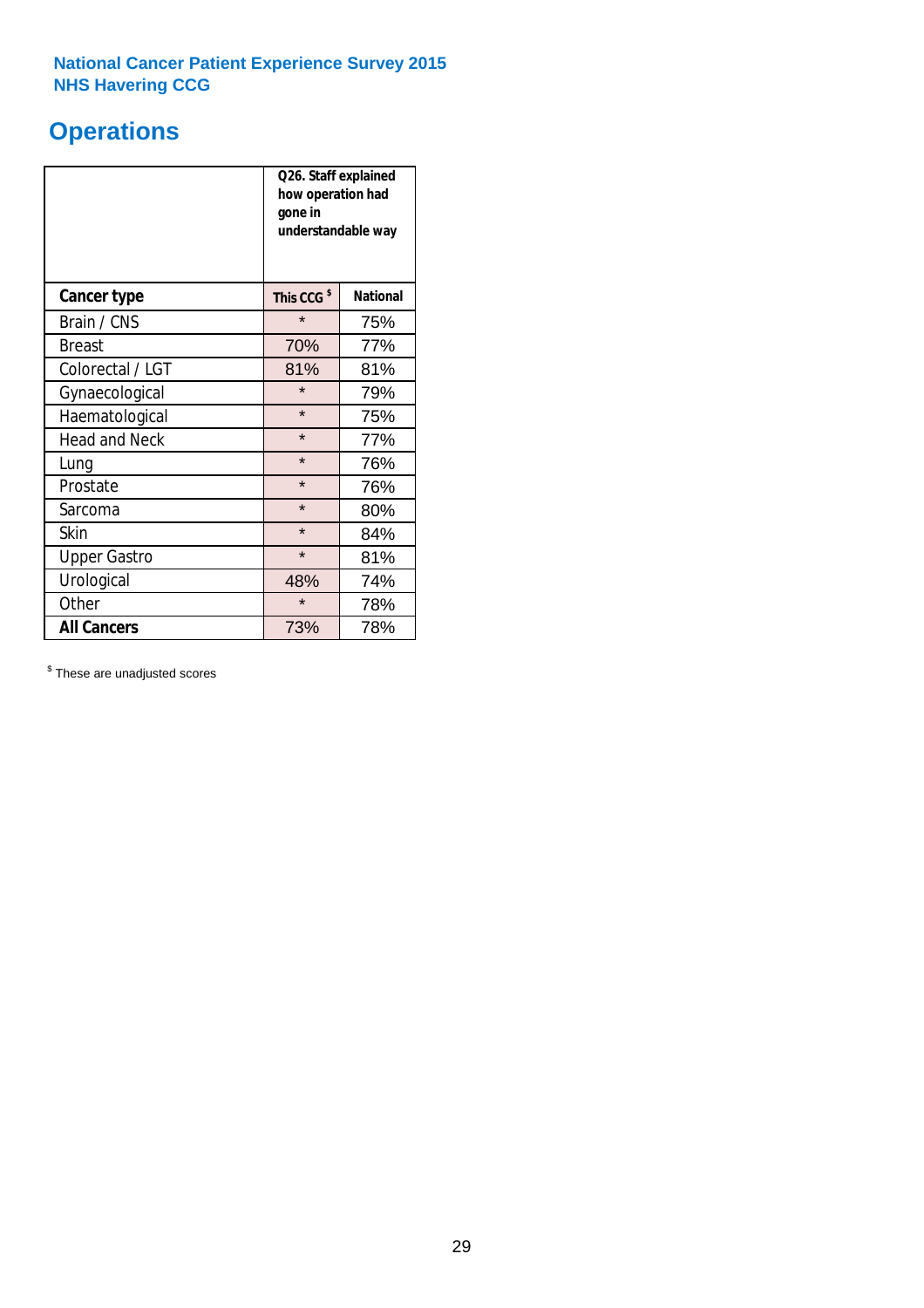# **Operations**

|                      | Q26. Staff explained<br>how operation had<br>gone in<br>understandable way |                 |  |  |
|----------------------|----------------------------------------------------------------------------|-----------------|--|--|
| <b>Cancer type</b>   | This CCG <sup>\$</sup>                                                     | <b>National</b> |  |  |
| Brain / CNS          | $\star$                                                                    | 75%             |  |  |
| <b>Breast</b>        | 70%                                                                        | 77%             |  |  |
| Colorectal / LGT     | 81%                                                                        | 81%             |  |  |
| Gynaecological       | $\star$                                                                    | 79%             |  |  |
| Haematological       | $\star$                                                                    | 75%             |  |  |
| <b>Head and Neck</b> | $\star$                                                                    | 77%             |  |  |
| Lung                 | $\star$                                                                    | 76%             |  |  |
| Prostate             | $\star$                                                                    | 76%             |  |  |
| Sarcoma              | $\star$                                                                    | 80%             |  |  |
| Skin                 | $\star$                                                                    | 84%             |  |  |
| <b>Upper Gastro</b>  | $\star$                                                                    | 81%             |  |  |
| Urological           | 48%                                                                        | 74%             |  |  |
| Other                | $\star$                                                                    | 78%             |  |  |
| <b>All Cancers</b>   | 73%                                                                        | 78%             |  |  |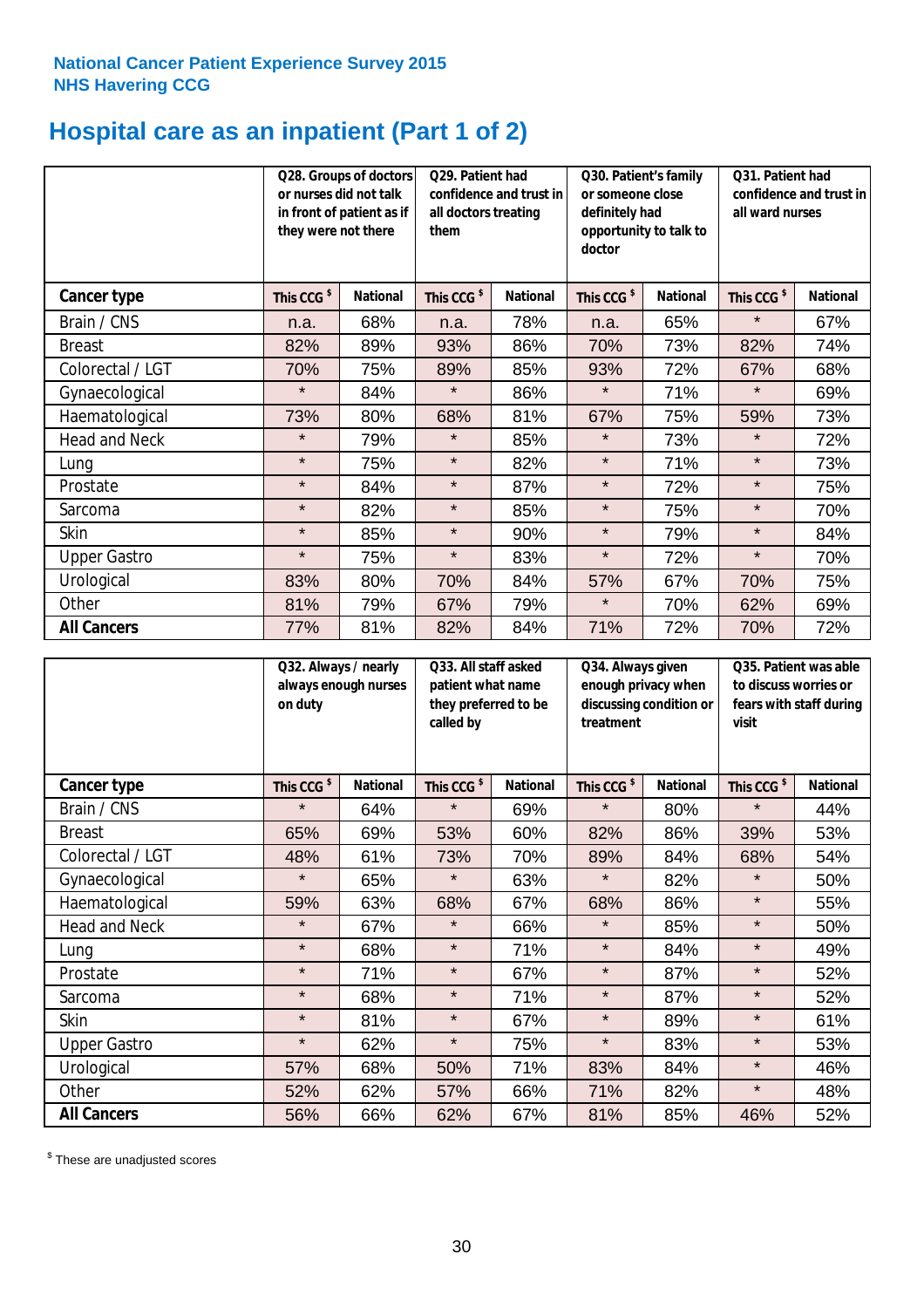# **Hospital care as an inpatient (Part 1 of 2)**

|                      | or nurses did not talk<br>they were not there | Q28. Groups of doctors<br>in front of patient as if | Q29. Patient had<br>confidence and trust in<br>all doctors treating<br>them |                 | Q30. Patient's family<br>or someone close<br>definitely had<br>opportunity to talk to<br>doctor |                 | Q31. Patient had<br>confidence and trust in I<br>all ward nurses |                 |
|----------------------|-----------------------------------------------|-----------------------------------------------------|-----------------------------------------------------------------------------|-----------------|-------------------------------------------------------------------------------------------------|-----------------|------------------------------------------------------------------|-----------------|
| <b>Cancer type</b>   | This CCG <sup>\$</sup>                        | <b>National</b>                                     | This CCG <sup>\$</sup>                                                      | <b>National</b> | This CCG <sup>\$</sup>                                                                          | <b>National</b> | This CCG <sup>\$</sup>                                           | <b>National</b> |
| Brain / CNS          | n.a.                                          | 68%                                                 | n.a.                                                                        | 78%             | n.a.                                                                                            | 65%             | $\star$                                                          | 67%             |
| <b>Breast</b>        | 82%                                           | 89%                                                 | 93%                                                                         | 86%             | 70%                                                                                             | 73%             | 82%                                                              | 74%             |
| Colorectal / LGT     | 70%                                           | 75%                                                 | 89%                                                                         | 85%             | 93%                                                                                             | 72%             | 67%                                                              | 68%             |
| Gynaecological       | $\star$                                       | 84%                                                 | $\star$                                                                     | 86%             | $\star$                                                                                         | 71%             | $\star$                                                          | 69%             |
| Haematological       | 73%                                           | 80%                                                 | 68%                                                                         | 81%             | 67%                                                                                             | 75%             | 59%                                                              | 73%             |
| <b>Head and Neck</b> | $\star$                                       | 79%                                                 | $\star$                                                                     | 85%             | $\star$                                                                                         | 73%             | $\star$                                                          | 72%             |
| Lung                 | $\star$                                       | 75%                                                 | $\star$                                                                     | 82%             | $\star$                                                                                         | 71%             | $\star$                                                          | 73%             |
| Prostate             | $\star$                                       | 84%                                                 | $\star$                                                                     | 87%             | $\star$                                                                                         | 72%             | $\star$                                                          | 75%             |
| Sarcoma              | $\star$                                       | 82%                                                 | $\star$                                                                     | 85%             | $\star$                                                                                         | 75%             | $\star$                                                          | 70%             |
| Skin                 | $\star$                                       | 85%                                                 | $\star$                                                                     | 90%             | $\star$                                                                                         | 79%             | $\star$                                                          | 84%             |
| <b>Upper Gastro</b>  | $\star$                                       | 75%                                                 | $\star$                                                                     | 83%             | $\star$                                                                                         | 72%             | $\star$                                                          | 70%             |
| Urological           | 83%                                           | 80%                                                 | 70%                                                                         | 84%             | 57%                                                                                             | 67%             | 70%                                                              | 75%             |
| Other                | 81%                                           | 79%                                                 | 67%                                                                         | 79%             | $\star$                                                                                         | 70%             | 62%                                                              | 69%             |
| <b>All Cancers</b>   | 77%                                           | 81%                                                 | 82%                                                                         | 84%             | 71%                                                                                             | 72%             | 70%                                                              | 72%             |

|                      | on duty                | Q32. Always / nearly<br>always enough nurses |                        | Q33. All staff asked<br>patient what name<br>they preferred to be<br>called by |                        | Q34. Always given<br>enough privacy when<br>discussing condition or<br>treatment |                        | Q35. Patient was able<br>to discuss worries or<br>fears with staff during<br>visit |  |
|----------------------|------------------------|----------------------------------------------|------------------------|--------------------------------------------------------------------------------|------------------------|----------------------------------------------------------------------------------|------------------------|------------------------------------------------------------------------------------|--|
| <b>Cancer type</b>   | This CCG <sup>\$</sup> | <b>National</b>                              | This CCG <sup>\$</sup> | <b>National</b>                                                                | This CCG <sup>\$</sup> | <b>National</b>                                                                  | This CCG <sup>\$</sup> | <b>National</b>                                                                    |  |
| Brain / CNS          | $\star$                | 64%                                          | $\star$                | 69%                                                                            | $\star$                | 80%                                                                              | $\star$                | 44%                                                                                |  |
| <b>Breast</b>        | 65%                    | 69%                                          | 53%                    | 60%                                                                            | 82%                    | 86%                                                                              | 39%                    | 53%                                                                                |  |
| Colorectal / LGT     | 48%                    | 61%                                          | 73%                    | 70%                                                                            | 89%                    | 84%                                                                              | 68%                    | 54%                                                                                |  |
| Gynaecological       | $\star$                | 65%                                          | $\star$                | 63%                                                                            | $\star$                | 82%                                                                              | $\star$                | 50%                                                                                |  |
| Haematological       | 59%                    | 63%                                          | 68%                    | 67%                                                                            | 68%                    | 86%                                                                              | $\star$                | 55%                                                                                |  |
| <b>Head and Neck</b> | $\star$                | 67%                                          | $\star$                | 66%                                                                            | $\star$                | 85%                                                                              | $\star$                | 50%                                                                                |  |
| Lung                 | $\star$                | 68%                                          | $\star$                | 71%                                                                            | $\star$                | 84%                                                                              | $\star$                | 49%                                                                                |  |
| Prostate             | $\star$                | 71%                                          | $\star$                | 67%                                                                            | $\star$                | 87%                                                                              | $\star$                | 52%                                                                                |  |
| Sarcoma              | $\star$                | 68%                                          | $\star$                | 71%                                                                            | $\star$                | 87%                                                                              | $\star$                | 52%                                                                                |  |
| Skin                 | $\star$                | 81%                                          | $\star$                | 67%                                                                            | $\star$                | 89%                                                                              | $\star$                | 61%                                                                                |  |
| <b>Upper Gastro</b>  | $\star$                | 62%                                          | $\star$                | 75%                                                                            | $\star$                | 83%                                                                              | $\star$                | 53%                                                                                |  |
| Urological           | 57%                    | 68%                                          | 50%                    | 71%                                                                            | 83%                    | 84%                                                                              | $\star$                | 46%                                                                                |  |
| Other                | 52%                    | 62%                                          | 57%                    | 66%                                                                            | 71%                    | 82%                                                                              | $\star$                | 48%                                                                                |  |
| <b>All Cancers</b>   | 56%                    | 66%                                          | 62%                    | 67%                                                                            | 81%                    | 85%                                                                              | 46%                    | 52%                                                                                |  |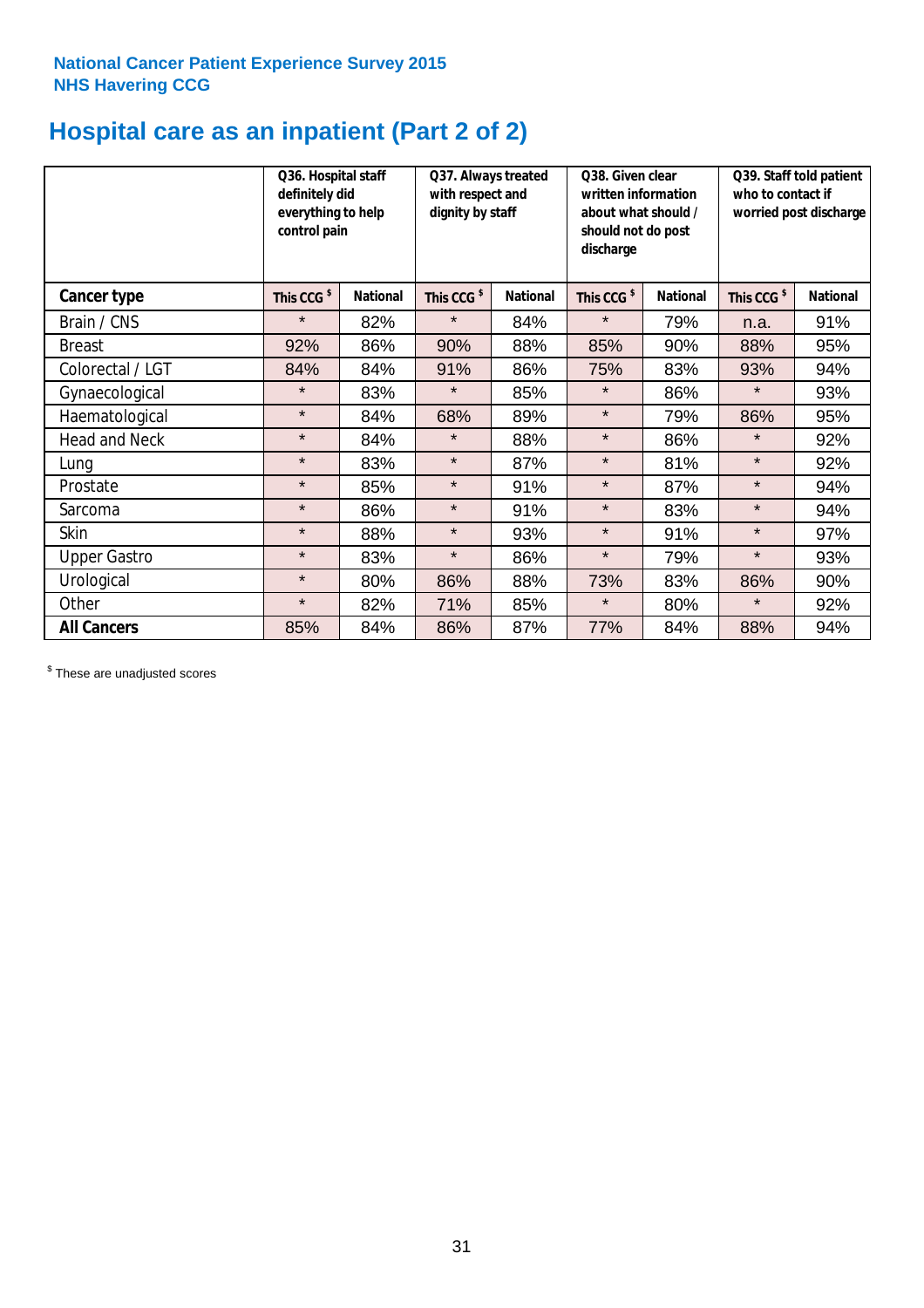# **Hospital care as an inpatient (Part 2 of 2)**

|                      | Q36. Hospital staff<br>definitely did<br>everything to help<br>control pain |                 | Q37. Always treated<br>with respect and<br>dignity by staff |                 | Q38. Given clear<br>written information<br>about what should /<br>should not do post<br>discharge |                 | Q39. Staff told patient<br>who to contact if<br>worried post discharge |                 |
|----------------------|-----------------------------------------------------------------------------|-----------------|-------------------------------------------------------------|-----------------|---------------------------------------------------------------------------------------------------|-----------------|------------------------------------------------------------------------|-----------------|
| Cancer type          | This CCG <sup>\$</sup>                                                      | <b>National</b> | This CCG <sup>\$</sup>                                      | <b>National</b> | This CCG <sup>\$</sup>                                                                            | <b>National</b> | This CCG <sup>\$</sup>                                                 | <b>National</b> |
| Brain / CNS          | $\star$                                                                     | 82%             | $\star$                                                     | 84%             | $\star$                                                                                           | 79%             | n.a.                                                                   | 91%             |
| <b>Breast</b>        | 92%                                                                         | 86%             | 90%                                                         | 88%             | 85%                                                                                               | 90%             | 88%                                                                    | 95%             |
| Colorectal / LGT     | 84%                                                                         | 84%             | 91%                                                         | 86%             | 75%                                                                                               | 83%             | 93%                                                                    | 94%             |
| Gynaecological       | $\star$                                                                     | 83%             | $\star$                                                     | 85%             | $\star$                                                                                           | 86%             | $\star$                                                                | 93%             |
| Haematological       | $\star$                                                                     | 84%             | 68%                                                         | 89%             | $\star$                                                                                           | 79%             | 86%                                                                    | 95%             |
| <b>Head and Neck</b> | $\star$                                                                     | 84%             | $\star$                                                     | 88%             | $\star$                                                                                           | 86%             | $\star$                                                                | 92%             |
| Lung                 | $\star$                                                                     | 83%             | $\star$                                                     | 87%             | $\star$                                                                                           | 81%             | $\star$                                                                | 92%             |
| Prostate             | $\star$                                                                     | 85%             | $\star$                                                     | 91%             | $\star$                                                                                           | 87%             | $\star$                                                                | 94%             |
| Sarcoma              | $\star$                                                                     | 86%             | $\star$                                                     | 91%             | $\star$                                                                                           | 83%             | $\star$                                                                | 94%             |
| Skin                 | $\star$                                                                     | 88%             | $\star$                                                     | 93%             | $\star$                                                                                           | 91%             | $\star$                                                                | 97%             |
| <b>Upper Gastro</b>  | $\star$                                                                     | 83%             | $\star$                                                     | 86%             | $\star$                                                                                           | 79%             | $\star$                                                                | 93%             |
| Urological           | $\star$                                                                     | 80%             | 86%                                                         | 88%             | 73%                                                                                               | 83%             | 86%                                                                    | 90%             |
| Other                | $\star$                                                                     | 82%             | 71%                                                         | 85%             | $\star$                                                                                           | 80%             | $\star$                                                                | 92%             |
| <b>All Cancers</b>   | 85%                                                                         | 84%             | 86%                                                         | 87%             | 77%                                                                                               | 84%             | 88%                                                                    | 94%             |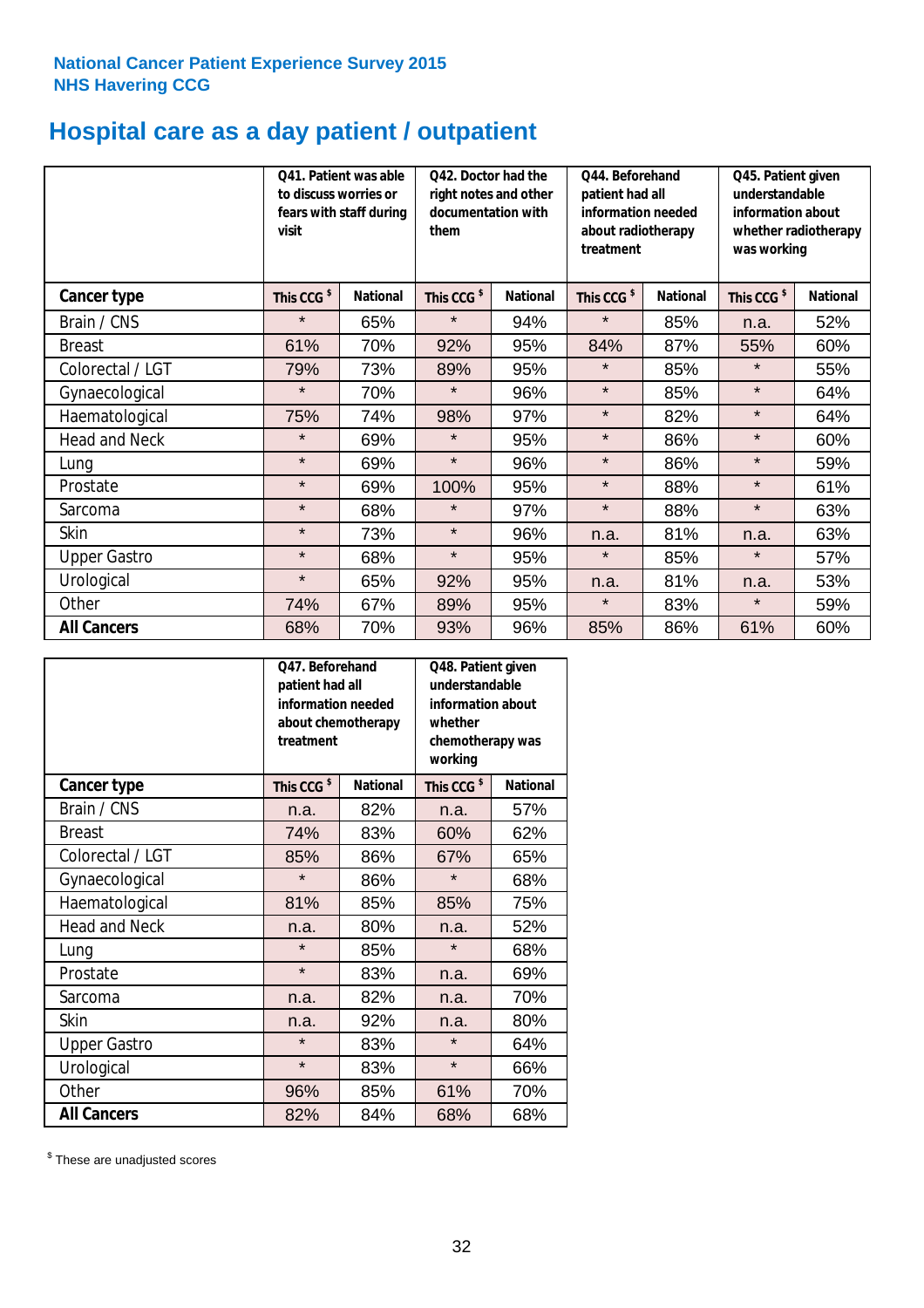# **Hospital care as a day patient / outpatient**

|                      | to discuss worries or<br>visit | Q41. Patient was able<br>fears with staff during | Q42. Doctor had the<br>right notes and other<br>documentation with<br>them |                 | Q44. Beforehand<br>patient had all<br>information needed<br>about radiotherapy<br>treatment |                 | Q45. Patient given<br>understandable<br>information about<br>whether radiotherapy<br>was working |                 |
|----------------------|--------------------------------|--------------------------------------------------|----------------------------------------------------------------------------|-----------------|---------------------------------------------------------------------------------------------|-----------------|--------------------------------------------------------------------------------------------------|-----------------|
| Cancer type          | This CCG <sup>\$</sup>         | <b>National</b>                                  | This CCG <sup>\$</sup>                                                     | <b>National</b> | This CCG <sup>\$</sup>                                                                      | <b>National</b> | This CCG <sup>\$</sup>                                                                           | <b>National</b> |
| Brain / CNS          | $\star$                        | 65%                                              | $\star$                                                                    | 94%             | $\star$                                                                                     | 85%             | n.a.                                                                                             | 52%             |
| <b>Breast</b>        | 61%                            | 70%                                              | 92%                                                                        | 95%             | 84%                                                                                         | 87%             | 55%                                                                                              | 60%             |
| Colorectal / LGT     | 79%                            | 73%                                              | 89%                                                                        | 95%             | $\star$                                                                                     | 85%             | $\star$                                                                                          | 55%             |
| Gynaecological       | $\star$                        | 70%                                              | $\star$                                                                    | 96%             | $\star$                                                                                     | 85%             | $\star$                                                                                          | 64%             |
| Haematological       | 75%                            | 74%                                              | 98%                                                                        | 97%             | $\star$                                                                                     | 82%             | $\star$                                                                                          | 64%             |
| <b>Head and Neck</b> | $\star$                        | 69%                                              | $\star$                                                                    | 95%             | $\star$                                                                                     | 86%             | $\star$                                                                                          | 60%             |
| Lung                 | $\star$                        | 69%                                              | $\star$                                                                    | 96%             | $\star$                                                                                     | 86%             | $\star$                                                                                          | 59%             |
| Prostate             | $\star$                        | 69%                                              | 100%                                                                       | 95%             | $\star$                                                                                     | 88%             | $\star$                                                                                          | 61%             |
| Sarcoma              | $\star$                        | 68%                                              | $\star$                                                                    | 97%             | $\star$                                                                                     | 88%             | $\star$                                                                                          | 63%             |
| Skin                 | $\star$                        | 73%                                              | $\star$                                                                    | 96%             | n.a.                                                                                        | 81%             | n.a.                                                                                             | 63%             |
| <b>Upper Gastro</b>  | $\star$                        | 68%                                              | $\star$                                                                    | 95%             | $\star$                                                                                     | 85%             | $\star$                                                                                          | 57%             |
| Urological           | $\star$                        | 65%                                              | 92%                                                                        | 95%             | n.a.                                                                                        | 81%             | n.a.                                                                                             | 53%             |
| Other                | 74%                            | 67%                                              | 89%                                                                        | 95%             | $\star$                                                                                     | 83%             | $\star$                                                                                          | 59%             |
| <b>All Cancers</b>   | 68%                            | 70%                                              | 93%                                                                        | 96%             | 85%                                                                                         | 86%             | 61%                                                                                              | 60%             |

|                      | O47. Beforehand<br>patient had all<br>information needed<br>about chemotherapy<br>treatment |                 | Q48. Patient given<br>understandable<br>information about<br>whether<br>chemotherapy was<br>working |                 |  |
|----------------------|---------------------------------------------------------------------------------------------|-----------------|-----------------------------------------------------------------------------------------------------|-----------------|--|
| <b>Cancer type</b>   | This CCG <sup>\$</sup>                                                                      | <b>National</b> | This CCG <sup>\$</sup>                                                                              | <b>National</b> |  |
| Brain / CNS          | n.a.                                                                                        | 82%             | n.a.                                                                                                | 57%             |  |
| <b>Breast</b>        | 74%                                                                                         | 83%             | 60%                                                                                                 | 62%             |  |
| Colorectal / LGT     | 85%                                                                                         | 86%             | 67%                                                                                                 | 65%             |  |
| Gynaecological       | $\star$                                                                                     | 86%             | $\star$                                                                                             | 68%             |  |
| Haematological       | 81%<br>85%                                                                                  |                 | 85%                                                                                                 | 75%             |  |
| <b>Head and Neck</b> | n.a.                                                                                        | 80%             | n.a.                                                                                                | 52%             |  |
| Lung                 | $\star$                                                                                     | 85%             | $\star$                                                                                             | 68%             |  |
| Prostate             | $\star$                                                                                     | 83%             | n.a.                                                                                                | 69%             |  |
| Sarcoma              | n.a.                                                                                        | 82%             | n.a.                                                                                                | 70%             |  |
| Skin                 | n.a.                                                                                        | 92%             | n.a.                                                                                                | 80%             |  |
| <b>Upper Gastro</b>  | $\star$                                                                                     | 83%             | $\star$                                                                                             | 64%             |  |
| Urological           | $\star$                                                                                     | 83%             | $\star$                                                                                             | 66%             |  |
| Other                | 96%                                                                                         | 85%             | 61%                                                                                                 | 70%             |  |
| <b>All Cancers</b>   | 82%                                                                                         | 84%             | 68%                                                                                                 | 68%             |  |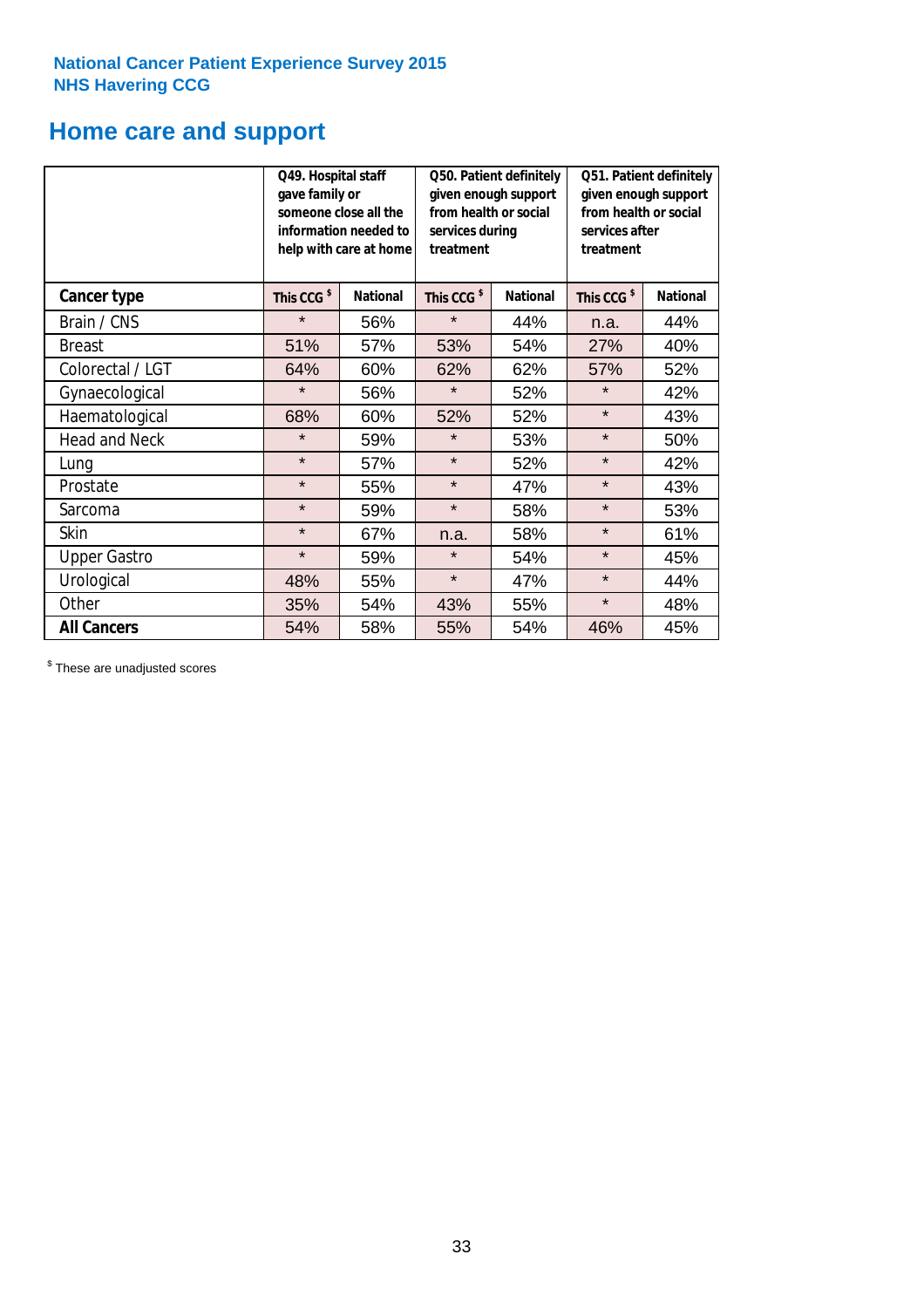# **Home care and support**

|                      | Q49. Hospital staff<br>gave family or | someone close all the<br>information needed to<br>help with care at home | Q50. Patient definitely<br>given enough support<br>from health or social<br>services during<br>treatment |                 | Q51. Patient definitely<br>given enough support<br>from health or social<br>services after<br>treatment |                 |
|----------------------|---------------------------------------|--------------------------------------------------------------------------|----------------------------------------------------------------------------------------------------------|-----------------|---------------------------------------------------------------------------------------------------------|-----------------|
| <b>Cancer type</b>   | This CCG <sup>\$</sup>                | <b>National</b>                                                          | This CCG <sup>\$</sup>                                                                                   | <b>National</b> | This CCG <sup>\$</sup>                                                                                  | <b>National</b> |
| Brain / CNS          | $\star$                               | 56%                                                                      | $\star$                                                                                                  | 44%             | n.a.                                                                                                    | 44%             |
| <b>Breast</b>        | 51%                                   | 57%                                                                      | 53%                                                                                                      | 54%             | 27%                                                                                                     | 40%             |
| Colorectal / LGT     | 64%                                   | 60%                                                                      | 62%                                                                                                      | 62%             | 57%                                                                                                     | 52%             |
| Gynaecological       | $\star$                               | 56%                                                                      | $\star$                                                                                                  | 52%             | $\star$                                                                                                 | 42%             |
| Haematological       | 68%                                   | 60%                                                                      | 52%                                                                                                      | 52%             | $\star$                                                                                                 | 43%             |
| <b>Head and Neck</b> | $\star$                               | 59%                                                                      | $\star$                                                                                                  | 53%             | $\star$                                                                                                 | 50%             |
| Lung                 | $\star$                               | 57%                                                                      | $\star$                                                                                                  | 52%             | $\star$                                                                                                 | 42%             |
| Prostate             | $\star$                               | 55%                                                                      | $\star$                                                                                                  | 47%             | $\star$                                                                                                 | 43%             |
| Sarcoma              | $\star$                               | 59%                                                                      | $\star$                                                                                                  | 58%             | $\star$                                                                                                 | 53%             |
| Skin                 | $\star$                               | 67%                                                                      | n.a.                                                                                                     | 58%             | $\star$                                                                                                 | 61%             |
| <b>Upper Gastro</b>  | $\star$                               | 59%                                                                      | $\star$                                                                                                  | 54%             | $\star$                                                                                                 | 45%             |
| Urological           | 48%                                   | 55%                                                                      | $\star$                                                                                                  | 47%             | $\star$                                                                                                 | 44%             |
| Other                | 35%                                   | 54%                                                                      | 43%                                                                                                      | 55%             | $\star$                                                                                                 | 48%             |
| <b>All Cancers</b>   | 54%                                   | 58%                                                                      | 55%                                                                                                      | 54%             | 46%                                                                                                     | 45%             |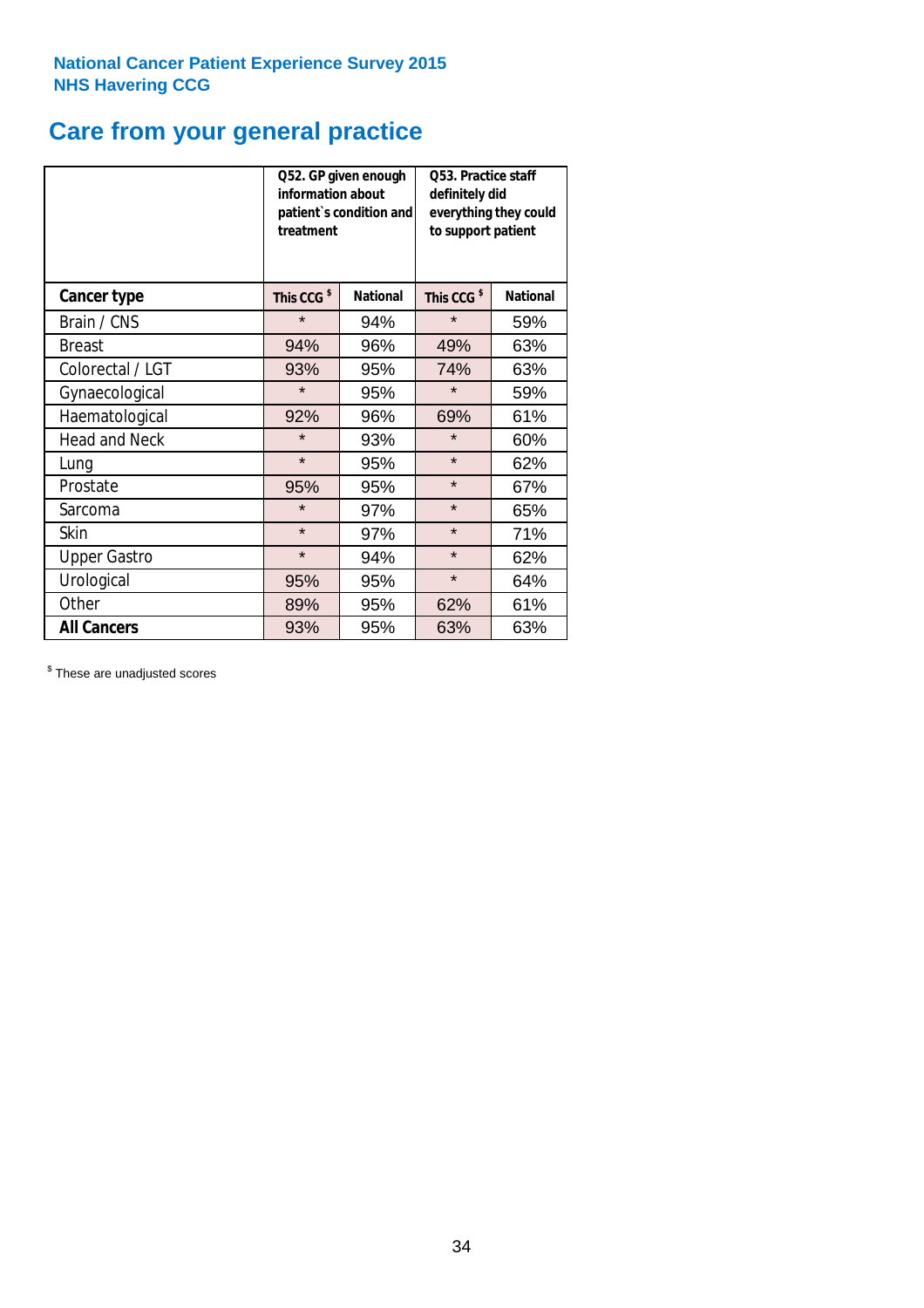# **Care from your general practice**

|                      | information about<br>treatment | Q52. GP given enough<br>patient's condition and | Q53. Practice staff<br>definitely did<br>everything they could<br>to support patient |                 |  |
|----------------------|--------------------------------|-------------------------------------------------|--------------------------------------------------------------------------------------|-----------------|--|
| <b>Cancer type</b>   | This CCG <sup>\$</sup>         | <b>National</b>                                 | This CCG <sup>\$</sup>                                                               | <b>National</b> |  |
| Brain / CNS          | $\star$                        | 94%                                             | $\star$                                                                              | 59%             |  |
| <b>Breast</b>        | 94%                            | 96%                                             | 49%                                                                                  | 63%             |  |
| Colorectal / LGT     | 93%                            | 95%                                             | 74%                                                                                  | 63%             |  |
| Gynaecological       | $\star$                        | 95%                                             | $\star$                                                                              | 59%             |  |
| Haematological       | 92%                            | 96%                                             | 69%                                                                                  | 61%             |  |
| <b>Head and Neck</b> | $\star$                        | 93%                                             | $\star$                                                                              | 60%             |  |
| Lung                 | $\star$                        | 95%                                             | $\star$                                                                              | 62%             |  |
| Prostate             | 95%                            | 95%                                             | $\star$                                                                              | 67%             |  |
| Sarcoma              | $\star$                        | 97%                                             | $\star$                                                                              | 65%             |  |
| <b>Skin</b>          | $\star$                        | 97%                                             | $\star$                                                                              | 71%             |  |
| <b>Upper Gastro</b>  | $\star$                        | 94%                                             | $\star$                                                                              | 62%             |  |
| Urological           | 95%                            | 95%                                             | $\star$                                                                              | 64%             |  |
| Other                | 89%                            | 95%                                             | 62%                                                                                  | 61%             |  |
| <b>All Cancers</b>   | 93%                            | 95%                                             | 63%                                                                                  | 63%             |  |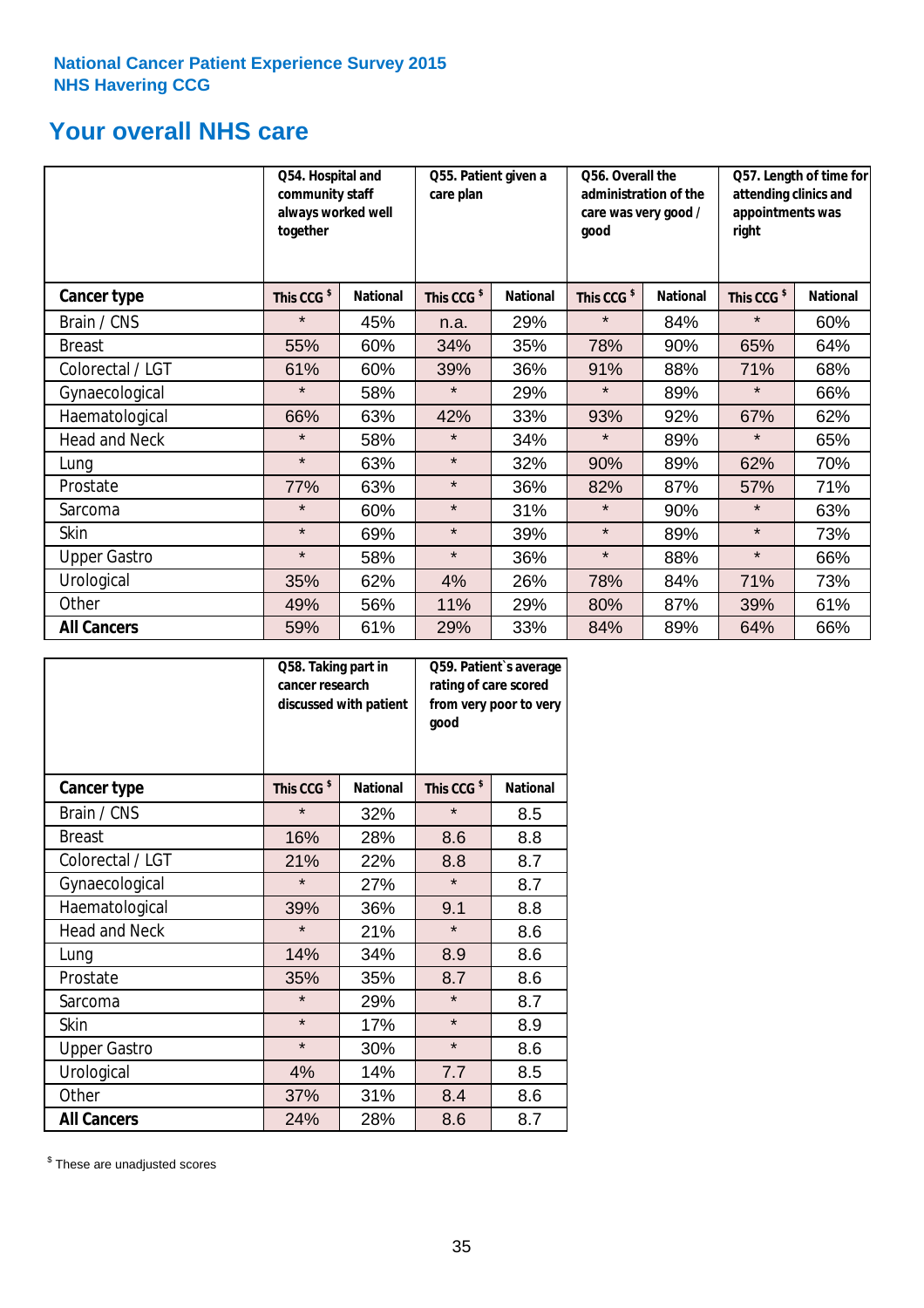# **Your overall NHS care**

|                      | together               | Q54. Hospital and<br>community staff<br>always worked well |                        | Q55. Patient given a<br>care plan |                        | Q56. Overall the<br>administration of the<br>care was very good /<br>qood |                        | Q57. Length of time for<br>attending clinics and<br>appointments was<br>right |  |
|----------------------|------------------------|------------------------------------------------------------|------------------------|-----------------------------------|------------------------|---------------------------------------------------------------------------|------------------------|-------------------------------------------------------------------------------|--|
| Cancer type          | This CCG <sup>\$</sup> | <b>National</b>                                            | This CCG <sup>\$</sup> | <b>National</b>                   | This CCG <sup>\$</sup> | <b>National</b>                                                           | This CCG <sup>\$</sup> | <b>National</b>                                                               |  |
| Brain / CNS          | $\star$                | 45%                                                        | n.a.                   | 29%                               | $\star$                | 84%                                                                       | $\star$                | 60%                                                                           |  |
| <b>Breast</b>        | 55%                    | 60%                                                        | 34%                    | 35%                               | 78%                    | 90%                                                                       | 65%                    | 64%                                                                           |  |
| Colorectal / LGT     | 61%                    | 60%                                                        | 39%                    | 36%                               | 91%                    | 88%                                                                       | 71%                    | 68%                                                                           |  |
| Gynaecological       | $\star$                | 58%                                                        | $\star$                | 29%                               | $\star$                | 89%                                                                       | $\star$                | 66%                                                                           |  |
| Haematological       | 66%                    | 63%                                                        | 42%                    | 33%                               | 93%                    | 92%                                                                       | 67%                    | 62%                                                                           |  |
| <b>Head and Neck</b> | $\star$                | 58%                                                        | $\star$                | 34%                               | $\star$                | 89%                                                                       | $\star$                | 65%                                                                           |  |
| Lung                 | $\star$                | 63%                                                        | $\star$                | 32%                               | 90%                    | 89%                                                                       | 62%                    | 70%                                                                           |  |
| Prostate             | 77%                    | 63%                                                        | $\star$                | 36%                               | 82%                    | 87%                                                                       | 57%                    | 71%                                                                           |  |
| Sarcoma              | $\star$                | 60%                                                        | $\star$                | 31%                               | $\star$                | 90%                                                                       | $\star$                | 63%                                                                           |  |
| Skin                 | $\star$                | 69%                                                        | $\star$                | 39%                               | $\star$                | 89%                                                                       | $\star$                | 73%                                                                           |  |
| <b>Upper Gastro</b>  | $\star$                | 58%                                                        | $\star$                | 36%                               | $\star$                | 88%                                                                       | $\star$                | 66%                                                                           |  |
| Urological           | 35%                    | 62%                                                        | 4%                     | 26%                               | 78%                    | 84%                                                                       | 71%                    | 73%                                                                           |  |
| Other                | 49%                    | 56%                                                        | 11%                    | 29%                               | 80%                    | 87%                                                                       | 39%                    | 61%                                                                           |  |
| <b>All Cancers</b>   | 59%                    | 61%                                                        | 29%                    | 33%                               | 84%                    | 89%                                                                       | 64%                    | 66%                                                                           |  |

|                      | Q58. Taking part in<br>cancer research | discussed with patient | Q59. Patient's average<br>rating of care scored<br>from very poor to very<br>good |                 |  |
|----------------------|----------------------------------------|------------------------|-----------------------------------------------------------------------------------|-----------------|--|
| <b>Cancer type</b>   | This CCG <sup>\$</sup>                 | <b>National</b>        | This CCG <sup>\$</sup>                                                            | <b>National</b> |  |
| Brain / CNS          | $\star$                                | 32%                    | $\star$                                                                           | 8.5             |  |
| <b>Breast</b>        | 16%                                    | 28%                    | 8.6                                                                               | 8.8             |  |
| Colorectal / LGT     | 21%                                    | 22%                    | 8.8                                                                               | 8.7             |  |
| Gynaecological       | $\star$                                | 27%                    | $\star$                                                                           | 8.7             |  |
| Haematological       | 39%                                    | 36%                    | 9.1                                                                               | 8.8             |  |
| <b>Head and Neck</b> | $\star$                                | 21%                    | $\star$                                                                           | 8.6             |  |
| Lung                 | 14%                                    | 34%                    | 8.9                                                                               | 8.6             |  |
| Prostate             | 35%                                    | 35%                    | 8.7                                                                               | 8.6             |  |
| Sarcoma              | $\star$                                | 29%                    | $\star$                                                                           | 8.7             |  |
| Skin                 | $\star$                                | 17%                    | $\star$                                                                           | 8.9             |  |
| <b>Upper Gastro</b>  | $\star$                                | 30%                    | $\star$                                                                           | 8.6             |  |
| Urological           | 4%                                     | 14%                    | 7.7                                                                               | 8.5             |  |
| Other                | 37%                                    | 31%                    | 8.4                                                                               | 8.6             |  |
| <b>All Cancers</b>   | 24%                                    | 28%                    | 8.6                                                                               | 8.7             |  |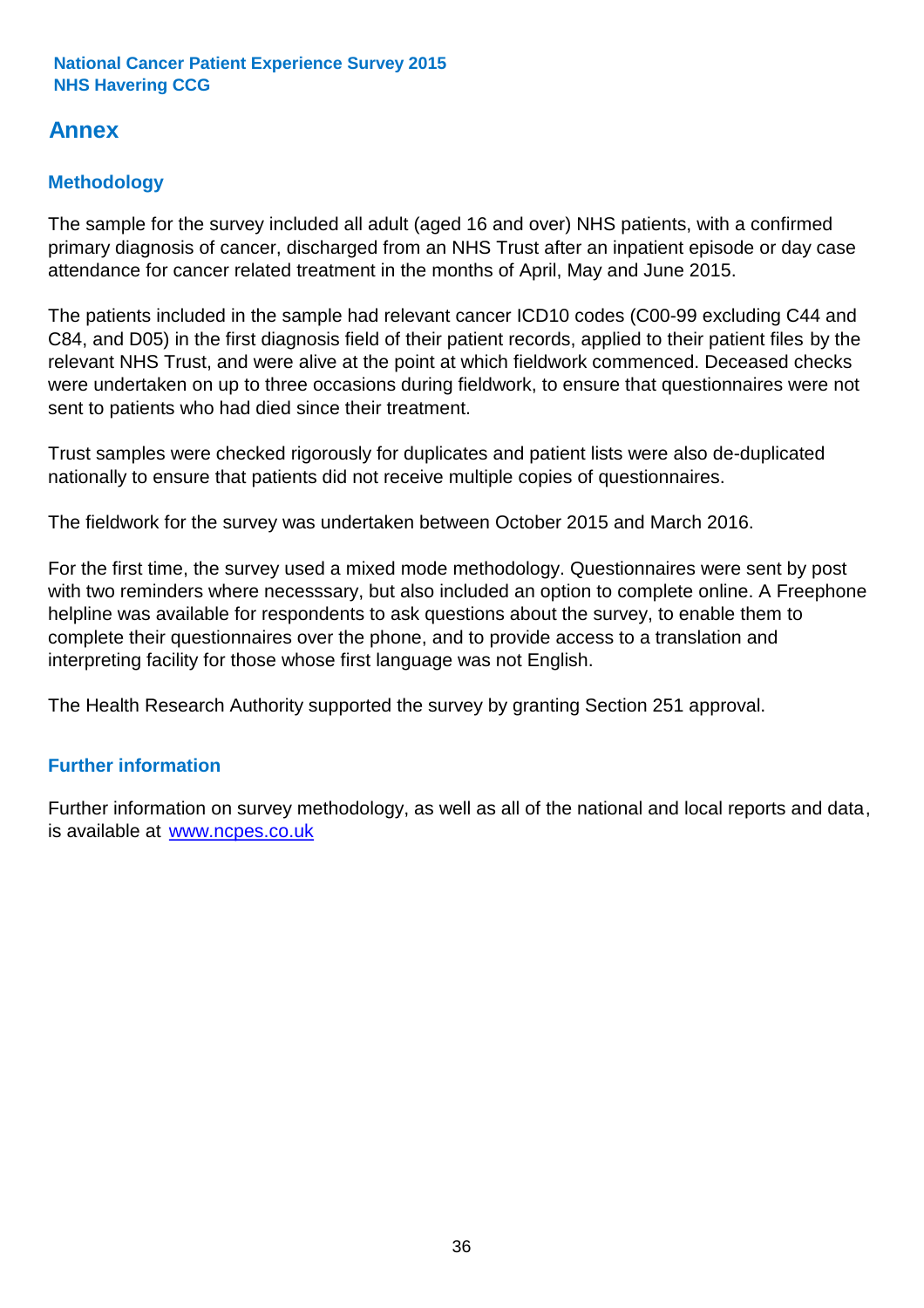# **Annex**

# **Methodology**

The sample for the survey included all adult (aged 16 and over) NHS patients, with a confirmed primary diagnosis of cancer, discharged from an NHS Trust after an inpatient episode or day case attendance for cancer related treatment in the months of April, May and June 2015.

The patients included in the sample had relevant cancer ICD10 codes (C00-99 excluding C44 and C84, and D05) in the first diagnosis field of their patient records, applied to their patient files by the relevant NHS Trust, and were alive at the point at which fieldwork commenced. Deceased checks were undertaken on up to three occasions during fieldwork, to ensure that questionnaires were not sent to patients who had died since their treatment.

Trust samples were checked rigorously for duplicates and patient lists were also de-duplicated nationally to ensure that patients did not receive multiple copies of questionnaires.

The fieldwork for the survey was undertaken between October 2015 and March 2016.

For the first time, the survey used a mixed mode methodology. Questionnaires were sent by post with two reminders where necesssary, but also included an option to complete online. A Freephone helpline was available for respondents to ask questions about the survey, to enable them to complete their questionnaires over the phone, and to provide access to a translation and interpreting facility for those whose first language was not English.

The Health Research Authority supported the survey by granting Section 251 approval.

# **Further information**

Further information on survey methodology, as well as all of the national and local reports and data, is available at www.ncpes.co.uk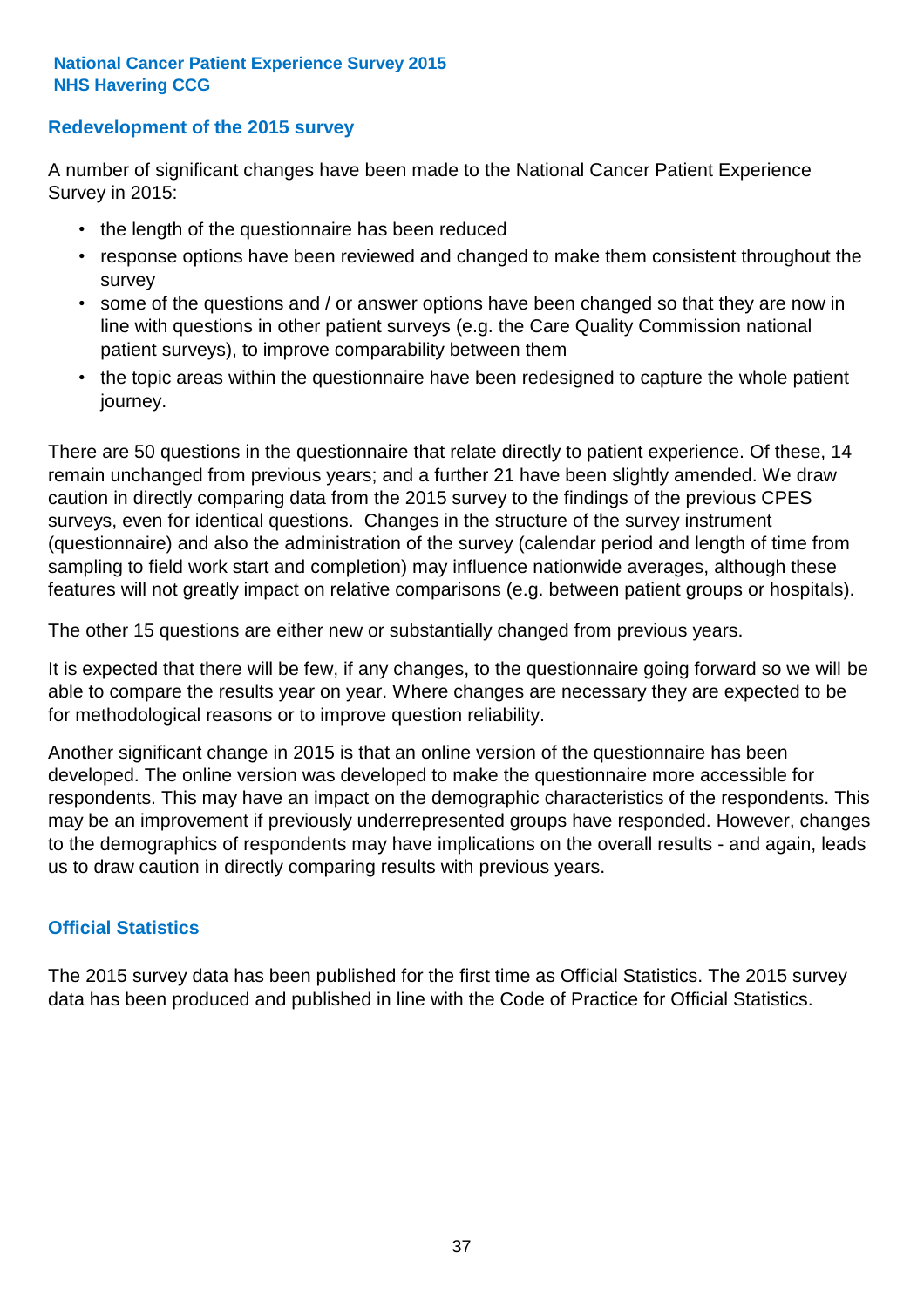### **Redevelopment of the 2015 survey**

A number of significant changes have been made to the National Cancer Patient Experience Survey in 2015:

- the length of the questionnaire has been reduced
- response options have been reviewed and changed to make them consistent throughout the survey
- some of the questions and / or answer options have been changed so that they are now in line with questions in other patient surveys (e.g. the Care Quality Commission national patient surveys), to improve comparability between them
- the topic areas within the questionnaire have been redesigned to capture the whole patient journey.

There are 50 questions in the questionnaire that relate directly to patient experience. Of these, 14 remain unchanged from previous years; and a further 21 have been slightly amended. We draw caution in directly comparing data from the 2015 survey to the findings of the previous CPES surveys, even for identical questions. Changes in the structure of the survey instrument (questionnaire) and also the administration of the survey (calendar period and length of time from sampling to field work start and completion) may influence nationwide averages, although these features will not greatly impact on relative comparisons (e.g. between patient groups or hospitals).

The other 15 questions are either new or substantially changed from previous years.

It is expected that there will be few, if any changes, to the questionnaire going forward so we will be able to compare the results year on year. Where changes are necessary they are expected to be for methodological reasons or to improve question reliability.

Another significant change in 2015 is that an online version of the questionnaire has been developed. The online version was developed to make the questionnaire more accessible for respondents. This may have an impact on the demographic characteristics of the respondents. This may be an improvement if previously underrepresented groups have responded. However, changes to the demographics of respondents may have implications on the overall results - and again, leads us to draw caution in directly comparing results with previous years.

### **Official Statistics**

The 2015 survey data has been published for the first time as Official Statistics. The 2015 survey data has been produced and published in line with the Code of Practice for Official Statistics.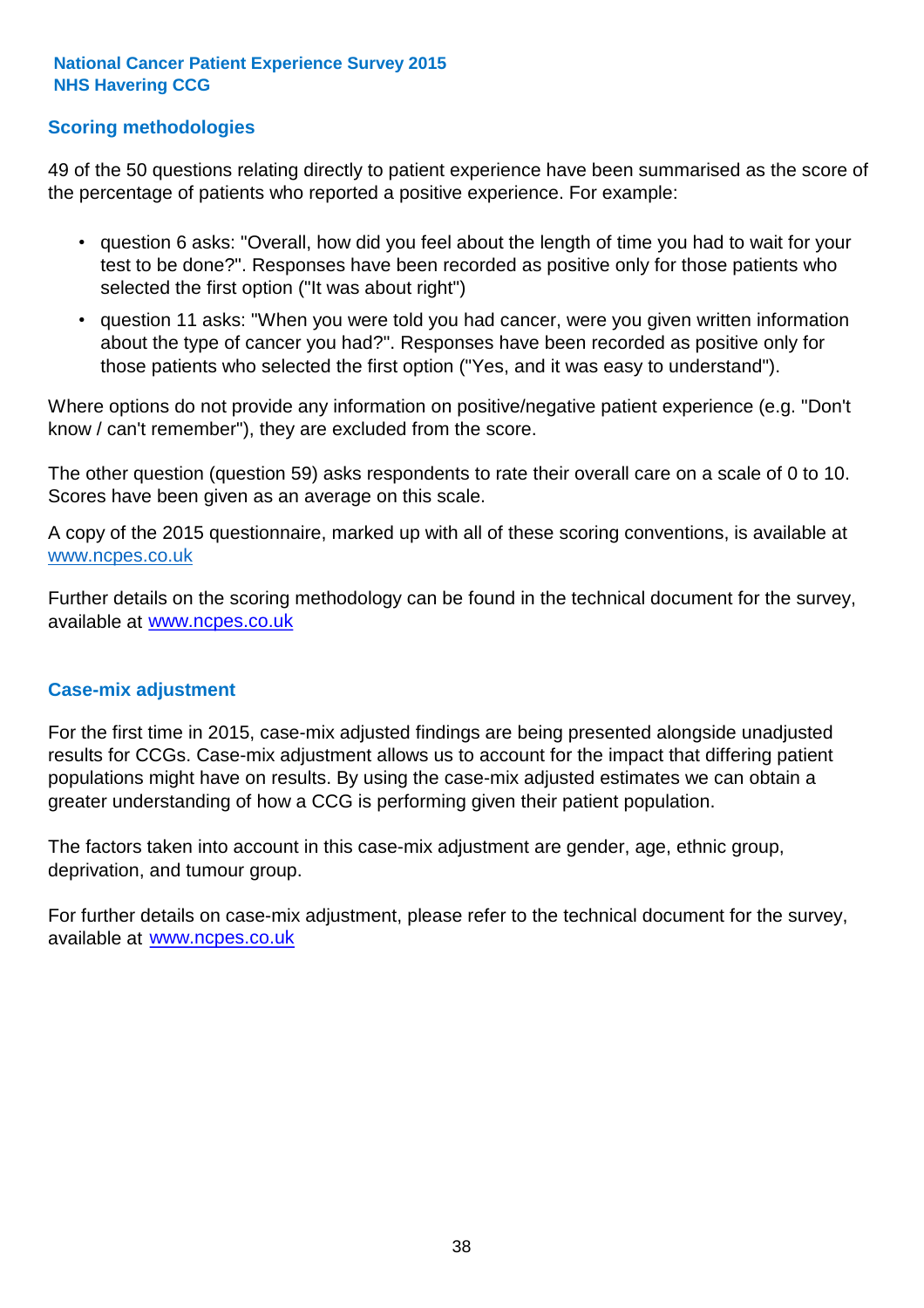### **Scoring methodologies**

49 of the 50 questions relating directly to patient experience have been summarised as the score of the percentage of patients who reported a positive experience. For example:

- question 6 asks: "Overall, how did you feel about the length of time you had to wait for your test to be done?". Responses have been recorded as positive only for those patients who selected the first option ("It was about right")
- question 11 asks: "When you were told you had cancer, were you given written information about the type of cancer you had?". Responses have been recorded as positive only for those patients who selected the first option ("Yes, and it was easy to understand").

Where options do not provide any information on positive/negative patient experience (e.g. "Don't know / can't remember"), they are excluded from the score.

The other question (question 59) asks respondents to rate their overall care on a scale of 0 to 10. Scores have been given as an average on this scale.

A copy of the 2015 questionnaire, marked up with all of these scoring conventions, is available at www.ncpes.co.uk

Further details on the scoring methodology can be found in the technical document for the survey, available at <u>www.ncpes.co.uk</u>

#### **Case-mix adjustment**

For the first time in 2015, case-mix adjusted findings are being presented alongside unadjusted results for CCGs. Case-mix adjustment allows us to account for the impact that differing patient populations might have on results. By using the case-mix adjusted estimates we can obtain a greater understanding of how a CCG is performing given their patient population.

The factors taken into account in this case-mix adjustment are gender, age, ethnic group, deprivation, and tumour group.

For further details on case-mix adjustment, please refer to the technical document for the survey, available at www.ncpes.co.uk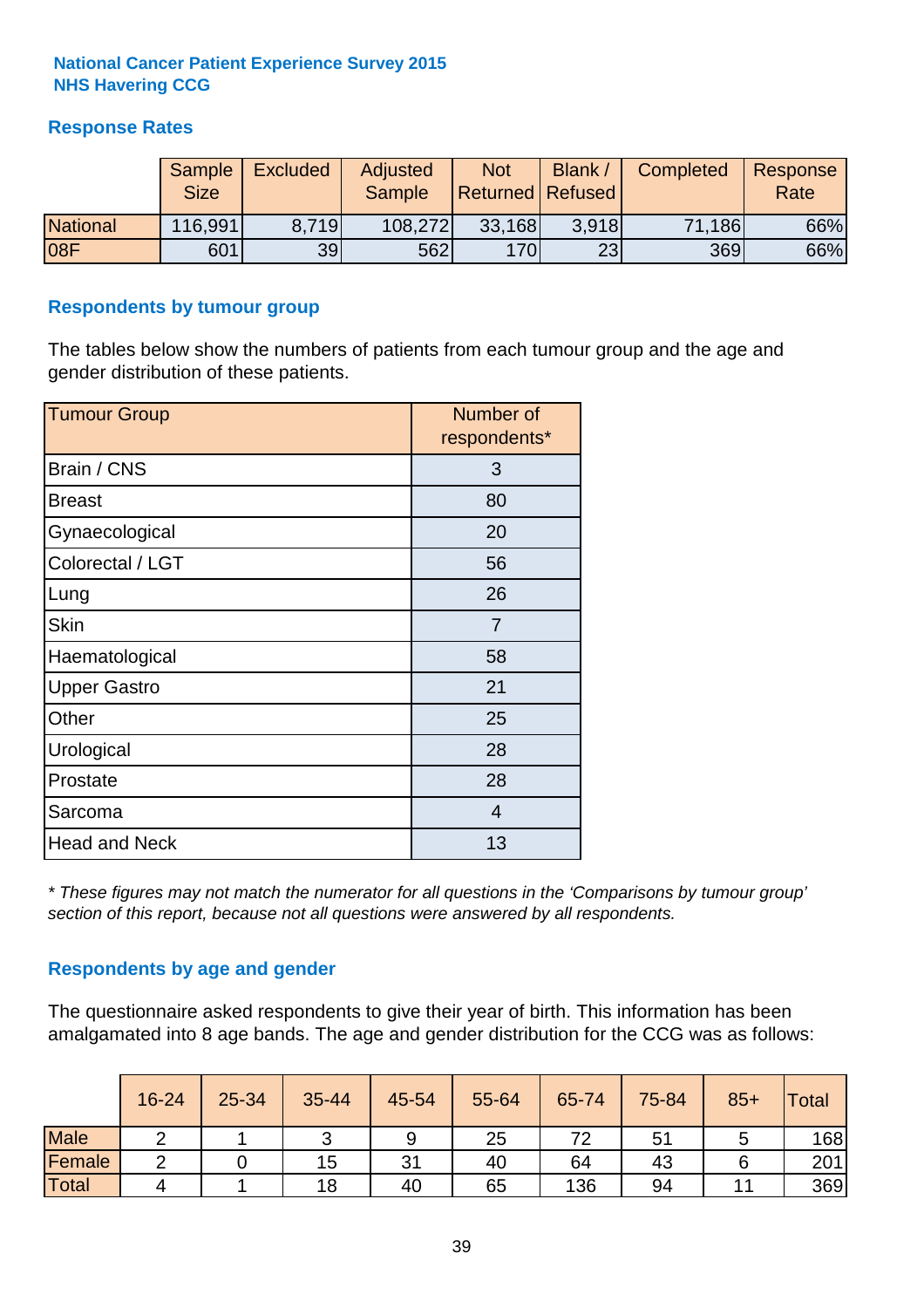## **Response Rates**

|                 | Sample<br><b>Size</b> | <b>Excluded</b> | Adjusted<br><b>Sample</b> | <b>Not</b><br>Returned Refused | Blank / | Completed | Response<br>Rate |
|-----------------|-----------------------|-----------------|---------------------------|--------------------------------|---------|-----------|------------------|
| <b>National</b> | 116,991               | 8.719           | 108,272                   | 33,168                         | 3.918   | 71,186    | 66%              |
| <b>08F</b>      | 601                   | 39              | <b>562</b>                | <b>170</b>                     | 23      | 369       | 66%              |

#### **Respondents by tumour group**

The tables below show the numbers of patients from each tumour group and the age and gender distribution of these patients.

| <b>Tumour Group</b>  | Number of<br>respondents* |
|----------------------|---------------------------|
| Brain / CNS          | 3                         |
| <b>Breast</b>        | 80                        |
| Gynaecological       | 20                        |
| Colorectal / LGT     | 56                        |
| Lung                 | 26                        |
| <b>Skin</b>          | 7                         |
| Haematological       | 58                        |
| <b>Upper Gastro</b>  | 21                        |
| Other                | 25                        |
| Urological           | 28                        |
| Prostate             | 28                        |
| Sarcoma              | $\overline{4}$            |
| <b>Head and Neck</b> | 13                        |

*\* These figures may not match the numerator for all questions in the 'Comparisons by tumour group' section of this report, because not all questions were answered by all respondents.*

### **Respondents by age and gender**

The questionnaire asked respondents to give their year of birth. This information has been amalgamated into 8 age bands. The age and gender distribution for the CCG was as follows:

|             | 16-24 | 25-34 | 35-44 | 45-54 | 55-64 | 65-74 | 75-84 | $85+$ | <b>Total</b> |
|-------------|-------|-------|-------|-------|-------|-------|-------|-------|--------------|
| <b>Male</b> | ⌒     |       | ັ     | 9     | 25    | 72    | 51    |       | 168          |
| Female      | ⌒     |       | 15    | 31    | 40    | 64    | 43    |       | 201          |
| Total       | 4     |       | 18    | 40    | 65    | 136   | 94    |       | 369          |